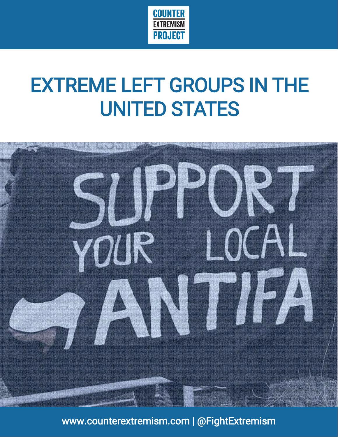

# EXTREME LEFT GROUPS IN THE UNITED STATES



www.counterextremism.com | @FightExtremism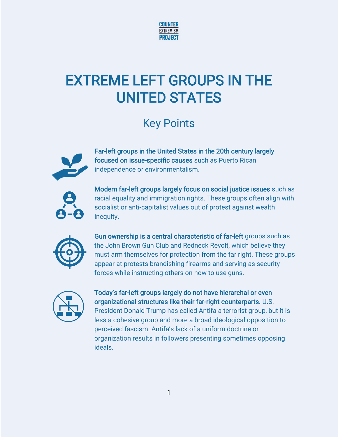

# EXTREME LEFT GROUPS IN THE UNITED STATES

### Key Points



Far-left groups in the United States in the 20th century largely focused on issue-specific causes such as Puerto Rican independence or environmentalism.



Modern far-left groups largely focus on social justice issues such as racial equality and immigration rights. These groups often align with socialist or anti-capitalist values out of protest against wealth inequity.



Gun ownership is a central characteristic of far-left groups such as the John Brown Gun Club and Redneck Revolt, which believe they must arm themselves for protection from the far right. These groups appear at protests brandishing firearms and serving as security forces while instructing others on how to use guns.



Today's far-left groups largely do not have hierarchal or even organizational structures like their far-right counterparts. U.S. President Donald Trump has called Antifa a terrorist group, but it is less a cohesive group and more a broad ideological opposition to perceived fascism. Antifa's lack of a uniform doctrine or organization results in followers presenting sometimes opposing ideals.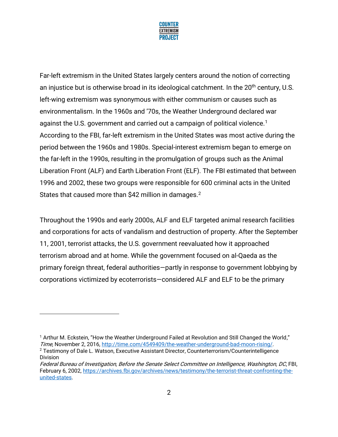

Far-left extremism in the United States largely centers around the notion of correcting an injustice but is otherwise broad in its ideological catchment. In the 20<sup>th</sup> century, U.S. left-wing extremism was synonymous with either communism or causes such as environmentalism. In the 1960s and '70s, the Weather Underground declared war against the U.S. government and carried out a campaign of political violence.<sup>1</sup> According to the FBI, far-left extremism in the United States was most active during the period between the 1960s and 1980s. Special-interest extremism began to emerge on the far-left in the 1990s, resulting in the promulgation of groups such as the Animal Liberation Front (ALF) and Earth Liberation Front (ELF). The FBI estimated that between 1996 and 2002, these two groups were responsible for 600 criminal acts in the United States that caused more than \$42 million in damages.<sup>2</sup>

Throughout the 1990s and early 2000s, ALF and ELF targeted animal research facilities and corporations for acts of vandalism and destruction of property. After the September 11, 2001, terrorist attacks, the U.S. government reevaluated how it approached terrorism abroad and at home. While the government focused on al-Qaeda as the primary foreign threat, federal authorities—partly in response to government lobbying by corporations victimized by ecoterrorists—considered ALF and ELF to be the primary

<sup>1</sup> Arthur M. Eckstein, "How the Weather Underground Failed at Revolution and Still Changed the World," Time, November 2, 2016, [http://time.com/4549409/the-weather-underground-bad-moon-rising/.](http://time.com/4549409/the-weather-underground-bad-moon-rising/)

<sup>2</sup> Testimony of Dale L. Watson, Executive Assistant Director, Counterterrorism/Counterintelligence Division

Federal Bureau of Investigation, Before the Senate Select Committee on Intelligence, Washington, DC, FBI, February 6, 2002, [https://archives.fbi.gov/archives/news/testimony/the-terrorist-threat-confronting-the](https://archives.fbi.gov/archives/news/testimony/the-terrorist-threat-confronting-the-united-states)[united-states.](https://archives.fbi.gov/archives/news/testimony/the-terrorist-threat-confronting-the-united-states)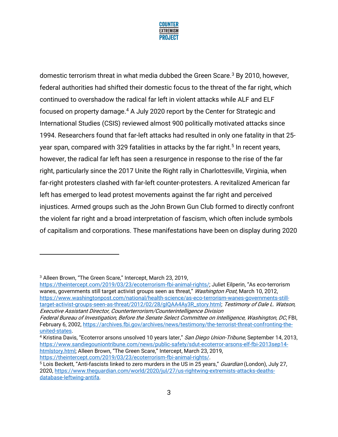

domestic terrorism threat in what media dubbed the Green Scare.<sup>3</sup> By 2010, however, federal authorities had shifted their domestic focus to the threat of the far right, which continued to overshadow the radical far left in violent attacks while ALF and ELF focused on property damage.<sup>4</sup> A July 2020 report by the Center for Strategic and International Studies (CSIS) reviewed almost 900 politically motivated attacks since 1994. Researchers found that far-left attacks had resulted in only one fatality in that 25 year span, compared with 329 fatalities in attacks by the far right.<sup>5</sup> In recent years, however, the radical far left has seen a resurgence in response to the rise of the far right, particularly since the 2017 Unite the Right rally in Charlottesville, Virginia, when far-right protesters clashed with far-left counter-protesters. A revitalized American far left has emerged to lead protest movements against the far right and perceived injustices. Armed groups such as the John Brown Gun Club formed to directly confront the violent far right and a broad interpretation of fascism, which often include symbols of capitalism and corporations. These manifestations have been on display during 2020

[https://theintercept.com/2019/03/23/ecoterrorism-fbi-animal-rights/;](https://theintercept.com/2019/03/23/ecoterrorism-fbi-animal-rights/) Juliet Eilperin, "As eco-terrorism wanes, governments still target activist groups seen as threat," Washington Post, March 10, 2012, [https://www.washingtonpost.com/national/health-science/as-eco-terrorism-wanes-governments-still](https://www.washingtonpost.com/national/health-science/as-eco-terrorism-wanes-governments-still-target-activist-groups-seen-as-threat/2012/02/28/gIQAA4Ay3R_story.html)[target-activist-groups-seen-as-threat/2012/02/28/gIQAA4Ay3R\\_story.html;](https://www.washingtonpost.com/national/health-science/as-eco-terrorism-wanes-governments-still-target-activist-groups-seen-as-threat/2012/02/28/gIQAA4Ay3R_story.html) Testimony of Dale L. Watson, Executive Assistant Director, Counterterrorism/Counterintelligence Division

4 Kristina Davis, "Ecoterror arsons unsolved 10 years later," San Diego Union-Tribune, September 14, 2013, [https://www.sandiegouniontribune.com/news/public-safety/sdut-ecoterror-arsons-elf-fbi-2013sep14](https://www.sandiegouniontribune.com/news/public-safety/sdut-ecoterror-arsons-elf-fbi-2013sep14-htmlstory.html) [htmlstory.html](https://www.sandiegouniontribune.com/news/public-safety/sdut-ecoterror-arsons-elf-fbi-2013sep14-htmlstory.html); Alleen Brown, "The Green Scare," Intercept, March 23, 2019, [https://theintercept.com/2019/03/23/ecoterrorism-fbi-animal-rights/.](https://theintercept.com/2019/03/23/ecoterrorism-fbi-animal-rights/)

<sup>3</sup> Alleen Brown, "The Green Scare," Intercept, March 23, 2019,

Federal Bureau of Investigation, Before the Senate Select Committee on Intelligence, Washington, DC, FBI, February 6, 2002, [https://archives.fbi.gov/archives/news/testimony/the-terrorist-threat-confronting-the](https://archives.fbi.gov/archives/news/testimony/the-terrorist-threat-confronting-the-united-states)[united-states.](https://archives.fbi.gov/archives/news/testimony/the-terrorist-threat-confronting-the-united-states)

<sup>&</sup>lt;sup>5</sup> Lois Beckett, "Anti-fascists linked to zero murders in the US in 25 years," Guardian (London), July 27, 2020, [https://www.theguardian.com/world/2020/jul/27/us-rightwing-extremists-attacks-deaths](https://www.theguardian.com/world/2020/jul/27/us-rightwing-extremists-attacks-deaths-database-leftwing-antifa)[database-leftwing-antifa.](https://www.theguardian.com/world/2020/jul/27/us-rightwing-extremists-attacks-deaths-database-leftwing-antifa)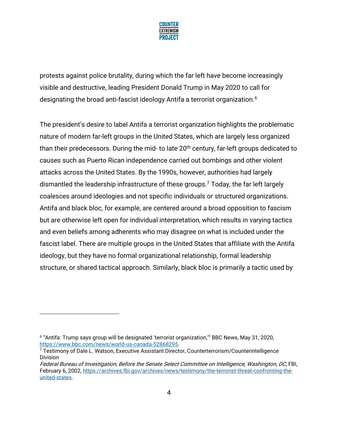

protests against police brutality, during which the far left have become increasingly visible and destructive, leading President Donald Trump in May 2020 to call for designating the broad anti-fascist ideology Antifa a terrorist organization.<sup>6</sup>

The president's desire to label Antifa a terrorist organization highlights the problematic nature of modern far-left groups in the United States, which are largely less organized than their predecessors. During the mid- to late  $20<sup>th</sup>$  century, far-left groups dedicated to causes such as Puerto Rican independence carried out bombings and other violent attacks across the United States. By the 1990s, however, authorities had largely dismantled the leadership infrastructure of these groups.<sup>7</sup> Today, the far left largely coalesces around ideologies and not specific individuals or structured organizations. Antifa and black bloc, for example, are centered around a broad opposition to fascism but are otherwise left open for individual interpretation, which results in varying tactics and even beliefs among adherents who may disagree on what is included under the fascist label. There are multiple groups in the United States that affiliate with the Antifa ideology, but they have no formal organizational relationship, formal leadership structure, or shared tactical approach. Similarly, black bloc is primarily a tactic used by

<sup>6</sup> "Antifa: Trump says group will be designated 'terrorist organization,'" BBC News, May 31, 2020, [https://www.bbc.com/news/world-us-canada-52868295.](https://www.bbc.com/news/world-us-canada-52868295)

 $7$  Testimony of Dale L. Watson, Executive Assistant Director, Counterterrorism/Counterintelligence Division

Federal Bureau of Investigation, Before the Senate Select Committee on Intelligence, Washington, DC, FBI, February 6, 2002, [https://archives.fbi.gov/archives/news/testimony/the-terrorist-threat-confronting-the](https://archives.fbi.gov/archives/news/testimony/the-terrorist-threat-confronting-the-united-states)[united-states.](https://archives.fbi.gov/archives/news/testimony/the-terrorist-threat-confronting-the-united-states)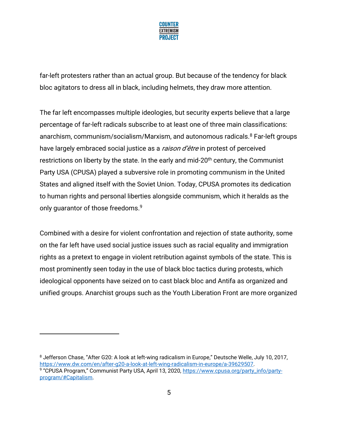

far-left protesters rather than an actual group. But because of the tendency for black bloc agitators to dress all in black, including helmets, they draw more attention.

The far left encompasses multiple ideologies, but security experts believe that a large percentage of far-left radicals subscribe to at least one of three main classifications: anarchism, communism/socialism/Marxism, and autonomous radicals.<sup>8</sup> Far-left groups have largely embraced social justice as a *raison d'être* in protest of perceived restrictions on liberty by the state. In the early and mid-20<sup>th</sup> century, the Communist Party USA (CPUSA) played a subversive role in promoting communism in the United States and aligned itself with the Soviet Union. Today, CPUSA promotes its dedication to human rights and personal liberties alongside communism, which it heralds as the only quarantor of those freedoms.<sup>9</sup>

Combined with a desire for violent confrontation and rejection of state authority, some on the far left have used social justice issues such as racial equality and immigration rights as a pretext to engage in violent retribution against symbols of the state. This is most prominently seen today in the use of black bloc tactics during protests, which ideological opponents have seized on to cast black bloc and Antifa as organized and unified groups. Anarchist groups such as the Youth Liberation Front are more organized

<sup>8</sup> Jefferson Chase, "After G20: A look at left-wing radicalism in Europe," Deutsche Welle, July 10, 2017, [https://www.dw.com/en/after-g20-a-look-at-left-wing-radicalism-in-europe/a-39629507.](https://www.dw.com/en/after-g20-a-look-at-left-wing-radicalism-in-europe/a-39629507) <sup>9</sup> "CPUSA Program," Communist Party USA, April 13, 2020, <u>https://www.cpusa.org/party\_info/party-</u> [program/#Capitalism.](https://www.cpusa.org/party_info/party-program/#Capitalism)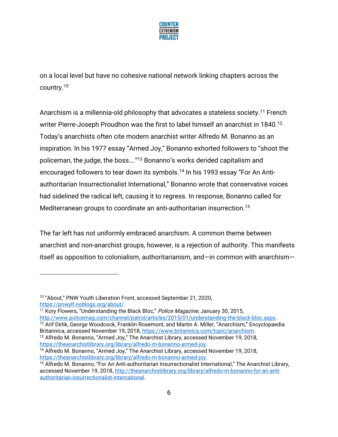

on a local level but have no cohesive national network linking chapters across the country.<sup>10</sup>

Anarchism is a millennia-old philosophy that advocates a stateless society.<sup>11</sup> French writer Pierre-Joseph Proudhon was the first to label himself an anarchist in 1840.<sup>12</sup> Today's anarchists often cite modern anarchist writer Alfredo M. Bonanno as an inspiration. In his 1977 essay "Armed Joy," Bonanno exhorted followers to "shoot the policeman, the judge, the boss…."<sup>13</sup> Bonanno's works derided capitalism and encouraged followers to tear down its symbols.<sup>14</sup> In his 1993 essay "For An Antiauthoritarian Insurrectionalist International," Bonanno wrote that conservative voices had sidelined the radical left, causing it to regress. In response, Bonanno called for Mediterranean groups to coordinate an anti-authoritarian insurrection.<sup>15</sup>

The far left has not uniformly embraced anarchism. A common theme between anarchist and non-anarchist groups, however, is a rejection of authority. This manifests itself as opposition to colonialism, authoritarianism, and—in common with anarchism—

<sup>12</sup> Arif Dirlik, George Woodcock, Franklin Rosemont, and Martin A. Miller, "Anarchism," Encyclopaedia Britannica, accessed November 19, 2018, [https://www.britannica.com/topic/anarchism.](https://www.britannica.com/topic/anarchism) <sup>13</sup> Alfredo M. Bonanno, "Armed Joy," The Anarchist Library, accessed November 19, 2018,

[https://theanarchistlibrary.org/library/alfredo-m-bonanno-armed-joy.](https://theanarchistlibrary.org/library/alfredo-m-bonanno-armed-joy)

<sup>&</sup>lt;sup>10</sup> "About," PNW Youth Liberation Front, accessed September 21, 2020, [https://pnwylf.noblogs.org/about/.](https://pnwylf.noblogs.org/about/) 

<sup>&</sup>lt;sup>11</sup> Kory Flowers, "Understanding the Black Bloc," *Police Magazine*, January 30, 2015, [http://www.policemag.com/channel/patrol/articles/2015/01/understanding-the-black-bloc.aspx.](http://www.policemag.com/channel/patrol/articles/2015/01/understanding-the-black-bloc.aspx) 

<sup>&</sup>lt;sup>14</sup> Alfredo M. Bonanno, "Armed Joy," The Anarchist Library, accessed November 19, 2018, [https://theanarchistlibrary.org/library/alfredo-m-bonanno-armed-joy.](https://theanarchistlibrary.org/library/alfredo-m-bonanno-armed-joy)

<sup>&</sup>lt;sup>15</sup> Alfredo M. Bonanno, "For An Anti-authoritarian Insurrectionalist International," The Anarchist Library, accessed November 19, 2018, [http://theanarchistlibrary.org/library/alfredo-m-bonanno-for-an-anti](http://theanarchistlibrary.org/library/alfredo-m-bonanno-for-an-anti-authoritarian-insurrectionalist-international)[authoritarian-insurrectionalist-international.](http://theanarchistlibrary.org/library/alfredo-m-bonanno-for-an-anti-authoritarian-insurrectionalist-international)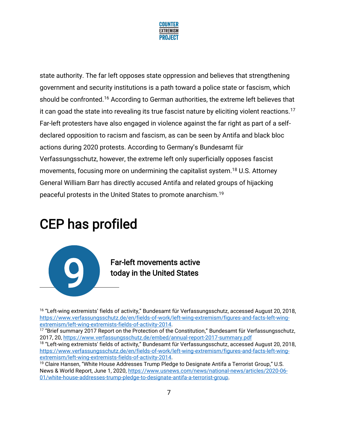

state authority. The far left opposes state oppression and believes that strengthening government and security institutions is a path toward a police state or fascism, which should be confronted.<sup>16</sup> According to German authorities, the extreme left believes that it can goad the state into revealing its true fascist nature by eliciting violent reactions.<sup>17</sup> Far-left protesters have also engaged in violence against the far right as part of a selfdeclared opposition to racism and fascism, as can be seen by Antifa and black bloc actions during 2020 protests. According to Germany's Bundesamt für Verfassungsschutz, however, the extreme left only superficially opposes fascist movements, focusing more on undermining the capitalist system.<sup>18</sup> U.S. Attorney General William Barr has directly accused Antifa and related groups of hijacking peaceful protests in the United States to promote anarchism.<sup>19</sup>

## CEP has profiled



16 "Left-wing extremists' fields of activity," Bundesamt für Verfassungsschutz, accessed August 20, 2018, [https://www.verfassungsschutz.de/en/fields-of-work/left-wing-extremism/figures-and-facts-left-wing](https://www.verfassungsschutz.de/en/fields-of-work/left-wing-extremism/figures-and-facts-left-wing-extremism/left-wing-extremists-fields-of-activity-2014)[extremism/left-wing-extremists-fields-of-activity-2014.](https://www.verfassungsschutz.de/en/fields-of-work/left-wing-extremism/figures-and-facts-left-wing-extremism/left-wing-extremists-fields-of-activity-2014)

<sup>&</sup>lt;sup>17</sup> "Brief summary 2017 Report on the Protection of the Constitution," Bundesamt für Verfassungsschutz, 2017, 20[, https://www.verfassungsschutz.de/embed/annual-report-2017-summary.pdf](https://www.verfassungsschutz.de/embed/annual-report-2017-summary.pdf)

<sup>&</sup>lt;sup>18</sup> "Left-wing extremists' fields of activity," Bundesamt für Verfassungsschutz, accessed August 20, 2018, [https://www.verfassungsschutz.de/en/fields-of-work/left-wing-extremism/figures-and-facts-left-wing](https://www.verfassungsschutz.de/en/fields-of-work/left-wing-extremism/figures-and-facts-left-wing-extremism/left-wing-extremists-fields-of-activity-2014)[extremism/left-wing-extremists-fields-of-activity-2014.](https://www.verfassungsschutz.de/en/fields-of-work/left-wing-extremism/figures-and-facts-left-wing-extremism/left-wing-extremists-fields-of-activity-2014)

 $19$  Claire Hansen, "White House Addresses Trump Pledge to Designate Antifa a Terrorist Group," U.S. News & World Report, June 1, 2020, [https://www.usnews.com/news/national-news/articles/2020-06-](https://www.usnews.com/news/national-news/articles/2020-06-01/white-house-addresses-trump-pledge-to-designate-antifa-a-terrorist-group) [01/white-house-addresses-trump-pledge-to-designate-antifa-a-terrorist-group.](https://www.usnews.com/news/national-news/articles/2020-06-01/white-house-addresses-trump-pledge-to-designate-antifa-a-terrorist-group)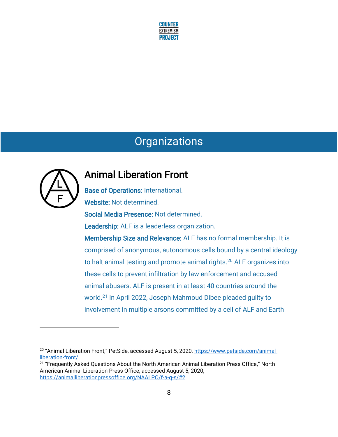

### **Organizations**



### Animal Liberation Front

Base of Operations: International. Website: Not determined. Social Media Presence: Not determined. Leadership: ALF is a leaderless organization. Membership Size and Relevance: ALF has no formal membership. It is comprised of anonymous, autonomous cells bound by a central ideology to halt animal testing and promote animal rights.<sup>20</sup> ALF organizes into these cells to prevent infiltration by law enforcement and accused animal abusers. ALF is present in at least 40 countries around the world.<sup>21</sup> In April 2022, Joseph Mahmoud Dibee pleaded guilty to involvement in multiple arsons committed by a cell of ALF and Earth

<sup>&</sup>lt;sup>20</sup> "Animal Liberation Front," PetSide, accessed August 5, 2020, [https://www.petside.com/animal](https://www.petside.com/animal-liberation-front/)[liberation-front/.](https://www.petside.com/animal-liberation-front/)

 $^{21}$  "Frequently Asked Questions About the North American Animal Liberation Press Office," North American Animal Liberation Press Office, accessed August 5, 2020, [https://animalliberationpressoffice.org/NAALPO/f-a-q-s/#2.](https://animalliberationpressoffice.org/NAALPO/f-a-q-s/#2)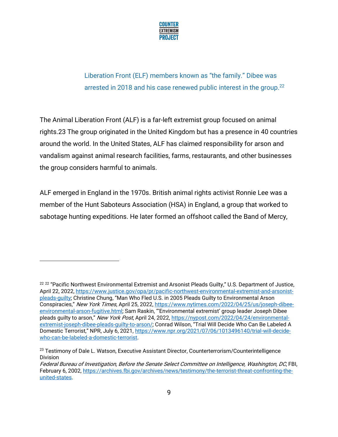

Liberation Front (ELF) members known as "the family." Dibee was arrested in 2018 and his case renewed public interest in the group.<sup>22</sup>

The Animal Liberation Front (ALF) is a far-left extremist group focused on animal rights.23 The group originated in the United Kingdom but has a presence in 40 countries around the world. In the United States, ALF has claimed responsibility for arson and vandalism against animal research facilities, farms, restaurants, and other businesses the group considers harmful to animals.

ALF emerged in England in the 1970s. British animal rights activist Ronnie Lee was a member of the Hunt Saboteurs Association (HSA) in England, a group that worked to sabotage hunting expeditions. He later formed an offshoot called the Band of Mercy,

 $^{22\ 22}$  "Pacific Northwest Environmental Extremist and Arsonist Pleads Guilty," U.S. Department of Justice, April 22, 2022, [https://www.justice.gov/opa/pr/pacific-northwest-environmental-extremist-and-arsonist](https://www.justice.gov/opa/pr/pacific-northwest-environmental-extremist-and-arsonist-pleads-guilty)[pleads-guilty;](https://www.justice.gov/opa/pr/pacific-northwest-environmental-extremist-and-arsonist-pleads-guilty) Christine Chung, "Man Who Fled U.S. in 2005 Pleads Guilty to Environmental Arson Conspiracies," New York Times, April 25, 2022[, https://www.nytimes.com/2022/04/25/us/joseph-dibee](https://www.nytimes.com/2022/04/25/us/joseph-dibee-environmental-arson-fugitive.html)[environmental-arson-fugitive.html;](https://www.nytimes.com/2022/04/25/us/joseph-dibee-environmental-arson-fugitive.html) Sam Raskin, "'Environmental extremist' group leader Joseph Dibee pleads guilty to arson," New York Post, April 24, 2022[, https://nypost.com/2022/04/24/environmental](https://nypost.com/2022/04/24/environmental-extremist-joseph-dibee-pleads-guilty-to-arson/)[extremist-joseph-dibee-pleads-guilty-to-arson/;](https://nypost.com/2022/04/24/environmental-extremist-joseph-dibee-pleads-guilty-to-arson/) Conrad Wilson, "Trial Will Decide Who Can Be Labeled A Domestic Terrorist," NPR, July 6, 2021, [https://www.npr.org/2021/07/06/1013496140/trial-will-decide](https://www.npr.org/2021/07/06/1013496140/trial-will-decide-who-can-be-labeled-a-domestic-terrorist)[who-can-be-labeled-a-domestic-terrorist.](https://www.npr.org/2021/07/06/1013496140/trial-will-decide-who-can-be-labeled-a-domestic-terrorist)

<sup>&</sup>lt;sup>23</sup> Testimony of Dale L. Watson, Executive Assistant Director, Counterterrorism/Counterintelligence Division

Federal Bureau of Investigation, Before the Senate Select Committee on Intelligence, Washington, DC, FBI, February 6, 2002, [https://archives.fbi.gov/archives/news/testimony/the-terrorist-threat-confronting-the](https://archives.fbi.gov/archives/news/testimony/the-terrorist-threat-confronting-the-united-states)[united-states.](https://archives.fbi.gov/archives/news/testimony/the-terrorist-threat-confronting-the-united-states)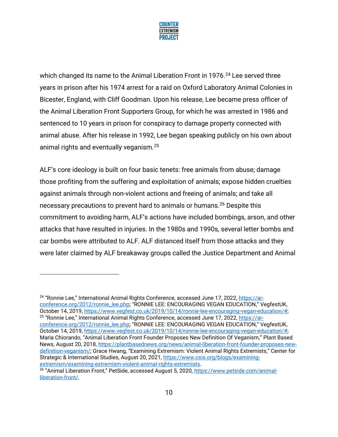

which changed its name to the Animal Liberation Front in 1976. <sup>24</sup> Lee served three years in prison after his 1974 arrest for a raid on Oxford Laboratory Animal Colonies in Bicester, England, with Cliff Goodman. Upon his release, Lee became press officer of the Animal Liberation Front Supporters Group, for which he was arrested in 1986 and sentenced to 10 years in prison for conspiracy to damage property connected with animal abuse. After his release in 1992, Lee began speaking publicly on his own about animal rights and eventually veganism.<sup>25</sup>

ALF's core ideology is built on four basic tenets: free animals from abuse; damage those profiting from the suffering and exploitation of animals; expose hidden cruelties against animals through non-violent actions and freeing of animals; and take all necessary precautions to prevent hard to animals or humans.<sup>26</sup> Despite this commitment to avoiding harm, ALF's actions have included bombings, arson, and other attacks that have resulted in injuries. In the 1980s and 1990s, several letter bombs and car bombs were attributed to ALF. ALF distanced itself from those attacks and they were later claimed by ALF breakaway groups called the Justice Department and Animal

<sup>&</sup>lt;sup>24</sup> "Ronnie Lee," International Animal Rights Conference, accessed June 17, 2022, [https://ar](https://ar-conference.org/2012/ronnie_lee.php)[conference.org/2012/ronnie\\_lee.php](https://ar-conference.org/2012/ronnie_lee.php); "RONNIE LEE: ENCOURAGING VEGAN EDUCATION," VegfestUK, October 14, 2019, [https://www.vegfest.co.uk/2019/10/14/ronnie-lee-encouraging-vegan-education/#;](https://www.vegfest.co.uk/2019/10/14/ronnie-lee-encouraging-vegan-education/) <sup>25</sup> "Ronnie Lee," International Animal Rights Conference, accessed June 17, 2022, [https://ar](https://ar-conference.org/2012/ronnie_lee.php)[conference.org/2012/ronnie\\_lee.php;](https://ar-conference.org/2012/ronnie_lee.php) "RONNIE LEE: ENCOURAGING VEGAN EDUCATION," VegfestUK, October 14, 2019, [https://www.vegfest.co.uk/2019/10/14/ronnie-lee-encouraging-vegan-education/#;](https://www.vegfest.co.uk/2019/10/14/ronnie-lee-encouraging-vegan-education/)  Maria Chiorando, "Animal Liberation Front Founder Proposes New Definition Of Veganism," Plant Based News, August 20, 2018, [https://plantbasednews.org/news/animal-liberation-front-founder-proposes-new](https://plantbasednews.org/news/animal-liberation-front-founder-proposes-new-definition-veganism/)[definition-veganism/](https://plantbasednews.org/news/animal-liberation-front-founder-proposes-new-definition-veganism/); Grace Hwang, "Examining Extremism: Violent Animal Rights Extremists," Center for Strategic & International Studies, August 20, 2021, [https://www.csis.org/blogs/examining](https://www.csis.org/blogs/examining-extremism/examining-extremism-violent-animal-rights-extremists)[extremism/examining-extremism-violent-animal-rights-extremists.](https://www.csis.org/blogs/examining-extremism/examining-extremism-violent-animal-rights-extremists)

<sup>&</sup>lt;sup>26</sup> "Animal Liberation Front," PetSide, accessed August 5, 2020, [https://www.petside.com/animal](https://www.petside.com/animal-liberation-front/)[liberation-front/.](https://www.petside.com/animal-liberation-front/)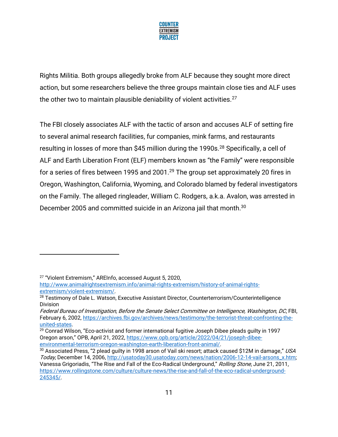

Rights Militia. Both groups allegedly broke from ALF because they sought more direct action, but some researchers believe the three groups maintain close ties and ALF uses the other two to maintain plausible deniability of violent activities. $27$ 

The FBI closely associates ALF with the tactic of arson and accuses ALF of setting fire to several animal research facilities, fur companies, mink farms, and restaurants resulting in losses of more than \$45 million during the 1990s.<sup>28</sup> Specifically, a cell of ALF and Earth Liberation Front (ELF) members known as "the Family" were responsible for a series of fires between 1995 and 2001.<sup>29</sup> The group set approximately 20 fires in Oregon, Washington, California, Wyoming, and Colorado blamed by federal investigators on the Family. The alleged ringleader, William C. Rodgers, a.k.a. Avalon, was arrested in December 2005 and committed suicide in an Arizona jail that month. $^{\rm 30}$ 

<sup>27</sup> "Violent Extremism," AREInfo, accessed August 5, 2020,

[http://www.animalrightsextremism.info/animal-rights-extremism/history-of-animal-rights](http://www.animalrightsextremism.info/animal-rights-extremism/history-of-animal-rights-extremism/violent-extremism/)[extremism/violent-extremism/.](http://www.animalrightsextremism.info/animal-rights-extremism/history-of-animal-rights-extremism/violent-extremism/)

<sup>&</sup>lt;sup>28</sup> Testimony of Dale L. Watson, Executive Assistant Director, Counterterrorism/Counterintelligence Division

Federal Bureau of Investigation, Before the Senate Select Committee on Intelligence, Washington, DC, FBI, February 6, 2002, [https://archives.fbi.gov/archives/news/testimony/the-terrorist-threat-confronting-the](https://archives.fbi.gov/archives/news/testimony/the-terrorist-threat-confronting-the-united-states)[united-states.](https://archives.fbi.gov/archives/news/testimony/the-terrorist-threat-confronting-the-united-states)

 $29$  Conrad Wilson, "Eco-activist and former international fugitive Joseph Dibee pleads guilty in 1997 Oregon arson," OPB, April 21, 2022, [https://www.opb.org/article/2022/04/21/joseph-dibee](https://www.opb.org/article/2022/04/21/joseph-dibee-environmental-terrorism-oregon-washington-earth-liberation-front-animal/)[environmental-terrorism-oregon-washington-earth-liberation-front-animal/.](https://www.opb.org/article/2022/04/21/joseph-dibee-environmental-terrorism-oregon-washington-earth-liberation-front-animal/)

<sup>&</sup>lt;sup>30</sup> Associated Press, "2 plead guilty in 1998 arson of Vail ski resort; attack caused \$12M in damage," USA Today, December 14, 2006, http://usatoday30.usatoday.com/news/nation/2006-12-14-vail-arsons\_x.htm; Vanessa Grigoriadis, "The Rise and Fall of the Eco-Radical Underground," Rolling Stone, June 21, 2011, [https://www.rollingstone.com/culture/culture-news/the-rise-and-fall-of-the-eco-radical-underground-](https://www.rollingstone.com/culture/culture-news/the-rise-and-fall-of-the-eco-radical-underground-245345/)[245345/.](https://www.rollingstone.com/culture/culture-news/the-rise-and-fall-of-the-eco-radical-underground-245345/)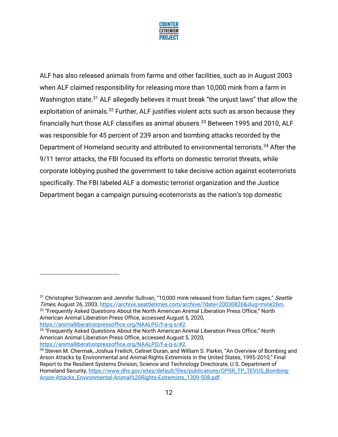

ALF has also released animals from farms and other facilities, such as in August 2003 when ALF claimed responsibility for releasing more than 10,000 mink from a farm in Washington state.<sup>31</sup> ALF allegedly believes it must break "the unjust laws" that allow the exploitation of animals.<sup>32</sup> Further, ALF justifies violent acts such as arson because they financially hurt those ALF classifies as animal abusers.<sup>33</sup> Between 1995 and 2010, ALF was responsible for 45 percent of 239 arson and bombing attacks recorded by the Department of Homeland security and attributed to environmental terrorists.<sup>34</sup> After the 9/11 terror attacks, the FBI focused its efforts on domestic terrorist threats, while corporate lobbying pushed the government to take decisive action against ecoterrorists specifically. The FBI labeled ALF a domestic terrorist organization and the Justice Department began a campaign pursuing ecoterrorists as the nation's top domestic

 $^{33}$  "Frequently Asked Questions About the North American Animal Liberation Press Office," North American Animal Liberation Press Office, accessed August 5, 2020, [https://animalliberationpressoffice.org/NAALPO/f-a-q-s/#2.](https://animalliberationpressoffice.org/NAALPO/f-a-q-s/#2)

<sup>&</sup>lt;sup>31</sup> Christopher Schwarzen and Jennifer Sullivan, "10,000 mink released from Sultan farm cages," Seattle Times, August 26, 2003, [https://archive.seattletimes.com/archive/?date=20030826&slug=mink26m.](https://archive.seattletimes.com/archive/?date=20030826&slug=mink26m)

 $32$  "Frequently Asked Questions About the North American Animal Liberation Press Office," North American Animal Liberation Press Office, accessed August 5, 2020, [https://animalliberationpressoffice.org/NAALPO/f-a-q-s/#2.](https://animalliberationpressoffice.org/NAALPO/f-a-q-s/#2)

<sup>34</sup> Steven M. Chermak, Joshua Freilich, Celinet Duran, and William S. Parkin, "An Overview of Bombing and Arson Attacks by Environmental and Animal Rights Extremists in the United States, 1995-2010," Final Report to the Resilient Systems Division, Science and Technology Directorate, U.S. Department of Homeland Security[, https://www.dhs.gov/sites/default/files/publications/OPSR\\_TP\\_TEVUS\\_Bombing-](https://www.dhs.gov/sites/default/files/publications/OPSR_TP_TEVUS_Bombing-Arson-Attacks_Environmental-Animal%20Rights-Extremists_1309-508.pdf)[Arson-Attacks\\_Environmental-Animal%20Rights-Extremists\\_1309-508.pdf.](https://www.dhs.gov/sites/default/files/publications/OPSR_TP_TEVUS_Bombing-Arson-Attacks_Environmental-Animal%20Rights-Extremists_1309-508.pdf)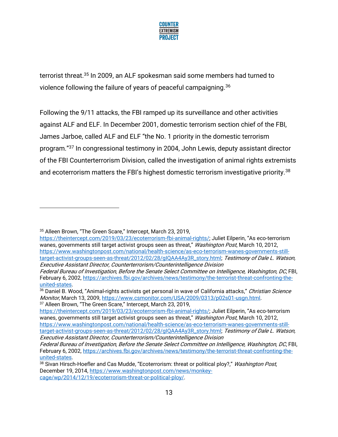

terrorist threat.<sup>35</sup> In 2009, an ALF spokesman said some members had turned to violence following the failure of years of peaceful campaigning.<sup>36</sup>

Following the 9/11 attacks, the FBI ramped up its surveillance and other activities against ALF and ELF. In December 2001, domestic terrorism section chief of the FBI, James Jarboe, called ALF and ELF "the No. 1 priority in the domestic terrorism program."<sup>37</sup> In congressional testimony in 2004, John Lewis, deputy assistant director of the FBI Counterterrorism Division, called the investigation of animal rights extremists and ecoterrorism matters the FBI's highest domestic terrorism investigative priority.<sup>38</sup>

<sup>35</sup> Alleen Brown, "The Green Scare," Intercept, March 23, 2019,

[https://theintercept.com/2019/03/23/ecoterrorism-fbi-animal-rights/;](https://theintercept.com/2019/03/23/ecoterrorism-fbi-animal-rights/) Juliet Eilperin, "As eco-terrorism wanes, governments still target activist groups seen as threat," Washington Post, March 10, 2012, [https://www.washingtonpost.com/national/health-science/as-eco-terrorism-wanes-governments-still](https://www.washingtonpost.com/national/health-science/as-eco-terrorism-wanes-governments-still-target-activist-groups-seen-as-threat/2012/02/28/gIQAA4Ay3R_story.html)[target-activist-groups-seen-as-threat/2012/02/28/gIQAA4Ay3R\\_story.html;](https://www.washingtonpost.com/national/health-science/as-eco-terrorism-wanes-governments-still-target-activist-groups-seen-as-threat/2012/02/28/gIQAA4Ay3R_story.html) Testimony of Dale L. Watson, Executive Assistant Director, Counterterrorism/Counterintelligence Division

Federal Bureau of Investigation, Before the Senate Select Committee on Intelligence, Washington, DC, FBI, February 6, 2002, [https://archives.fbi.gov/archives/news/testimony/the-terrorist-threat-confronting-the](https://archives.fbi.gov/archives/news/testimony/the-terrorist-threat-confronting-the-united-states)[united-states.](https://archives.fbi.gov/archives/news/testimony/the-terrorist-threat-confronting-the-united-states)

<sup>36</sup> Daniel B. Wood, "Animal-rights activists get personal in wave of California attacks," Christian Science Monitor, March 13, 2009[, https://www.csmonitor.com/USA/2009/0313/p02s01-usgn.html.](https://www.csmonitor.com/USA/2009/0313/p02s01-usgn.html) <sup>37</sup> Alleen Brown, "The Green Scare," Intercept, March 23, 2019,

[https://theintercept.com/2019/03/23/ecoterrorism-fbi-animal-rights/;](https://theintercept.com/2019/03/23/ecoterrorism-fbi-animal-rights/) Juliet Eilperin, "As eco-terrorism wanes, governments still target activist groups seen as threat," Washington Post, March 10, 2012, [https://www.washingtonpost.com/national/health-science/as-eco-terrorism-wanes-governments-still](https://www.washingtonpost.com/national/health-science/as-eco-terrorism-wanes-governments-still-target-activist-groups-seen-as-threat/2012/02/28/gIQAA4Ay3R_story.html)[target-activist-groups-seen-as-threat/2012/02/28/gIQAA4Ay3R\\_story.html;](https://www.washingtonpost.com/national/health-science/as-eco-terrorism-wanes-governments-still-target-activist-groups-seen-as-threat/2012/02/28/gIQAA4Ay3R_story.html) Testimony of Dale L. Watson,

Executive Assistant Director, Counterterrorism/Counterintelligence Division Federal Bureau of Investigation, Before the Senate Select Committee on Intelligence, Washington, DC, FBI, February 6, 2002, [https://archives.fbi.gov/archives/news/testimony/the-terrorist-threat-confronting-the](https://archives.fbi.gov/archives/news/testimony/the-terrorist-threat-confronting-the-united-states)[united-states.](https://archives.fbi.gov/archives/news/testimony/the-terrorist-threat-confronting-the-united-states)

<sup>38</sup> Sivan Hirsch-Hoefler and Cas Mudde, "Ecoterrorism: threat or political ploy?," Washington Post, December 19, 2014[, https://www.washingtonpost.com/news/monkey](https://www.washingtonpost.com/news/monkey-cage/wp/2014/12/19/ecoterrorism-threat-or-political-ploy/)[cage/wp/2014/12/19/ecoterrorism-threat-or-political-ploy/.](https://www.washingtonpost.com/news/monkey-cage/wp/2014/12/19/ecoterrorism-threat-or-political-ploy/)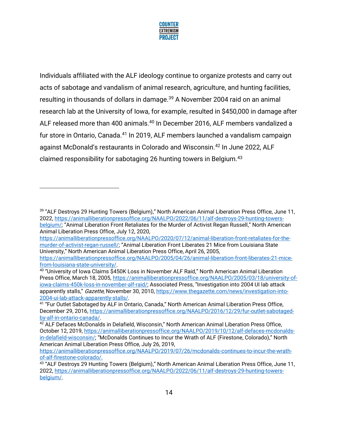

Individuals affiliated with the ALF ideology continue to organize protests and carry out acts of sabotage and vandalism of animal research, agriculture, and hunting facilities, resulting in thousands of dollars in damage.<sup>39</sup> A November 2004 raid on an animal research lab at the University of Iowa, for example, resulted in \$450,000 in damage after ALF released more than 400 animals.<sup>40</sup> In December 2016, ALF members vandalized a fur store in Ontario, Canada.<sup>41</sup> In 2019, ALF members launched a vandalism campaign against McDonald's restaurants in Colorado and Wisconsin.<sup>42</sup> In June 2022, ALF claimed responsibility for sabotaging 26 hunting towers in Belgium.<sup>43</sup>

[https://animalliberationpressoffice.org/NAALPO/2020/07/12/animal-liberation-front-retaliates-for-the](https://animalliberationpressoffice.org/NAALPO/2020/07/12/animal-liberation-front-retaliates-for-the-murder-of-activist-regan-russell/)[murder-of-activist-regan-russell/](https://animalliberationpressoffice.org/NAALPO/2020/07/12/animal-liberation-front-retaliates-for-the-murder-of-activist-regan-russell/); "Animal Liberation Front Liberates 21 Mice from Louisiana State University," North American Animal Liberation Press Office, April 26, 2005, [https://animalliberationpressoffice.org/NAALPO/2005/04/26/animal-liberation-front-liberates-21-mice-](https://animalliberationpressoffice.org/NAALPO/2005/04/26/animal-liberation-front-liberates-21-mice-from-louisiana-state-university/)

<sup>&</sup>lt;sup>39</sup> "ALF Destroys 29 Hunting Towers (Belgium)," North American Animal Liberation Press Office, June 11, 2022, [https://animalliberationpressoffice.org/NAALPO/2022/06/11/alf-destroys-29-hunting-towers](https://animalliberationpressoffice.org/NAALPO/2022/06/11/alf-destroys-29-hunting-towers-belgium/)[belgium/;](https://animalliberationpressoffice.org/NAALPO/2022/06/11/alf-destroys-29-hunting-towers-belgium/) "Animal Liberation Front Retaliates for the Murder of Activist Regan Russell," North American Animal Liberation Press Office, July 12, 2020,

[from-louisiana-state-university/.](https://animalliberationpressoffice.org/NAALPO/2005/04/26/animal-liberation-front-liberates-21-mice-from-louisiana-state-university/)

<sup>40</sup> "University of Iowa Claims \$450K Loss in November ALF Raid," North American Animal Liberation Press Office, March 18, 2005, [https://animalliberationpressoffice.org/NAALPO/2005/03/18/university-of](https://animalliberationpressoffice.org/NAALPO/2005/03/18/university-of-iowa-claims-450k-loss-in-november-alf-raid/)[iowa-claims-450k-loss-in-november-alf-raid/;](https://animalliberationpressoffice.org/NAALPO/2005/03/18/university-of-iowa-claims-450k-loss-in-november-alf-raid/) Associated Press, "Investigation into 2004 UI lab attack apparently stalls," Gazette, November 30, 2010, [https://www.thegazette.com/news/investigation-into-](https://www.thegazette.com/news/investigation-into-2004-ui-lab-attack-apparently-stalls/)[2004-ui-lab-attack-apparently-stalls/.](https://www.thegazette.com/news/investigation-into-2004-ui-lab-attack-apparently-stalls/)

<sup>&</sup>lt;sup>41</sup> "Fur Outlet Sabotaged by ALF in Ontario, Canada," North American Animal Liberation Press Office, December 29, 2016[, https://animalliberationpressoffice.org/NAALPO/2016/12/29/fur-outlet-sabotaged](https://animalliberationpressoffice.org/NAALPO/2016/12/29/fur-outlet-sabotaged-by-alf-in-ontario-canada/)[by-alf-in-ontario-canada/.](https://animalliberationpressoffice.org/NAALPO/2016/12/29/fur-outlet-sabotaged-by-alf-in-ontario-canada/)

<sup>&</sup>lt;sup>42</sup> ALF Defaces McDonalds in Delafield, Wisconsin," North American Animal Liberation Press Office, October 12, 2019, [https://animalliberationpressoffice.org/NAALPO/2019/10/12/alf-defaces-mcdonalds](https://animalliberationpressoffice.org/NAALPO/2019/10/12/alf-defaces-mcdonalds-in-delafield-wisconsin/)[in-delafield-wisconsin/](https://animalliberationpressoffice.org/NAALPO/2019/10/12/alf-defaces-mcdonalds-in-delafield-wisconsin/); "McDonalds Continues to Incur the Wrath of ALF (Firestone, Colorado)," North American Animal Liberation Press Office, July 26, 2019,

[https://animalliberationpressoffice.org/NAALPO/2019/07/26/mcdonalds-continues-to-incur-the-wrath](https://animalliberationpressoffice.org/NAALPO/2019/07/26/mcdonalds-continues-to-incur-the-wrath-of-alf-firestone-colorado/)[of-alf-firestone-colorado/.](https://animalliberationpressoffice.org/NAALPO/2019/07/26/mcdonalds-continues-to-incur-the-wrath-of-alf-firestone-colorado/)

<sup>43</sup> "ALF Destroys 29 Hunting Towers (Belgium)," North American Animal Liberation Press Office, June 11, 2022, [https://animalliberationpressoffice.org/NAALPO/2022/06/11/alf-destroys-29-hunting-towers](https://animalliberationpressoffice.org/NAALPO/2022/06/11/alf-destroys-29-hunting-towers-belgium/)[belgium/.](https://animalliberationpressoffice.org/NAALPO/2022/06/11/alf-destroys-29-hunting-towers-belgium/)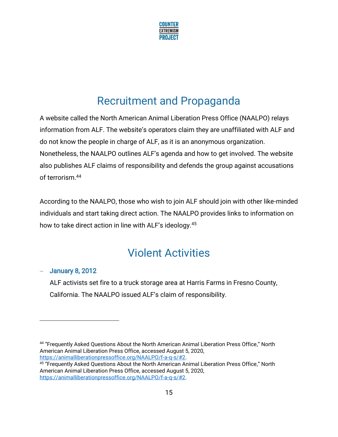

### Recruitment and Propaganda

A website called the North American Animal Liberation Press Office (NAALPO) relays information from ALF. The website's operators claim they are unaffiliated with ALF and do not know the people in charge of ALF, as it is an anonymous organization. Nonetheless, the NAALPO outlines ALF's agenda and how to get involved. The website also publishes ALF claims of responsibility and defends the group against accusations of terrorism.<sup>44</sup>

According to the NAALPO, those who wish to join ALF should join with other like-minded individuals and start taking direct action. The NAALPO provides links to information on how to take direct action in line with ALF's ideology.<sup>45</sup>

### Violent Activities

#### − January 8, 2012

ALF activists set fire to a truck storage area at Harris Farms in Fresno County, California. The NAALPO issued ALF's claim of responsibility.

44 "Frequently Asked Questions About the North American Animal Liberation Press Office," North American Animal Liberation Press Office, accessed August 5, 2020, [https://animalliberationpressoffice.org/NAALPO/f-a-q-s/#2.](https://animalliberationpressoffice.org/NAALPO/f-a-q-s/#2)

<sup>45</sup> "Frequently Asked Questions About the North American Animal Liberation Press Office," North American Animal Liberation Press Office, accessed August 5, 2020, [https://animalliberationpressoffice.org/NAALPO/f-a-q-s/#2.](https://animalliberationpressoffice.org/NAALPO/f-a-q-s/#2)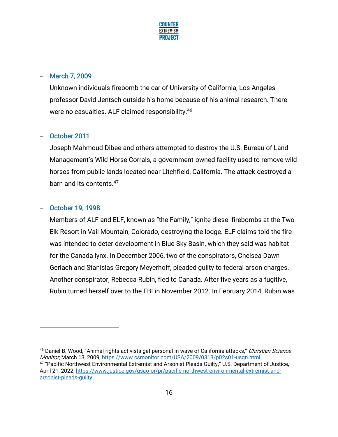

#### − March 7, 2009

Unknown individuals firebomb the car of University of California, Los Angeles professor David Jentsch outside his home because of his animal research. There were no casualties. ALF claimed responsibility.<sup>46</sup>

#### − October 2011

Joseph Mahmoud Dibee and others attempted to destroy the U.S. Bureau of Land Management's Wild Horse Corrals, a government-owned facility used to remove wild horses from public lands located near Litchfield, California. The attack destroyed a barn and its contents.<sup>47</sup>

#### − October 19, 1998

Members of ALF and ELF, known as "the Family," ignite diesel firebombs at the Two Elk Resort in Vail Mountain, Colorado, destroying the lodge. ELF claims told the fire was intended to deter development in Blue Sky Basin, which they said was habitat for the Canada lynx. In December 2006, two of the conspirators, Chelsea Dawn Gerlach and Stanislas Gregory Meyerhoff, pleaded guilty to federal arson charges. Another conspirator, Rebecca Rubin, fled to Canada. After five years as a fugitive, Rubin turned herself over to the FBI in November 2012. In February 2014, Rubin was

46 Daniel B. Wood, "Animal-rights activists get personal in wave of California attacks," Christian Science Monitor, March 13, 2009[, https://www.csmonitor.com/USA/2009/0313/p02s01-usgn.html.](https://www.csmonitor.com/USA/2009/0313/p02s01-usgn.html) <sup>47</sup> "Pacific Northwest Environmental Extremist and Arsonist Pleads Guilty," U.S. Department of Justice, April 21, 2022, [https://www.justice.gov/usao-or/pr/pacific-northwest-environmental-extremist-and](https://www.justice.gov/usao-or/pr/pacific-northwest-environmental-extremist-and-arsonist-pleads-guilty)[arsonist-pleads-guilty.](https://www.justice.gov/usao-or/pr/pacific-northwest-environmental-extremist-and-arsonist-pleads-guilty)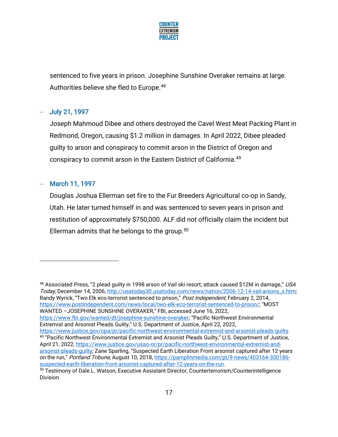

sentenced to five years in prison. Josephine Sunshine Overaker remains at large. Authorities believe she fled to Europe.<sup>48</sup>

#### − July 21, 1997

Joseph Mahmoud Dibee and others destroyed the Cavel West Meat Packing Plant in Redmond, Oregon, causing \$1.2 million in damages. In April 2022, Dibee pleaded guilty to arson and conspiracy to commit arson in the District of Oregon and conspiracy to commit arson in the Eastern District of California.<sup>49</sup>

#### March 11, 1997

Douglas Joshua Ellerman set fire to the Fur Breeders Agricultural co-op in Sandy, Utah. He later turned himself in and was sentenced to seven years in prison and restitution of approximately \$750,000. ALF did not officially claim the incident but Ellerman admits that he belongs to the group. $50$ 

on the run," Portland Tribune, August 10, 2018, [https://pamplinmedia.com/pt/9-news/403164-300186](https://pamplinmedia.com/pt/9-news/403164-300186-suspected-earth-liberation-front-arsonist-captured-after-12-years-on-the-run) [suspected-earth-liberation-front-arsonist-captured-after-12-years-on-the-run.](https://pamplinmedia.com/pt/9-news/403164-300186-suspected-earth-liberation-front-arsonist-captured-after-12-years-on-the-run)

<sup>48</sup> Associated Press, "2 plead quilty in 1998 arson of Vail ski resort; attack caused \$12M in damage," USA Today, December 14, 2006, [http://usatoday30.usatoday.com/news/nation/2006-12-14-vail-arsons\\_x.htm;](http://usatoday30.usatoday.com/news/nation/2006-12-14-vail-arsons_x.htm)  Randy Wyrick, "Two Elk eco-terrorist sentenced to prison," Post Independent, February 2, 2014, [https://www.postindependent.com/news/local/two-elk-eco-terrorist-sentenced-to-prison/;](https://www.postindependent.com/news/local/two-elk-eco-terrorist-sentenced-to-prison/) "MOST WANTED –JOSEPHINE SUNSHINE OVERAKER," FBI, accessed June 16, 2022, <https://www.fbi.gov/wanted/dt/josephine-sunshine-overaker>; "Pacific Northwest Environmental Extremist and Arsonist Pleads Guilty," U.S. Department of Justice, April 22, 2022, [https://www.justice.gov/opa/pr/pacific-northwest-environmental-extremist-and-arsonist-pleads-guilty.](https://www.justice.gov/opa/pr/pacific-northwest-environmental-extremist-and-arsonist-pleads-guilty) <sup>49</sup> "Pacific Northwest Environmental Extremist and Arsonist Pleads Guilty," U.S. Department of Justice, April 21, 2022, [https://www.justice.gov/usao-or/pr/pacific-northwest-environmental-extremist-and](https://www.justice.gov/usao-or/pr/pacific-northwest-environmental-extremist-and-arsonist-pleads-guilty)[arsonist-pleads-guilty](https://www.justice.gov/usao-or/pr/pacific-northwest-environmental-extremist-and-arsonist-pleads-guilty); Zane Sparling, "Suspected Earth Liberation Front arsonist captured after 12 years

<sup>&</sup>lt;sup>50</sup> Testimony of Dale L. Watson, Executive Assistant Director, Counterterrorism/Counterintelligence Division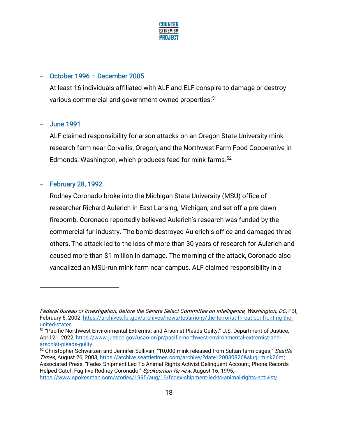

#### − October 1996 – December 2005

At least 16 individuals affiliated with ALF and ELF conspire to damage or destroy various commercial and government-owned properties.<sup>51</sup>

#### − June 1991

ALF claimed responsibility for arson attacks on an Oregon State University mink research farm near Corvallis, Oregon, and the Northwest Farm Food Cooperative in Edmonds, Washington, which produces feed for mink farms.<sup>52</sup>

#### − February 28, 1992

Rodney Coronado broke into the Michigan State University (MSU) office of researcher Richard Aulerich in East Lansing, Michigan, and set off a pre-dawn firebomb. Coronado reportedly believed Aulerich's research was funded by the commercial fur industry. The bomb destroyed Aulerich's office and damaged three others. The attack led to the loss of more than 30 years of research for Aulerich and caused more than \$1 million in damage. The morning of the attack, Coronado also vandalized an MSU-run mink farm near campus. ALF claimed responsibility in a

Federal Bureau of Investigation, Before the Senate Select Committee on Intelligence, Washington, DC, FBI, February 6, 2002, [https://archives.fbi.gov/archives/news/testimony/the-terrorist-threat-confronting-the](https://archives.fbi.gov/archives/news/testimony/the-terrorist-threat-confronting-the-united-states)[united-states.](https://archives.fbi.gov/archives/news/testimony/the-terrorist-threat-confronting-the-united-states)

<sup>51</sup> "Pacific Northwest Environmental Extremist and Arsonist Pleads Guilty," U.S. Department of Justice, April 21, 2022, [https://www.justice.gov/usao-or/pr/pacific-northwest-environmental-extremist-and](https://www.justice.gov/usao-or/pr/pacific-northwest-environmental-extremist-and-arsonist-pleads-guilty)[arsonist-pleads-guilty.](https://www.justice.gov/usao-or/pr/pacific-northwest-environmental-extremist-and-arsonist-pleads-guilty)

<sup>52</sup> Christopher Schwarzen and Jennifer Sullivan, "10,000 mink released from Sultan farm cages," Seattle Times, August 26, 2003, [https://archive.seattletimes.com/archive/?date=20030826&slug=mink26m;](https://archive.seattletimes.com/archive/?date=20030826&slug=mink26m) Associated Press, "Fedex Shipment Led To Animal Rights Activist Delinquent Account, Phone Records Helped Catch Fugitive Rodney Coronado," Spokesman-Review, August 16, 1995, [https://www.spokesman.com/stories/1995/aug/16/fedex-shipment-led-to-animal-rights-activist/.](https://www.spokesman.com/stories/1995/aug/16/fedex-shipment-led-to-animal-rights-activist/)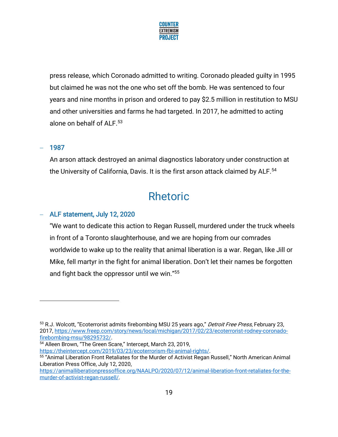

press release, which Coronado admitted to writing. Coronado pleaded guilty in 1995 but claimed he was not the one who set off the bomb. He was sentenced to four years and nine months in prison and ordered to pay \$2.5 million in restitution to MSU and other universities and farms he had targeted. In 2017, he admitted to acting alone on behalf of ALF.<sup>53</sup>

#### − 1987

An arson attack destroyed an animal diagnostics laboratory under construction at the University of California, Davis. It is the first arson attack claimed by ALF.<sup>54</sup>

### Rhetoric

#### − ALF statement, July 12, 2020

"We want to dedicate this action to Regan Russell, murdered under the truck wheels in front of a Toronto slaughterhouse, and we are hoping from our comrades worldwide to wake up to the reality that animal liberation is a war. Regan, like Jill or Mike, fell martyr in the fight for animal liberation. Don't let their names be forgotten and fight back the oppressor until we win."<sup>55</sup>

<sup>53</sup> R.J. Wolcott, "Ecoterrorist admits firebombing MSU 25 years ago," Detroit Free Press, February 23, 2017, [https://www.freep.com/story/news/local/michigan/2017/02/23/ecoterrorist-rodney-coronado](https://www.freep.com/story/news/local/michigan/2017/02/23/ecoterrorist-rodney-coronado-firebombing-msu/98295732/)[firebombing-msu/98295732/.](https://www.freep.com/story/news/local/michigan/2017/02/23/ecoterrorist-rodney-coronado-firebombing-msu/98295732/) 

<sup>54</sup> Alleen Brown, "The Green Scare," Intercept, March 23, 2019, [https://theintercept.com/2019/03/23/ecoterrorism-fbi-animal-rights/.](https://theintercept.com/2019/03/23/ecoterrorism-fbi-animal-rights/)

<sup>55</sup> "Animal Liberation Front Retaliates for the Murder of Activist Regan Russell," North American Animal Liberation Press Office, July 12, 2020,

[https://animalliberationpressoffice.org/NAALPO/2020/07/12/animal-liberation-front-retaliates-for-the](https://animalliberationpressoffice.org/NAALPO/2020/07/12/animal-liberation-front-retaliates-for-the-murder-of-activist-regan-russell/)[murder-of-activist-regan-russell/.](https://animalliberationpressoffice.org/NAALPO/2020/07/12/animal-liberation-front-retaliates-for-the-murder-of-activist-regan-russell/)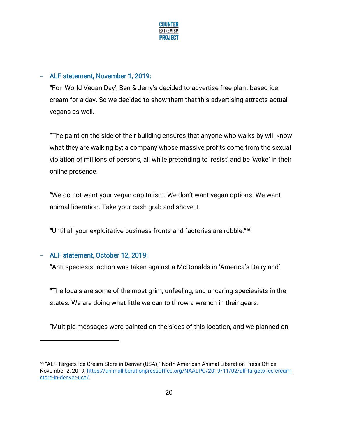

#### − ALF statement, November 1, 2019:

"For 'World Vegan Day', Ben & Jerry's decided to advertise free plant based ice cream for a day. So we decided to show them that this advertising attracts actual vegans as well.

"The paint on the side of their building ensures that anyone who walks by will know what they are walking by; a company whose massive profits come from the sexual violation of millions of persons, all while pretending to 'resist' and be 'woke' in their online presence.

"We do not want your vegan capitalism. We don't want vegan options. We want animal liberation. Take your cash grab and shove it.

"Until all your exploitative business fronts and factories are rubble."<sup>56</sup>

#### − ALF statement, October 12, 2019:

"Anti speciesist action was taken against a McDonalds in 'America's Dairyland'.

"The locals are some of the most grim, unfeeling, and uncaring speciesists in the states. We are doing what little we can to throw a wrench in their gears.

"Multiple messages were painted on the sides of this location, and we planned on

<sup>56</sup> "ALF Targets Ice Cream Store in Denver (USA)," North American Animal Liberation Press Office, November 2, 2019[, https://animalliberationpressoffice.org/NAALPO/2019/11/02/alf-targets-ice-cream](https://animalliberationpressoffice.org/NAALPO/2019/11/02/alf-targets-ice-cream-store-in-denver-usa/)[store-in-denver-usa/.](https://animalliberationpressoffice.org/NAALPO/2019/11/02/alf-targets-ice-cream-store-in-denver-usa/)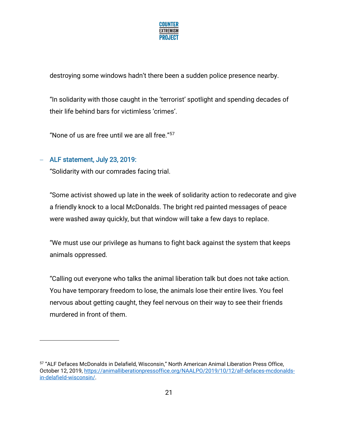

destroying some windows hadn't there been a sudden police presence nearby.

"In solidarity with those caught in the 'terrorist' spotlight and spending decades of their life behind bars for victimless 'crimes'.

"None of us are free until we are all free."<sup>57</sup>

#### − ALF statement, July 23, 2019:

"Solidarity with our comrades facing trial.

"Some activist showed up late in the week of solidarity action to redecorate and give a friendly knock to a local McDonalds. The bright red painted messages of peace were washed away quickly, but that window will take a few days to replace.

"We must use our privilege as humans to fight back against the system that keeps animals oppressed.

"Calling out everyone who talks the animal liberation talk but does not take action. You have temporary freedom to lose, the animals lose their entire lives. You feel nervous about getting caught, they feel nervous on their way to see their friends murdered in front of them.

<sup>57</sup> "ALF Defaces McDonalds in Delafield, Wisconsin," North American Animal Liberation Press Office, October 12, 2019, [https://animalliberationpressoffice.org/NAALPO/2019/10/12/alf-defaces-mcdonalds](https://animalliberationpressoffice.org/NAALPO/2019/10/12/alf-defaces-mcdonalds-in-delafield-wisconsin/)[in-delafield-wisconsin/.](https://animalliberationpressoffice.org/NAALPO/2019/10/12/alf-defaces-mcdonalds-in-delafield-wisconsin/)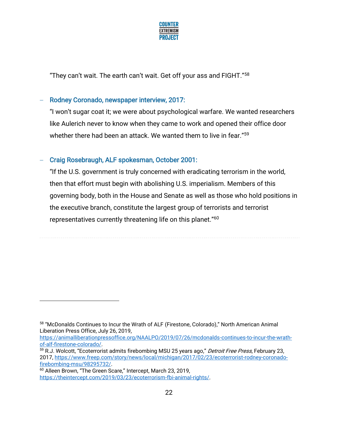

"They can't wait. The earth can't wait. Get off your ass and FIGHT."<sup>58</sup>

#### − Rodney Coronado, newspaper interview, 2017:

"I won't sugar coat it; we were about psychological warfare. We wanted researchers like Aulerich never to know when they came to work and opened their office door whether there had been an attack. We wanted them to live in fear."<sup>59</sup>

#### − Craig Rosebraugh, ALF spokesman, October 2001:

"If the U.S. government is truly concerned with eradicating terrorism in the world, then that effort must begin with abolishing U.S. imperialism. Members of this governing body, both in the House and Senate as well as those who hold positions in the executive branch, constitute the largest group of terrorists and terrorist representatives currently threatening life on this planet."<sup>60</sup>

[https://animalliberationpressoffice.org/NAALPO/2019/07/26/mcdonalds-continues-to-incur-the-wrath](https://animalliberationpressoffice.org/NAALPO/2019/07/26/mcdonalds-continues-to-incur-the-wrath-of-alf-firestone-colorado/)[of-alf-firestone-colorado/.](https://animalliberationpressoffice.org/NAALPO/2019/07/26/mcdonalds-continues-to-incur-the-wrath-of-alf-firestone-colorado/)

<sup>&</sup>lt;sup>58</sup> "McDonalds Continues to Incur the Wrath of ALF (Firestone, Colorado)," North American Animal Liberation Press Office, July 26, 2019,

<sup>&</sup>lt;sup>59</sup> R.J. Wolcott, "Ecoterrorist admits firebombing MSU 25 years ago," *Detroit Free Press*, February 23, 2017, [https://www.freep.com/story/news/local/michigan/2017/02/23/ecoterrorist-rodney-coronado](https://www.freep.com/story/news/local/michigan/2017/02/23/ecoterrorist-rodney-coronado-firebombing-msu/98295732/)[firebombing-msu/98295732/.](https://www.freep.com/story/news/local/michigan/2017/02/23/ecoterrorist-rodney-coronado-firebombing-msu/98295732/) 

<sup>60</sup> Alleen Brown, "The Green Scare," Intercept, March 23, 2019, [https://theintercept.com/2019/03/23/ecoterrorism-fbi-animal-rights/.](https://theintercept.com/2019/03/23/ecoterrorism-fbi-animal-rights/)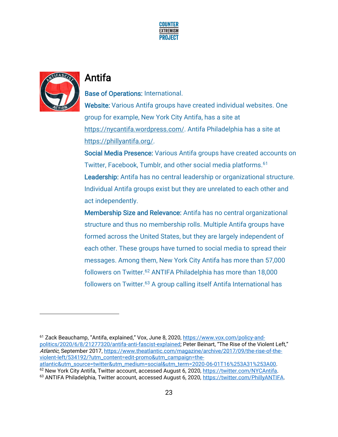



### Antifa

#### Base of Operations: International.

Website: Various Antifa groups have created individual websites. One group for example, New York City Antifa, has a site at [https://nycantifa.wordpress.com/.](https://nycantifa.wordpress.com/) Antifa Philadelphia has a site at [https://phillyantifa.org/.](https://phillyantifa.org/)

Social Media Presence: Various Antifa groups have created accounts on Twitter, Facebook, Tumblr, and other social media platforms.<sup>61</sup> Leadership: Antifa has no central leadership or organizational structure. Individual Antifa groups exist but they are unrelated to each other and act independently.

Membership Size and Relevance: Antifa has no central organizational structure and thus no membership rolls. Multiple Antifa groups have formed across the United States, but they are largely independent of each other. These groups have turned to social media to spread their messages. Among them, New York City Antifa has more than 57,000 followers on Twitter.<sup>62</sup> ANTIFA Philadelphia has more than 18,000 followers on Twitter.<sup>63</sup> A group calling itself Antifa International has

<sup>&</sup>lt;sup>61</sup> Zack Beauchamp, "Antifa, explained," Vox, June 8, 2020, [https://www.vox.com/policy-and](https://www.vox.com/policy-and-politics/2020/6/8/21277320/antifa-anti-fascist-explained)[politics/2020/6/8/21277320/antifa-anti-fascist-explained](https://www.vox.com/policy-and-politics/2020/6/8/21277320/antifa-anti-fascist-explained); Peter Beinart, "The Rise of the Violent Left," Atlantic, September 2017, [https://www.theatlantic.com/magazine/archive/2017/09/the-rise-of-the](https://www.theatlantic.com/magazine/archive/2017/09/the-rise-of-the-violent-left/534192/?utm_content=edit-promo&utm_campaign=the-atlantic&utm_source=twitter&utm_medium=social&utm_term=2020-06-01T16%253A31%253A00)[violent-left/534192/?utm\\_content=edit-promo&utm\\_campaign=the-](https://www.theatlantic.com/magazine/archive/2017/09/the-rise-of-the-violent-left/534192/?utm_content=edit-promo&utm_campaign=the-atlantic&utm_source=twitter&utm_medium=social&utm_term=2020-06-01T16%253A31%253A00)

[atlantic&utm\\_source=twitter&utm\\_medium=social&utm\\_term=2020-06-01T16%253A31%253A00.](https://www.theatlantic.com/magazine/archive/2017/09/the-rise-of-the-violent-left/534192/?utm_content=edit-promo&utm_campaign=the-atlantic&utm_source=twitter&utm_medium=social&utm_term=2020-06-01T16%253A31%253A00) <sup>62</sup> New York City Antifa, Twitter account, accessed August 6, 2020, [https://twitter.com/NYCAntifa.](https://twitter.com/NYCAntifa)

<sup>63</sup> ANTIFA Philadelphia, Twitter account, accessed August 6, 2020, https://twitter.com/PhillyANTIFA.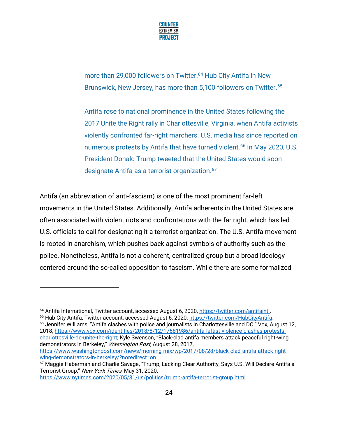

more than 29,000 followers on Twitter.<sup>64</sup> Hub City Antifa in New Brunswick, New Jersey, has more than 5,100 followers on Twitter.<sup>65</sup>

Antifa rose to national prominence in the United States following the 2017 Unite the Right rally in Charlottesville, Virginia, when Antifa activists violently confronted far-right marchers. U.S. media has since reported on numerous protests by Antifa that have turned violent.<sup>66</sup> In May 2020, U.S. President Donald Trump tweeted that the United States would soon designate Antifa as a terrorist organization.<sup>67</sup>

Antifa (an abbreviation of anti-fascism) is one of the most prominent far-left movements in the United States. Additionally, Antifa adherents in the United States are often associated with violent riots and confrontations with the far right, which has led U.S. officials to call for designating it a terrorist organization. The U.S. Antifa movement is rooted in anarchism, which pushes back against symbols of authority such as the police. Nonetheless, Antifa is not a coherent, centralized group but a broad ideology centered around the so-called opposition to fascism. While there are some formalized

<sup>64</sup> Antifa International, Twitter account, accessed August 6, 2020, [https://twitter.com/antifaintl.](https://twitter.com/antifaintl)

<sup>65</sup> Hub City Antifa, Twitter account, accessed August 6, 2020, https://twitter.com/HubCityAntifa. <sup>66</sup> Jennifer Williams, "Antifa clashes with police and journalists in Charlottesville and DC," Vox, August 12,

2018, [https://www.vox.com/identities/2018/8/12/17681986/antifa-leftist-violence-clashes-protests](https://www.vox.com/identities/2018/8/12/17681986/antifa-leftist-violence-clashes-protests-charlottesville-dc-unite-the-right)[charlottesville-dc-unite-the-right](https://www.vox.com/identities/2018/8/12/17681986/antifa-leftist-violence-clashes-protests-charlottesville-dc-unite-the-right); Kyle Swenson, "Black-clad antifa members attack peaceful right-wing demonstrators in Berkeley," Washington Post, August 28, 2017, [https://www.washingtonpost.com/news/morning-mix/wp/2017/08/28/black-clad-antifa-attack-right-](https://www.washingtonpost.com/news/morning-mix/wp/2017/08/28/black-clad-antifa-attack-right-wing-demonstrators-in-berkeley/?noredirect=on)

[wing-demonstrators-in-berkeley/?noredirect=on.](https://www.washingtonpost.com/news/morning-mix/wp/2017/08/28/black-clad-antifa-attack-right-wing-demonstrators-in-berkeley/?noredirect=on)

[https://www.nytimes.com/2020/05/31/us/politics/trump-antifa-terrorist-group.html.](https://www.nytimes.com/2020/05/31/us/politics/trump-antifa-terrorist-group.html)

<sup>67</sup> Maggie Haberman and Charlie Savage, "Trump, Lacking Clear Authority, Says U.S. Will Declare Antifa a Terrorist Group," New York Times, May 31, 2020,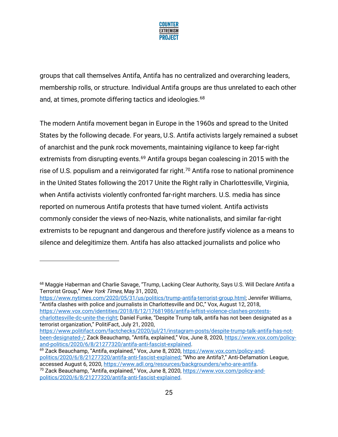

groups that call themselves Antifa, Antifa has no centralized and overarching leaders, membership rolls, or structure. Individual Antifa groups are thus unrelated to each other and, at times, promote differing tactics and ideologies.<sup>68</sup>

The modern Antifa movement began in Europe in the 1960s and spread to the United States by the following decade. For years, U.S. Antifa activists largely remained a subset of anarchist and the punk rock movements, maintaining vigilance to keep far-right extremists from disrupting events.<sup>69</sup> Antifa groups began coalescing in 2015 with the rise of U.S. populism and a reinvigorated far right.<sup>70</sup> Antifa rose to national prominence in the United States following the 2017 Unite the Right rally in Charlottesville, Virginia, when Antifa activists violently confronted far-right marchers. U.S. media has since reported on numerous Antifa protests that have turned violent. Antifa activists commonly consider the views of neo-Nazis, white nationalists, and similar far-right extremists to be repugnant and dangerous and therefore justify violence as a means to silence and delegitimize them. Antifa has also attacked journalists and police who

[https://www.nytimes.com/2020/05/31/us/politics/trump-antifa-terrorist-group.html;](https://www.nytimes.com/2020/05/31/us/politics/trump-antifa-terrorist-group.html) Jennifer Williams, "Antifa clashes with police and journalists in Charlottesville and DC," Vox, August 12, 2018,

[https://www.vox.com/identities/2018/8/12/17681986/antifa-leftist-violence-clashes-protests-](https://www.vox.com/identities/2018/8/12/17681986/antifa-leftist-violence-clashes-protests-charlottesville-dc-unite-the-right)

[charlottesville-dc-unite-the-right](https://www.vox.com/identities/2018/8/12/17681986/antifa-leftist-violence-clashes-protests-charlottesville-dc-unite-the-right); Daniel Funke, "Despite Trump talk, antifa has not been designated as a terrorist organization," PolitiFact, July 21, 2020,

<sup>69</sup> Zack Beauchamp, "Antifa, explained," Vox, June 8, 2020, [https://www.vox.com/policy-and](https://www.vox.com/policy-and-politics/2020/6/8/21277320/antifa-anti-fascist-explained)[politics/2020/6/8/21277320/antifa-anti-fascist-explained](https://www.vox.com/policy-and-politics/2020/6/8/21277320/antifa-anti-fascist-explained); "Who are Antifa?," Anti-Defamation League, accessed August 6, 2020, [https://www.adl.org/resources/backgrounders/who-are-antifa.](https://www.adl.org/resources/backgrounders/who-are-antifa)

<sup>&</sup>lt;sup>68</sup> Maggie Haberman and Charlie Savage, "Trump, Lacking Clear Authority, Says U.S. Will Declare Antifa a Terrorist Group," New York Times, May 31, 2020,

[https://www.politifact.com/factchecks/2020/jul/21/instagram-posts/despite-trump-talk-antifa-has-not](https://www.politifact.com/factchecks/2020/jul/21/instagram-posts/despite-trump-talk-antifa-has-not-been-designated-/)[been-designated-/;](https://www.politifact.com/factchecks/2020/jul/21/instagram-posts/despite-trump-talk-antifa-has-not-been-designated-/) Zack Beauchamp, "Antifa, explained," Vox, June 8, 2020, [https://www.vox.com/policy](https://www.vox.com/policy-and-politics/2020/6/8/21277320/antifa-anti-fascist-explained)[and-politics/2020/6/8/21277320/antifa-anti-fascist-explained.](https://www.vox.com/policy-and-politics/2020/6/8/21277320/antifa-anti-fascist-explained) 

<sup>&</sup>lt;sup>70</sup> Zack Beauchamp, "Antifa, explained," Vox, June 8, 2020, [https://www.vox.com/policy-and](https://www.vox.com/policy-and-politics/2020/6/8/21277320/antifa-anti-fascist-explained)[politics/2020/6/8/21277320/antifa-anti-fascist-explained.](https://www.vox.com/policy-and-politics/2020/6/8/21277320/antifa-anti-fascist-explained)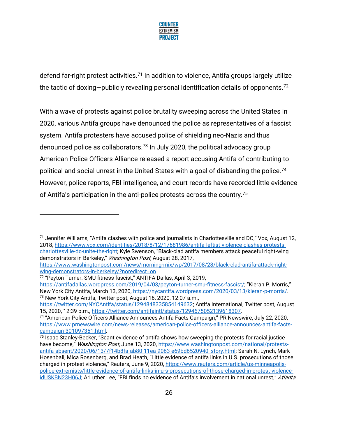

defend far-right protest activities.<sup>71</sup> In addition to violence, Antifa groups largely utilize the tactic of doxing—publicly revealing personal identification details of opponents.<sup>72</sup>

With a wave of protests against police brutality sweeping across the United States in 2020, various Antifa groups have denounced the police as representatives of a fascist system. Antifa protesters have accused police of shielding neo-Nazis and thus denounced police as collaborators.<sup>73</sup> In July 2020, the political advocacy group American Police Officers Alliance released a report accusing Antifa of contributing to political and social unrest in the United States with a goal of disbanding the police.<sup>74</sup> However, police reports, FBI intelligence, and court records have recorded little evidence of Antifa's participation in the anti-police protests across the country.<sup>75</sup>

<sup>71</sup> Jennifer Williams, "Antifa clashes with police and journalists in Charlottesville and DC," Vox, August 12, 2018, [https://www.vox.com/identities/2018/8/12/17681986/antifa-leftist-violence-clashes-protests](https://www.vox.com/identities/2018/8/12/17681986/antifa-leftist-violence-clashes-protests-charlottesville-dc-unite-the-right)[charlottesville-dc-unite-the-right](https://www.vox.com/identities/2018/8/12/17681986/antifa-leftist-violence-clashes-protests-charlottesville-dc-unite-the-right); Kyle Swenson, "Black-clad antifa members attack peaceful right-wing demonstrators in Berkeley," *Washington Post*, August 28, 2017,

[https://www.washingtonpost.com/news/morning-mix/wp/2017/08/28/black-clad-antifa-attack-right](https://www.washingtonpost.com/news/morning-mix/wp/2017/08/28/black-clad-antifa-attack-right-wing-demonstrators-in-berkeley/?noredirect=on)[wing-demonstrators-in-berkeley/?noredirect=on.](https://www.washingtonpost.com/news/morning-mix/wp/2017/08/28/black-clad-antifa-attack-right-wing-demonstrators-in-berkeley/?noredirect=on)

<sup>72</sup> "Peyton Turner: SMU fitness fascist," ANTIFA Dallas, April 3, 2019,

<https://antifadallas.wordpress.com/2019/04/03/peyton-turner-smu-fitness-fascist/>: "Kieran P. Morris." New York City Antifa, March 13, 2020, [https://nycantifa.wordpress.com/2020/03/13/kieran-p-morris/.](https://nycantifa.wordpress.com/2020/03/13/kieran-p-morris/) <sup>73</sup> New York City Antifa, Twitter post, August 16, 2020, 12:07 a.m.,

[https://twitter.com/NYCAntifa/status/1294848335854149632;](https://twitter.com/NYCAntifa/status/1294848335854149632) Antifa International, Twitter post, August 15, 2020, 12:39 p.m., [https://twitter.com/antifaintl/status/1294675052139618307.](https://twitter.com/antifaintl/status/1294675052139618307)

<sup>74</sup> "American Police Officers Alliance Announces Antifa Facts Campaign," PR Newswire, July 22, 2020, [https://www.prnewswire.com/news-releases/american-police-officers-alliance-announces-antifa-facts](https://www.prnewswire.com/news-releases/american-police-officers-alliance-announces-antifa-facts-campaign-301097351.html)[campaign-301097351.html.](https://www.prnewswire.com/news-releases/american-police-officers-alliance-announces-antifa-facts-campaign-301097351.html)

<sup>&</sup>lt;sup>75</sup> Isaac Stanley-Becker, "Scant evidence of antifa shows how sweeping the protests for racial justice have become," Washington Post, June 13, 2020, [https://www.washingtonpost.com/national/protests](https://www.washingtonpost.com/national/protests-antifa-absent/2020/06/13/7f14b8fa-ab80-11ea-9063-e69bd6520940_story.html)[antifa-absent/2020/06/13/7f14b8fa-ab80-11ea-9063-e69bd6520940\\_story.html;](https://www.washingtonpost.com/national/protests-antifa-absent/2020/06/13/7f14b8fa-ab80-11ea-9063-e69bd6520940_story.html) Sarah N. Lynch, Mark Hosenball, Mica Rosenberg, and Brad Heath, "Little evidence of antifa links in U.S. prosecutions of those charged in protest violence," Reuters, June 9, 2020, [https://www.reuters.com/article/us-minneapolis](https://www.reuters.com/article/us-minneapolis-police-extremists/little-evidence-of-antifa-links-in-u-s-prosecutions-of-those-charged-in-protest-violence-idUSKBN23H06J)[police-extremists/little-evidence-of-antifa-links-in-u-s-prosecutions-of-those-charged-in-protest-violence](https://www.reuters.com/article/us-minneapolis-police-extremists/little-evidence-of-antifa-links-in-u-s-prosecutions-of-those-charged-in-protest-violence-idUSKBN23H06J)[idUSKBN23H06J;](https://www.reuters.com/article/us-minneapolis-police-extremists/little-evidence-of-antifa-links-in-u-s-prosecutions-of-those-charged-in-protest-violence-idUSKBN23H06J) ArLuther Lee, "FBI finds no evidence of Antifa's involvement in national unrest," Atlanta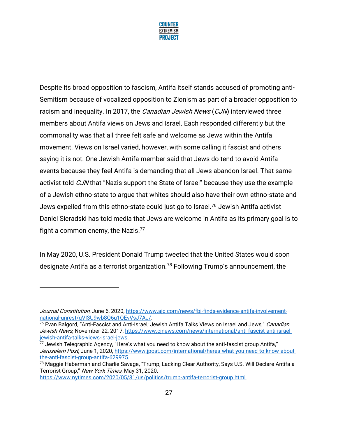

Despite its broad opposition to fascism, Antifa itself stands accused of promoting anti-Semitism because of vocalized opposition to Zionism as part of a broader opposition to racism and inequality. In 2017, the *Canadian Jewish News* (CJN) interviewed three members about Antifa views on Jews and Israel. Each responded differently but the commonality was that all three felt safe and welcome as Jews within the Antifa movement. Views on Israel varied, however, with some calling it fascist and others saying it is not. One Jewish Antifa member said that Jews do tend to avoid Antifa events because they feel Antifa is demanding that all Jews abandon Israel. That same activist told *CJN* that "Nazis support the State of Israel" because they use the example of a Jewish ethno-state to argue that whites should also have their own ethno-state and Jews expelled from this ethno-state could just go to Israel.<sup>76</sup> Jewish Antifa activist Daniel Sieradski has told media that Jews are welcome in Antifa as its primary goal is to fight a common enemy, the Nazis. $77$ 

In May 2020, U.S. President Donald Trump tweeted that the United States would soon designate Antifa as a terrorist organization.<sup>78</sup> Following Trump's announcement, the

Journal Constitution, June 6, 2020, [https://www.ajc.com/news/fbi-finds-evidence-antifa-involvement](https://www.ajc.com/news/fbi-finds-evidence-antifa-involvement-national-unrest/qVI3U9wb8Q6u1QEvVsJ7AJ/)[national-unrest/qVI3U9wb8Q6u1QEvVsJ7AJ/.](https://www.ajc.com/news/fbi-finds-evidence-antifa-involvement-national-unrest/qVI3U9wb8Q6u1QEvVsJ7AJ/)

<sup>&</sup>lt;sup>76</sup> Evan Balgord, "Anti-Fascist and Anti-Israel; Jewish Antifa Talks Views on Israel and Jews," *Canadian* Jewish News, November 22, 2017[, https://www.cjnews.com/news/international/anti-fascist-anti-israel](https://www.cjnews.com/news/international/anti-fascist-anti-israel-jewish-antifa-talks-views-israel-jews)[jewish-antifa-talks-views-israel-jews.](https://www.cjnews.com/news/international/anti-fascist-anti-israel-jewish-antifa-talks-views-israel-jews)

 $77$  Jewish Telegraphic Agency, "Here's what you need to know about the anti-fascist group Antifa," Jerusalem Post, June 1, 2020[, https://www.jpost.com/international/heres-what-you-need-to-know-about](https://www.jpost.com/international/heres-what-you-need-to-know-about-the-anti-fascist-group-antifa-629975)[the-anti-fascist-group-antifa-629975.](https://www.jpost.com/international/heres-what-you-need-to-know-about-the-anti-fascist-group-antifa-629975)

<sup>&</sup>lt;sup>78</sup> Maggie Haberman and Charlie Savage, "Trump, Lacking Clear Authority, Says U.S. Will Declare Antifa a Terrorist Group," New York Times, May 31, 2020,

[https://www.nytimes.com/2020/05/31/us/politics/trump-antifa-terrorist-group.html.](https://www.nytimes.com/2020/05/31/us/politics/trump-antifa-terrorist-group.html)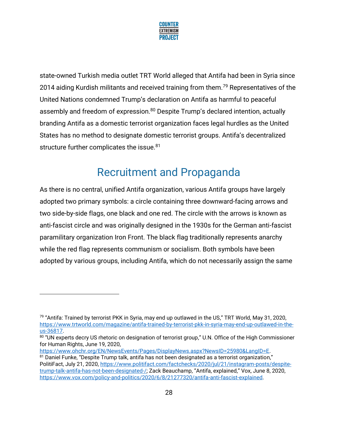

state-owned Turkish media outlet TRT World alleged that Antifa had been in Syria since 2014 aiding Kurdish militants and received training from them.<sup>79</sup> Representatives of the United Nations condemned Trump's declaration on Antifa as harmful to peaceful assembly and freedom of expression.<sup>80</sup> Despite Trump's declared intention, actually branding Antifa as a domestic terrorist organization faces legal hurdles as the United States has no method to designate domestic terrorist groups. Antifa's decentralized structure further complicates the issue.<sup>81</sup>

### Recruitment and Propaganda

As there is no central, unified Antifa organization, various Antifa groups have largely adopted two primary symbols: a circle containing three downward-facing arrows and two side-by-side flags, one black and one red. The circle with the arrows is known as anti-fascist circle and was originally designed in the 1930s for the German anti-fascist paramilitary organization Iron Front. The black flag traditionally represents anarchy while the red flag represents communism or socialism. Both symbols have been adopted by various groups, including Antifa, which do not necessarily assign the same

[https://www.ohchr.org/EN/NewsEvents/Pages/DisplayNews.aspx?NewsID=25980&LangID=E.](https://www.ohchr.org/EN/NewsEvents/Pages/DisplayNews.aspx?NewsID=25980&LangID=E)

<sup>&</sup>lt;sup>79</sup> "Antifa: Trained by terrorist PKK in Syria, may end up outlawed in the US," TRT World, May 31, 2020, [https://www.trtworld.com/magazine/antifa-trained-by-terrorist-pkk-in-syria-may-end-up-outlawed-in-the](https://www.trtworld.com/magazine/antifa-trained-by-terrorist-pkk-in-syria-may-end-up-outlawed-in-the-us-36817)[us-36817.](https://www.trtworld.com/magazine/antifa-trained-by-terrorist-pkk-in-syria-may-end-up-outlawed-in-the-us-36817)

 $^{80}$  "UN experts decry US rhetoric on designation of terrorist group," U.N. Office of the High Commissioner for Human Rights, June 19, 2020,

<sup>&</sup>lt;sup>81</sup> Daniel Funke, "Despite Trump talk, antifa has not been designated as a terrorist organization," PolitiFact, July 21, 2020, [https://www.politifact.com/factchecks/2020/jul/21/instagram-posts/despite](https://www.politifact.com/factchecks/2020/jul/21/instagram-posts/despite-trump-talk-antifa-has-not-been-designated-/)[trump-talk-antifa-has-not-been-designated-/;](https://www.politifact.com/factchecks/2020/jul/21/instagram-posts/despite-trump-talk-antifa-has-not-been-designated-/) Zack Beauchamp, "Antifa, explained," Vox, June 8, 2020, [https://www.vox.com/policy-and-politics/2020/6/8/21277320/antifa-anti-fascist-explained.](https://www.vox.com/policy-and-politics/2020/6/8/21277320/antifa-anti-fascist-explained)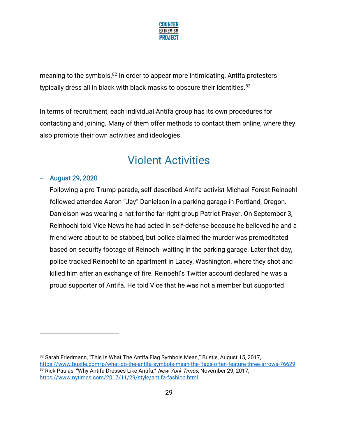

meaning to the symbols.<sup>82</sup> In order to appear more intimidating, Antifa protesters typically dress all in black with black masks to obscure their identities.<sup>83</sup>

In terms of recruitment, each individual Antifa group has its own procedures for contacting and joining. Many of them offer methods to contact them online, where they also promote their own activities and ideologies.

### Violent Activities

#### − August 29, 2020

Following a pro-Trump parade, self-described Antifa activist Michael Forest Reinoehl followed attendee Aaron "Jay" Danielson in a parking garage in Portland, Oregon. Danielson was wearing a hat for the far-right group Patriot Prayer. On September 3, Reinhoehl told Vice News he had acted in self-defense because he believed he and a friend were about to be stabbed, but police claimed the murder was premeditated based on security footage of Reinoehl waiting in the parking garage. Later that day, police tracked Reinoehl to an apartment in Lacey, Washington, where they shot and killed him after an exchange of fire. Reinoehl's Twitter account declared he was a proud supporter of Antifa. He told Vice that he was not a member but supported

<sup>82</sup> Sarah Friedmann, "This Is What The Antifa Flag Symbols Mean," Bustle, August 15, 2017, [https://www.bustle.com/p/what-do-the-antifa-symbols-mean-the-flags-often-feature-three-arrows-76629.](https://www.bustle.com/p/what-do-the-antifa-symbols-mean-the-flags-often-feature-three-arrows-76629)  83 Rick Paulas, "Why Antifa Dresses Like Antifa," New York Times, November 29, 2017, [https://www.nytimes.com/2017/11/29/style/antifa-fashion.html.](https://www.nytimes.com/2017/11/29/style/antifa-fashion.html)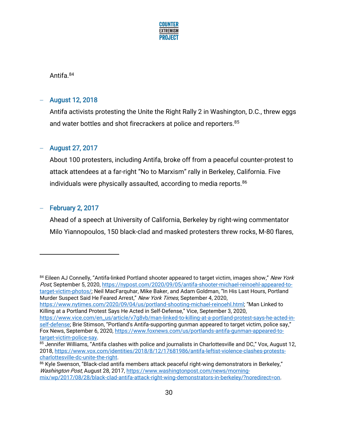

Antifa.<sup>84</sup>

#### − August 12, 2018

Antifa activists protesting the Unite the Right Rally 2 in Washington, D.C., threw eggs and water bottles and shot firecrackers at police and reporters.<sup>85</sup>

#### − August 27, 2017

About 100 protesters, including Antifa, broke off from a peaceful counter-protest to attack attendees at a far-right "No to Marxism" rally in Berkeley, California. Five individuals were physically assaulted, according to media reports.<sup>86</sup>

#### − February 2, 2017

Ahead of a speech at University of California, Berkeley by right-wing commentator Milo Yiannopoulos, 150 black-clad and masked protesters threw rocks, M-80 flares,

<https://www.nytimes.com/2020/09/04/us/portland-shooting-michael-reinoehl.html>; "Man Linked to Killing at a Portland Protest Says He Acted in Self-Defense," Vice, September 3, 2020,

<sup>&</sup>lt;sup>84</sup> Eileen AJ Connelly, "Antifa-linked Portland shooter appeared to target victim, images show," New York Post, September 5, 2020, [https://nypost.com/2020/09/05/antifa-shooter-michael-reinoehl-appeared-to](https://nypost.com/2020/09/05/antifa-shooter-michael-reinoehl-appeared-to-target-victim-photos/)[target-victim-photos/;](https://nypost.com/2020/09/05/antifa-shooter-michael-reinoehl-appeared-to-target-victim-photos/) Neil MacFarquhar, Mike Baker, and Adam Goldman, "In His Last Hours, Portland Murder Suspect Said He Feared Arrest," New York Times, September 4, 2020,

[https://www.vice.com/en\\_us/article/v7g8vb/man-linked-to-killing-at-a-portland-protest-says-he-acted-in](https://www.vice.com/en_us/article/v7g8vb/man-linked-to-killing-at-a-portland-protest-says-he-acted-in-self-defense)[self-defense](https://www.vice.com/en_us/article/v7g8vb/man-linked-to-killing-at-a-portland-protest-says-he-acted-in-self-defense); Brie Stimson, "Portland's Antifa-supporting gunman appeared to target victim, police say," Fox News, September 6, 2020, [https://www.foxnews.com/us/portlands-antifa-gunman-appeared-to](https://www.foxnews.com/us/portlands-antifa-gunman-appeared-to-target-victim-police-say)[target-victim-police-say.](https://www.foxnews.com/us/portlands-antifa-gunman-appeared-to-target-victim-police-say)

<sup>85</sup> Jennifer Williams, "Antifa clashes with police and journalists in Charlottesville and DC," Vox, August 12, 2018, [https://www.vox.com/identities/2018/8/12/17681986/antifa-leftist-violence-clashes-protests](https://www.vox.com/identities/2018/8/12/17681986/antifa-leftist-violence-clashes-protests-charlottesville-dc-unite-the-right)[charlottesville-dc-unite-the-right.](https://www.vox.com/identities/2018/8/12/17681986/antifa-leftist-violence-clashes-protests-charlottesville-dc-unite-the-right)

<sup>86</sup> Kyle Swenson, "Black-clad antifa members attack peaceful right-wing demonstrators in Berkeley," Washington Post, August 28, 2017, [https://www.washingtonpost.com/news/morning](https://www.washingtonpost.com/news/morning-mix/wp/2017/08/28/black-clad-antifa-attack-right-wing-demonstrators-in-berkeley/?noredirect=on)[mix/wp/2017/08/28/black-clad-antifa-attack-right-wing-demonstrators-in-berkeley/?noredirect=on.](https://www.washingtonpost.com/news/morning-mix/wp/2017/08/28/black-clad-antifa-attack-right-wing-demonstrators-in-berkeley/?noredirect=on)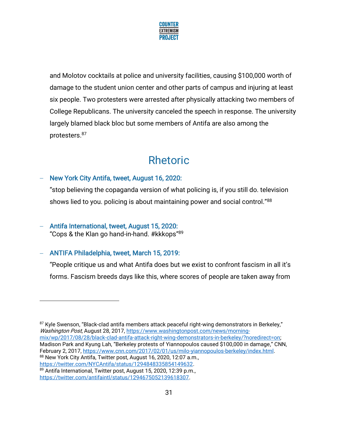

and Molotov cocktails at police and university facilities, causing \$100,000 worth of damage to the student union center and other parts of campus and injuring at least six people. Two protesters were arrested after physically attacking two members of College Republicans. The university canceled the speech in response. The university largely blamed black bloc but some members of Antifa are also among the protesters.<sup>87</sup>

### Rhetoric

#### − New York City Antifa, tweet, August 16, 2020:

"stop believing the copaganda version of what policing is, if you still do. television shows lied to you, policing is about maintaining power and social control."<sup>88</sup>

− Antifa International, tweet, August 15, 2020: "Cops & the Klan go hand-in-hand. #kkkops"<sup>89</sup>

#### − ANTIFA Philadelphia, tweet, March 15, 2019:

"People critique us and what Antifa does but we exist to confront fascism in all it's forms. Fascism breeds days like this, where scores of people are taken away from

<sup>87</sup> Kyle Swenson, "Black-clad antifa members attack peaceful right-wing demonstrators in Berkeley," Washington Post, August 28, 2017, [https://www.washingtonpost.com/news/morning](https://www.washingtonpost.com/news/morning-mix/wp/2017/08/28/black-clad-antifa-attack-right-wing-demonstrators-in-berkeley/?noredirect=on)[mix/wp/2017/08/28/black-clad-antifa-attack-right-wing-demonstrators-in-berkeley/?noredirect=on;](https://www.washingtonpost.com/news/morning-mix/wp/2017/08/28/black-clad-antifa-attack-right-wing-demonstrators-in-berkeley/?noredirect=on)  Madison Park and Kyung Lah, "Berkeley protests of Yiannopoulos caused \$100,000 in damage," CNN, February 2, 2017, [https://www.cnn.com/2017/02/01/us/milo-yiannopoulos-berkeley/index.html.](https://www.cnn.com/2017/02/01/us/milo-yiannopoulos-berkeley/index.html) 88 New York City Antifa, Twitter post, August 16, 2020, 12:07 a.m., [https://twitter.com/NYCAntifa/status/1294848335854149632.](https://twitter.com/NYCAntifa/status/1294848335854149632)

<sup>89</sup> Antifa International, Twitter post, August 15, 2020, 12:39 p.m., [https://twitter.com/antifaintl/status/1294675052139618307.](https://twitter.com/antifaintl/status/1294675052139618307)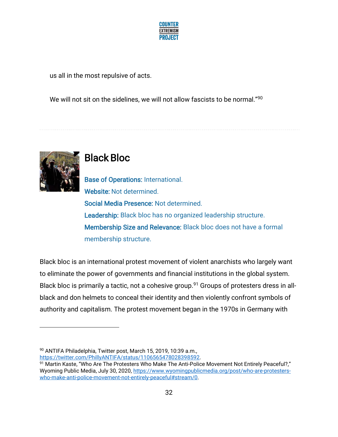

us all in the most repulsive of acts.

We will not sit on the sidelines, we will not allow fascists to be normal."<sup>90</sup>



### Black Bloc

Base of Operations: International. Website: Not determined. Social Media Presence: Not determined. Leadership: Black bloc has no organized leadership structure. Membership Size and Relevance: Black bloc does not have a formal membership structure.

Black bloc is an international protest movement of violent anarchists who largely want to eliminate the power of governments and financial institutions in the global system. Black bloc is primarily a tactic, not a cohesive group.<sup>91</sup> Groups of protesters dress in allblack and don helmets to conceal their identity and then violently confront symbols of authority and capitalism. The protest movement began in the 1970s in Germany with

90 ANTIFA Philadelphia, Twitter post, March 15, 2019, 10:39 a.m., [https://twitter.com/PhillyANTIFA/status/1106565478028398592.](https://twitter.com/PhillyANTIFA/status/1106565478028398592)

91 Martin Kaste, "Who Are The Protesters Who Make The Anti-Police Movement Not Entirely Peaceful?," Wyoming Public Media, July 30, 2020, [https://www.wyomingpublicmedia.org/post/who-are-protesters](https://www.wyomingpublicmedia.org/post/who-are-protesters-who-make-anti-police-movement-not-entirely-peaceful#stream/0)[who-make-anti-police-movement-not-entirely-peaceful#stream/0.](https://www.wyomingpublicmedia.org/post/who-are-protesters-who-make-anti-police-movement-not-entirely-peaceful#stream/0)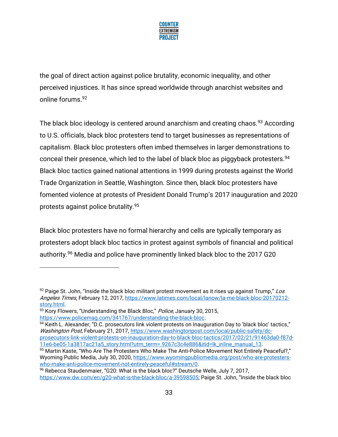

the goal of direct action against police brutality, economic inequality, and other perceived injustices. It has since spread worldwide through anarchist websites and online forums.<sup>92</sup>

The black bloc ideology is centered around anarchism and creating chaos.<sup>93</sup> According to U.S. officials, black bloc protesters tend to target businesses as representations of capitalism. Black bloc protesters often imbed themselves in larger demonstrations to conceal their presence, which led to the label of black bloc as piggyback protesters.<sup>94</sup> Black bloc tactics gained national attentions in 1999 during protests against the World Trade Organization in Seattle, Washington. Since then, black bloc protesters have fomented violence at protests of President Donald Trump's 2017 inauguration and 2020 protests against police brutality.<sup>95</sup>

Black bloc protesters have no formal hierarchy and cells are typically temporary as protesters adopt black bloc tactics in protest against symbols of financial and political authority.<sup>96</sup> Media and police have prominently linked black bloc to the 2017 G20

 $92$  Paige St. John, "Inside the black bloc militant protest movement as it rises up against Trump," Los Angeles Times, February 12, 2017, [https://www.latimes.com/local/lanow/la-me-black-bloc-20170212](https://www.latimes.com/local/lanow/la-me-black-bloc-20170212-story.html) [story.html.](https://www.latimes.com/local/lanow/la-me-black-bloc-20170212-story.html)

<sup>93</sup> Kory Flowers, "Understanding the Black Bloc," Police, January 30, 2015,

[https://www.policemag.com/341767/understanding-the-black-bloc.](https://www.policemag.com/341767/understanding-the-black-bloc)

<sup>94</sup> Keith L. Alexander, "D.C. prosecutors link violent protests on Inauguration Day to 'black bloc' tactics," Washington Post, February 21, 2017, [https://www.washingtonpost.com/local/public-safety/dc](https://www.washingtonpost.com/local/public-safety/dc-prosecutors-link-violent-protests-on-inauguration-day-to-black-bloc-tactics/2017/02/21/91463da0-f87d-11e6-be05-1a3817ac21a5_story.html?utm_term=.9267c3c4e886&itid=lk_inline_manual_13)[prosecutors-link-violent-protests-on-inauguration-day-to-black-bloc-tactics/2017/02/21/91463da0-f87d-](https://www.washingtonpost.com/local/public-safety/dc-prosecutors-link-violent-protests-on-inauguration-day-to-black-bloc-tactics/2017/02/21/91463da0-f87d-11e6-be05-1a3817ac21a5_story.html?utm_term=.9267c3c4e886&itid=lk_inline_manual_13)[11e6-be05-1a3817ac21a5\\_story.html?utm\\_term=.9267c3c4e886&itid=lk\\_inline\\_manual\\_13.](https://www.washingtonpost.com/local/public-safety/dc-prosecutors-link-violent-protests-on-inauguration-day-to-black-bloc-tactics/2017/02/21/91463da0-f87d-11e6-be05-1a3817ac21a5_story.html?utm_term=.9267c3c4e886&itid=lk_inline_manual_13) 

<sup>95</sup> Martin Kaste, "Who Are The Protesters Who Make The Anti-Police Movement Not Entirely Peaceful?," Wyoming Public Media, July 30, 2020, [https://www.wyomingpublicmedia.org/post/who-are-protesters](https://www.wyomingpublicmedia.org/post/who-are-protesters-who-make-anti-police-movement-not-entirely-peaceful#stream/0)[who-make-anti-police-movement-not-entirely-peaceful#stream/0.](https://www.wyomingpublicmedia.org/post/who-are-protesters-who-make-anti-police-movement-not-entirely-peaceful#stream/0)

<sup>96</sup> Rebecca Staudenmaier, "G20: What is the black bloc?" Deutsche Welle, July 7, 2017, [https://www.dw.com/en/g20-what-is-the-black-bloc/a-39598505;](https://www.dw.com/en/g20-what-is-the-black-bloc/a-39598505) Paige St. John, "Inside the black bloc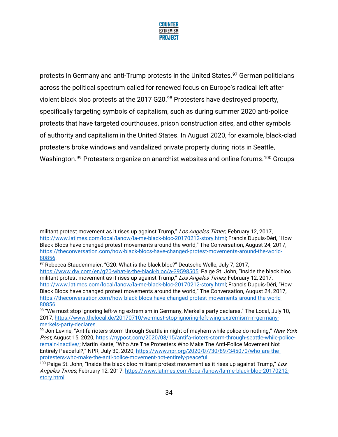

protests in Germany and anti-Trump protests in the United States.<sup>97</sup> German politicians across the political spectrum called for renewed focus on Europe's radical left after violent black bloc protests at the 2017 G20.<sup>98</sup> Protesters have destroyed property, specifically targeting symbols of capitalism, such as during summer 2020 anti-police protests that have targeted courthouses, prison construction sites, and other symbols of authority and capitalism in the United States. In August 2020, for example, black-clad protesters broke windows and vandalized private property during riots in Seattle, Washington.<sup>99</sup> Protesters organize on anarchist websites and online forums.<sup>100</sup> Groups

militant protest movement as it rises up against Trump," Los Angeles Times, February 12, 2017, [http://www.latimes.com/local/lanow/la-me-black-bloc-20170212-story.html;](http://www.latimes.com/local/lanow/la-me-black-bloc-20170212-story.html) Francis Dupuis-Déri, "How Black Blocs have changed protest movements around the world," The Conversation, August 24, 2017, [https://theconversation.com/how-black-blocs-have-changed-protest-movements-around-the-world-](https://theconversation.com/how-black-blocs-have-changed-protest-movements-around-the-world-80856)[80856.](https://theconversation.com/how-black-blocs-have-changed-protest-movements-around-the-world-80856)

<sup>97</sup> Rebecca Staudenmaier, "G20: What is the black bloc?" Deutsche Welle, July 7, 2017, <https://www.dw.com/en/g20-what-is-the-black-bloc/a-39598505>; Paige St. John, "Inside the black bloc militant protest movement as it rises up against Trump," Los Angeles Times, February 12, 2017, [http://www.latimes.com/local/lanow/la-me-black-bloc-20170212-story.html;](http://www.latimes.com/local/lanow/la-me-black-bloc-20170212-story.html) Francis Dupuis-Déri, "How Black Blocs have changed protest movements around the world," The Conversation, August 24, 2017, [https://theconversation.com/how-black-blocs-have-changed-protest-movements-around-the-world-](https://theconversation.com/how-black-blocs-have-changed-protest-movements-around-the-world-80856)[80856.](https://theconversation.com/how-black-blocs-have-changed-protest-movements-around-the-world-80856)

 $^{98}$  "We must stop ignoring left-wing extremism in Germany, Merkel's party declares," The Local, July 10, 2017, [https://www.thelocal.de/20170710/we-must-stop-ignoring-left-wing-extremism-in-germany](https://www.thelocal.de/20170710/we-must-stop-ignoring-left-wing-extremism-in-germany-merkels-party-declares)[merkels-party-declares.](https://www.thelocal.de/20170710/we-must-stop-ignoring-left-wing-extremism-in-germany-merkels-party-declares) 

<sup>99</sup> Jon Levine, "Antifa rioters storm through Seattle in night of mayhem while police do nothing," New York Post, August 15, 2020[, https://nypost.com/2020/08/15/antifa-rioters-storm-through-seattle-while-police](https://nypost.com/2020/08/15/antifa-rioters-storm-through-seattle-while-police-remain-inactive/)[remain-inactive/](https://nypost.com/2020/08/15/antifa-rioters-storm-through-seattle-while-police-remain-inactive/); Martin Kaste, "Who Are The Protesters Who Make The Anti-Police Movement Not Entirely Peaceful?," NPR, July 30, 2020, [https://www.npr.org/2020/07/30/897345070/who-are-the](https://www.npr.org/2020/07/30/897345070/who-are-the-protesters-who-make-the-anti-police-movement-not-entirely-peaceful)[protesters-who-make-the-anti-police-movement-not-entirely-peaceful.](https://www.npr.org/2020/07/30/897345070/who-are-the-protesters-who-make-the-anti-police-movement-not-entirely-peaceful)

 $100$  Paige St. John, "Inside the black bloc militant protest movement as it rises up against Trump," Los Angeles Times, February 12, 2017, [https://www.latimes.com/local/lanow/la-me-black-bloc-20170212](https://www.latimes.com/local/lanow/la-me-black-bloc-20170212-story.html) [story.html.](https://www.latimes.com/local/lanow/la-me-black-bloc-20170212-story.html)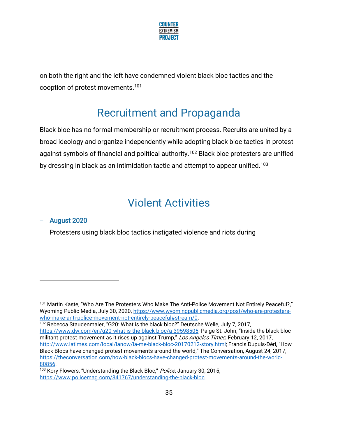

on both the right and the left have condemned violent black bloc tactics and the cooption of protest movements.<sup>101</sup>

### Recruitment and Propaganda

Black bloc has no formal membership or recruitment process. Recruits are united by a broad ideology and organize independently while adopting black bloc tactics in protest against symbols of financial and political authority.<sup>102</sup> Black bloc protesters are unified by dressing in black as an intimidation tactic and attempt to appear unified.<sup>103</sup>

### Violent Activities

#### − August 2020

Protesters using black bloc tactics instigated violence and riots during

<sup>102</sup> Rebecca Staudenmaier, "G20: What is the black bloc?" Deutsche Welle, July 7, 2017, <https://www.dw.com/en/g20-what-is-the-black-bloc/a-39598505>; Paige St. John, "Inside the black bloc militant protest movement as it rises up against Trump," Los Angeles Times, February 12, 2017, [http://www.latimes.com/local/lanow/la-me-black-bloc-20170212-story.html;](http://www.latimes.com/local/lanow/la-me-black-bloc-20170212-story.html) Francis Dupuis-Déri, "How Black Blocs have changed protest movements around the world," The Conversation, August 24, 2017, [https://theconversation.com/how-black-blocs-have-changed-protest-movements-around-the-world-](https://theconversation.com/how-black-blocs-have-changed-protest-movements-around-the-world-80856)

<sup>101</sup> Martin Kaste, "Who Are The Protesters Who Make The Anti-Police Movement Not Entirely Peaceful?," Wyoming Public Media, July 30, 2020, [https://www.wyomingpublicmedia.org/post/who-are-protesters](https://www.wyomingpublicmedia.org/post/who-are-protesters-who-make-anti-police-movement-not-entirely-peaceful#stream/0)[who-make-anti-police-movement-not-entirely-peaceful#stream/0.](https://www.wyomingpublicmedia.org/post/who-are-protesters-who-make-anti-police-movement-not-entirely-peaceful#stream/0)

[<sup>80856.</sup>](https://theconversation.com/how-black-blocs-have-changed-protest-movements-around-the-world-80856) <sup>103</sup> Kory Flowers, "Understanding the Black Bloc," Police, January 30, 2015, [https://www.policemag.com/341767/understanding-the-black-bloc.](https://www.policemag.com/341767/understanding-the-black-bloc)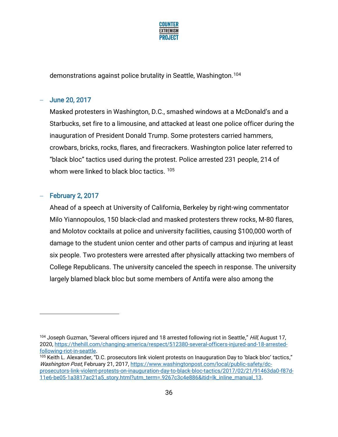

demonstrations against police brutality in Seattle, Washington.<sup>104</sup>

### − June 20, 2017

Masked protesters in Washington, D.C., smashed windows at a McDonald's and a Starbucks, set fire to a limousine, and attacked at least one police officer during the inauguration of President Donald Trump. Some protesters carried hammers, crowbars, bricks, rocks, flares, and firecrackers. Washington police later referred to "black bloc" tactics used during the protest. Police arrested 231 people, 214 of whom were linked to black bloc tactics. <sup>105</sup>

### − February 2, 2017

Ahead of a speech at University of California, Berkeley by right-wing commentator Milo Yiannopoulos, 150 black-clad and masked protesters threw rocks, M-80 flares, and Molotov cocktails at police and university facilities, causing \$100,000 worth of damage to the student union center and other parts of campus and injuring at least six people. Two protesters were arrested after physically attacking two members of College Republicans. The university canceled the speech in response. The university largely blamed black bloc but some members of Antifa were also among the

<sup>&</sup>lt;sup>104</sup> Joseph Guzman, "Several officers injured and 18 arrested following riot in Seattle," *Hill*, August 17, 2020, [https://thehill.com/changing-america/respect/512380-several-officers-injured-and-18-arrested](https://thehill.com/changing-america/respect/512380-several-officers-injured-and-18-arrested-following-riot-in-seattle)[following-riot-in-seattle.](https://thehill.com/changing-america/respect/512380-several-officers-injured-and-18-arrested-following-riot-in-seattle)

<sup>105</sup> Keith L. Alexander, "D.C. prosecutors link violent protests on Inauguration Day to 'black bloc' tactics," Washington Post, February 21, 2017, [https://www.washingtonpost.com/local/public-safety/dc](https://www.washingtonpost.com/local/public-safety/dc-prosecutors-link-violent-protests-on-inauguration-day-to-black-bloc-tactics/2017/02/21/91463da0-f87d-11e6-be05-1a3817ac21a5_story.html?utm_term=.9267c3c4e886&itid=lk_inline_manual_13)[prosecutors-link-violent-protests-on-inauguration-day-to-black-bloc-tactics/2017/02/21/91463da0-f87d-](https://www.washingtonpost.com/local/public-safety/dc-prosecutors-link-violent-protests-on-inauguration-day-to-black-bloc-tactics/2017/02/21/91463da0-f87d-11e6-be05-1a3817ac21a5_story.html?utm_term=.9267c3c4e886&itid=lk_inline_manual_13)[11e6-be05-1a3817ac21a5\\_story.html?utm\\_term=.9267c3c4e886&itid=lk\\_inline\\_manual\\_13.](https://www.washingtonpost.com/local/public-safety/dc-prosecutors-link-violent-protests-on-inauguration-day-to-black-bloc-tactics/2017/02/21/91463da0-f87d-11e6-be05-1a3817ac21a5_story.html?utm_term=.9267c3c4e886&itid=lk_inline_manual_13)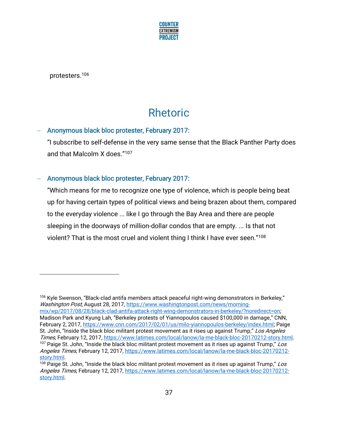

protesters.<sup>106</sup>

# Rhetoric

### − Anonymous black bloc protester, February 2017:

"I subscribe to self-defense in the very same sense that the Black Panther Party does and that Malcolm X does."<sup>107</sup>

## − Anonymous black bloc protester, February 2017:

"Which means for me to recognize one type of violence, which is people being beat up for having certain types of political views and being brazen about them, compared to the everyday violence ... like I go through the Bay Area and there are people sleeping in the doorways of million-dollar condos that are empty. ... Is that not violent? That is the most cruel and violent thing I think I have ever seen."<sup>108</sup>

<sup>106</sup> Kyle Swenson, "Black-clad antifa members attack peaceful right-wing demonstrators in Berkeley," Washington Post, August 28, 2017, [https://www.washingtonpost.com/news/morning](https://www.washingtonpost.com/news/morning-mix/wp/2017/08/28/black-clad-antifa-attack-right-wing-demonstrators-in-berkeley/?noredirect=on)[mix/wp/2017/08/28/black-clad-antifa-attack-right-wing-demonstrators-in-berkeley/?noredirect=on;](https://www.washingtonpost.com/news/morning-mix/wp/2017/08/28/black-clad-antifa-attack-right-wing-demonstrators-in-berkeley/?noredirect=on)  Madison Park and Kyung Lah, "Berkeley protests of Yiannopoulos caused \$100,000 in damage," CNN, February 2, 2017, [https://www.cnn.com/2017/02/01/us/milo-yiannopoulos-berkeley/index.html;](https://www.cnn.com/2017/02/01/us/milo-yiannopoulos-berkeley/index.html) Paige St. John, "Inside the black bloc militant protest movement as it rises up against Trump," Los Angeles Times, February 12, 2017, [https://www.latimes.com/local/lanow/la-me-black-bloc-20170212-story.html.](https://www.latimes.com/local/lanow/la-me-black-bloc-20170212-story.html) <sup>107</sup> Paige St. John, "Inside the black bloc militant protest movement as it rises up against Trump," Los Angeles Times, February 12, 2017, [https://www.latimes.com/local/lanow/la-me-black-bloc-20170212](https://www.latimes.com/local/lanow/la-me-black-bloc-20170212-story.html) [story.html.](https://www.latimes.com/local/lanow/la-me-black-bloc-20170212-story.html)

<sup>&</sup>lt;sup>108</sup> Paige St. John, "Inside the black bloc militant protest movement as it rises up against Trump," Los Angeles Times, February 12, 2017, [https://www.latimes.com/local/lanow/la-me-black-bloc-20170212](https://www.latimes.com/local/lanow/la-me-black-bloc-20170212-story.html) [story.html.](https://www.latimes.com/local/lanow/la-me-black-bloc-20170212-story.html)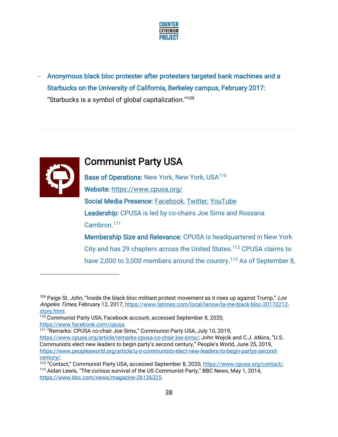

− Anonymous black bloc protester after protesters targeted bank machines and a Starbucks on the University of California, Berkeley campus, February 2017: "Starbucks is a symbol of global capitalization."<sup>109</sup>



## Communist Party USA

Base of Operations: New York, New York, USA<sup>110</sup> Website:<https://www.cpusa.org/> Social Media Presence: [Facebook,](https://www.facebook.com/cpusa) [Twitter,](https://twitter.com/communistsusa) [YouTube](https://www.youtube.com/user/TheCommunistpartyUSA)  Leadership: CPUSA is led by co-chairs Joe Sims and Rossana Cambron.<sup>111</sup> Membership Size and Relevance: CPUSA is headquartered in New York City and has 29 chapters across the United States.<sup>112</sup> CPUSA claims to

have 2,000 to 3,000 members around the country.<sup>113</sup> As of September 8,

 $109$  Paige St. John, "Inside the black bloc militant protest movement as it rises up against Trump," Los Angeles Times, February 12, 2017, [https://www.latimes.com/local/lanow/la-me-black-bloc-20170212](https://www.latimes.com/local/lanow/la-me-black-bloc-20170212-story.html) [story.html.](https://www.latimes.com/local/lanow/la-me-black-bloc-20170212-story.html)

<sup>110</sup> Communist Party USA, Facebook account, accessed September 8, 2020, [https://www.facebook.com/cpusa.](https://www.facebook.com/cpusa)

<sup>111</sup> "Remarks: CPUSA co-chair Joe Sims," Communist Party USA, July 10, 2019,

<https://www.cpusa.org/article/remarks-cpusa-co-chair-joe-sims/>; John Wojcik and C.J. Atkins, "U.S. Communists elect new leaders to begin party's second century," People's World, June 25, 2019, [https://www.peoplesworld.org/article/u-s-communists-elect-new-leaders-to-begin-partys-second](https://www.peoplesworld.org/article/u-s-communists-elect-new-leaders-to-begin-partys-second-century/)[century/.](https://www.peoplesworld.org/article/u-s-communists-elect-new-leaders-to-begin-partys-second-century/)

<sup>112</sup> "Contact," Communist Party USA, accessed September 8, 2020, [https://www.cpusa.org/contact/.](https://www.cpusa.org/contact/) <sup>113</sup> Aidan Lewis, "The curious survival of the US Communist Party," BBC News, May 1, 2014, [https://www.bbc.com/news/magazine-26126325.](https://www.bbc.com/news/magazine-26126325)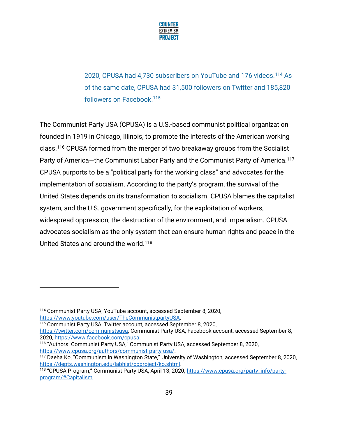

2020, CPUSA had 4,730 subscribers on YouTube and 176 videos.<sup>114</sup> As of the same date, CPUSA had 31,500 followers on Twitter and 185,820 followers on Facebook.<sup>115</sup>

The Communist Party USA (CPUSA) is a U.S.-based communist political organization founded in 1919 in Chicago, Illinois, to promote the interests of the American working class.<sup>116</sup> CPUSA formed from the merger of two breakaway groups from the Socialist Party of America-the Communist Labor Party and the Communist Party of America.<sup>117</sup> CPUSA purports to be a "political party for the working class" and advocates for the implementation of socialism. According to the party's program, the survival of the United States depends on its transformation to socialism. CPUSA blames the capitalist system, and the U.S. government specifically, for the exploitation of workers, widespread oppression, the destruction of the environment, and imperialism. CPUSA advocates socialism as the only system that can ensure human rights and peace in the United States and around the world.<sup>118</sup>

<sup>115</sup> Communist Party USA, Twitter account, accessed September 8, 2020,

<sup>114</sup> Communist Party USA, YouTube account, accessed September 8, 2020, [https://www.youtube.com/user/TheCommunistpartyUSA.](https://www.youtube.com/user/TheCommunistpartyUSA)

[https://twitter.com/communistsusa;](https://twitter.com/communistsusa) Communist Party USA, Facebook account, accessed September 8, 2020, [https://www.facebook.com/cpusa.](https://www.facebook.com/cpusa)

<sup>116</sup> "Authors: Communist Party USA," Communist Party USA, accessed September 8, 2020, [https://www.cpusa.org/authors/communist-party-usa/.](https://www.cpusa.org/authors/communist-party-usa/)

<sup>117</sup> Daeha Ko, "Communism in Washington State," University of Washington, accessed September 8, 2020, [https://depts.washington.edu/labhist/cpproject/ko.shtml.](https://depts.washington.edu/labhist/cpproject/ko.shtml)

<sup>118 &</sup>quot;CPUSA Program," Communist Party USA, April 13, 2020, [https://www.cpusa.org/party\\_info/party](https://www.cpusa.org/party_info/party-program/#Capitalism)[program/#Capitalism.](https://www.cpusa.org/party_info/party-program/#Capitalism)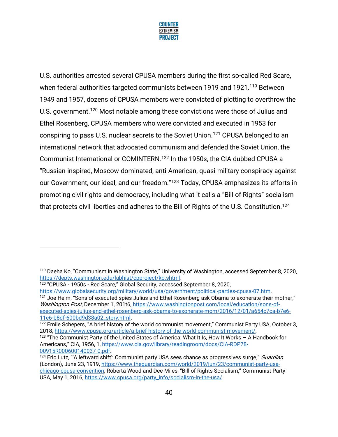

U.S. authorities arrested several CPUSA members during the first so-called Red Scare, when federal authorities targeted communists between 1919 and 1921.<sup>119</sup> Between 1949 and 1957, dozens of CPUSA members were convicted of plotting to overthrow the U.S. government.<sup>120</sup> Most notable among these convictions were those of Julius and Ethel Rosenberg, CPUSA members who were convicted and executed in 1953 for conspiring to pass U.S. nuclear secrets to the Soviet Union.<sup>121</sup> CPUSA belonged to an international network that advocated communism and defended the Soviet Union, the Communist International or COMINTERN.<sup>122</sup> In the 1950s, the CIA dubbed CPUSA a "Russian-inspired, Moscow-dominated, anti-American, quasi-military conspiracy against our Government, our ideal, and our freedom."<sup>123</sup> Today, CPUSA emphasizes its efforts in promoting civil rights and democracy, including what it calls a "Bill of Rights" socialism that protects civil liberties and adheres to the Bill of Rights of the U.S. Constitution.<sup>124</sup>

<sup>119</sup> Daeha Ko, "Communism in Washington State," University of Washington, accessed September 8, 2020, [https://depts.washington.edu/labhist/cpproject/ko.shtml.](https://depts.washington.edu/labhist/cpproject/ko.shtml)

<sup>120</sup> "CPUSA - 1950s - Red Scare," Global Security, accessed September 8, 2020,

[https://www.globalsecurity.org/military/world/usa/government/political-parties-cpusa-07.htm.](https://www.globalsecurity.org/military/world/usa/government/political-parties-cpusa-07.htm)

<sup>&</sup>lt;sup>121</sup> Joe Helm, "Sons of executed spies Julius and Ethel Rosenberg ask Obama to exonerate their mother," Washington Post, December 1, 201t6[, https://www.washingtonpost.com/local/education/sons-of](https://www.washingtonpost.com/local/education/sons-of-executed-spies-julius-and-ethel-rosenberg-ask-obama-to-exonerate-mom/2016/12/01/a654c7ca-b7e6-11e6-b8df-600bd9d38a02_story.html)[executed-spies-julius-and-ethel-rosenberg-ask-obama-to-exonerate-mom/2016/12/01/a654c7ca-b7e6-](https://www.washingtonpost.com/local/education/sons-of-executed-spies-julius-and-ethel-rosenberg-ask-obama-to-exonerate-mom/2016/12/01/a654c7ca-b7e6-11e6-b8df-600bd9d38a02_story.html) [11e6-b8df-600bd9d38a02\\_story.html.](https://www.washingtonpost.com/local/education/sons-of-executed-spies-julius-and-ethel-rosenberg-ask-obama-to-exonerate-mom/2016/12/01/a654c7ca-b7e6-11e6-b8df-600bd9d38a02_story.html)

<sup>&</sup>lt;sup>122</sup> Emile Schepers, "A brief history of the world communist movement," Communist Party USA, October 3, 2018, [https://www.cpusa.org/article/a-brief-history-of-the-world-communist-movement/.](https://www.cpusa.org/article/a-brief-history-of-the-world-communist-movement/)

<sup>123</sup> "The Communist Party of the United States of America: What It Is, How It Works – A Handbook for Americans," CIA, 1956, 1, [https://www.cia.gov/library/readingroom/docs/CIA-RDP78-](https://www.cia.gov/library/readingroom/docs/CIA-RDP78-00915R000600140037-0.pdf) [00915R000600140037-0.pdf.](https://www.cia.gov/library/readingroom/docs/CIA-RDP78-00915R000600140037-0.pdf)

<sup>&</sup>lt;sup>124</sup> Eric Lutz, "'A leftward shift': Communist party USA sees chance as progressives surge," Guardian (London), June 23, 1919, [https://www.theguardian.com/world/2019/jun/23/communist-party-usa](https://www.theguardian.com/world/2019/jun/23/communist-party-usa-chicago-cpusa-convention)[chicago-cpusa-convention](https://www.theguardian.com/world/2019/jun/23/communist-party-usa-chicago-cpusa-convention); Roberta Wood and Dee Miles, "Bill of Rights Socialism," Communist Party USA, May 1, 2016, [https://www.cpusa.org/party\\_info/socialism-in-the-usa/.](https://www.cpusa.org/party_info/socialism-in-the-usa/)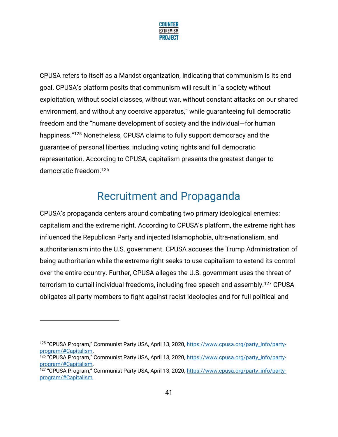

CPUSA refers to itself as a Marxist organization, indicating that communism is its end goal. CPUSA's platform posits that communism will result in "a society without exploitation, without social classes, without war, without constant attacks on our shared environment, and without any coercive apparatus," while guaranteeing full democratic freedom and the "humane development of society and the individual—for human happiness." <sup>125</sup> Nonetheless, CPUSA claims to fully support democracy and the guarantee of personal liberties, including voting rights and full democratic representation. According to CPUSA, capitalism presents the greatest danger to democratic freedom.<sup>126</sup>

# Recruitment and Propaganda

CPUSA's propaganda centers around combating two primary ideological enemies: capitalism and the extreme right. According to CPUSA's platform, the extreme right has influenced the Republican Party and injected Islamophobia, ultra-nationalism, and authoritarianism into the U.S. government. CPUSA accuses the Trump Administration of being authoritarian while the extreme right seeks to use capitalism to extend its control over the entire country. Further, CPUSA alleges the U.S. government uses the threat of terrorism to curtail individual freedoms, including free speech and assembly.<sup>127</sup> CPUSA obligates all party members to fight against racist ideologies and for full political and

<sup>125</sup> "CPUSA Program," Communist Party USA, April 13, 2020, [https://www.cpusa.org/party\\_info/party](https://www.cpusa.org/party_info/party-program/#Capitalism)[program/#Capitalism.](https://www.cpusa.org/party_info/party-program/#Capitalism)

<sup>&</sup>lt;sup>126</sup> "CPUSA Program," Communist Party USA, April 13, 2020, [https://www.cpusa.org/party\\_info/party](https://www.cpusa.org/party_info/party-program/#Capitalism)[program/#Capitalism.](https://www.cpusa.org/party_info/party-program/#Capitalism)

<sup>&</sup>lt;sup>127</sup> "CPUSA Program," Communist Party USA, April 13, 2020, [https://www.cpusa.org/party\\_info/party](https://www.cpusa.org/party_info/party-program/#Capitalism)[program/#Capitalism.](https://www.cpusa.org/party_info/party-program/#Capitalism)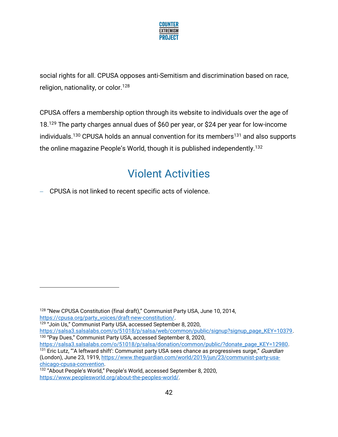

social rights for all. CPUSA opposes anti-Semitism and discrimination based on race, religion, nationality, or color.<sup>128</sup>

CPUSA offers a membership option through its website to individuals over the age of 18.<sup>129</sup> The party charges annual dues of \$60 per year, or \$24 per year for low-income individuals.<sup>130</sup> CPUSA holds an annual convention for its members<sup>131</sup> and also supports the online magazine People's World, though it is published independently.<sup>132</sup>

# Violent Activities

− CPUSA is not linked to recent specific acts of violence.

<sup>128</sup> "New CPUSA Constitution (final draft)," Communist Party USA, June 10, 2014, [https://cpusa.org/party\\_voices/draft-new-constitution/.](https://cpusa.org/party_voices/draft-new-constitution/)

<sup>&</sup>lt;sup>129</sup> "Join Us," Communist Party USA, accessed September 8, 2020,

[https://salsa3.salsalabs.com/o/51018/p/salsa/web/common/public/signup?signup\\_page\\_KEY=10379.](https://salsa3.salsalabs.com/o/51018/p/salsa/web/common/public/signup?signup_page_KEY=10379) <sup>130</sup> "Pay Dues," Communist Party USA, accessed September 8, 2020,

[https://salsa3.salsalabs.com/o/51018/p/salsa/donation/common/public/?donate\\_page\\_KEY=12980.](https://salsa3.salsalabs.com/o/51018/p/salsa/donation/common/public/?donate_page_KEY=12980) <sup>131</sup> Eric Lutz, "'A leftward shift': Communist party USA sees chance as progressives surge," Guardian (London), June 23, 1919, [https://www.theguardian.com/world/2019/jun/23/communist-party-usa](https://www.theguardian.com/world/2019/jun/23/communist-party-usa-chicago-cpusa-convention)[chicago-cpusa-convention.](https://www.theguardian.com/world/2019/jun/23/communist-party-usa-chicago-cpusa-convention)

<sup>132</sup> "About People's World," People's World, accessed September 8, 2020, [https://www.peoplesworld.org/about-the-peoples-world/.](https://www.peoplesworld.org/about-the-peoples-world/)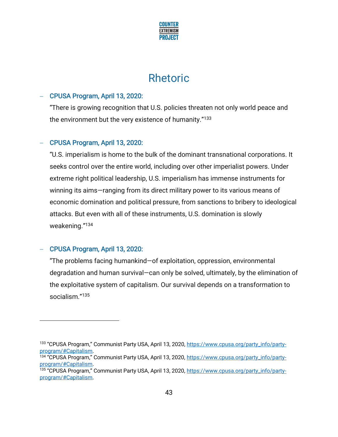

## Rhetoric

### − CPUSA Program, April 13, 2020:

"There is growing recognition that U.S. policies threaten not only world peace and the environment but the very existence of humanity." 133

### − CPUSA Program, April 13, 2020:

"U.S. imperialism is home to the bulk of the dominant transnational corporations. It seeks control over the entire world, including over other imperialist powers. Under extreme right political leadership, U.S. imperialism has immense instruments for winning its aims—ranging from its direct military power to its various means of economic domination and political pressure, from sanctions to bribery to ideological attacks. But even with all of these instruments, U.S. domination is slowly weakening." 134

## − CPUSA Program, April 13, 2020:

"The problems facing humankind—of exploitation, oppression, environmental degradation and human survival—can only be solved, ultimately, by the elimination of the exploitative system of capitalism. Our survival depends on a transformation to socialism." 135

<sup>133 &</sup>quot;CPUSA Program," Communist Party USA, April 13, 2020, [https://www.cpusa.org/party\\_info/party](https://www.cpusa.org/party_info/party-program/#Capitalism)[program/#Capitalism.](https://www.cpusa.org/party_info/party-program/#Capitalism)

<sup>134 &</sup>quot;CPUSA Program," Communist Party USA, April 13, 2020, [https://www.cpusa.org/party\\_info/party](https://www.cpusa.org/party_info/party-program/#Capitalism)[program/#Capitalism.](https://www.cpusa.org/party_info/party-program/#Capitalism)

<sup>135 &</sup>quot;CPUSA Program," Communist Party USA, April 13, 2020, [https://www.cpusa.org/party\\_info/party](https://www.cpusa.org/party_info/party-program/#Capitalism)[program/#Capitalism.](https://www.cpusa.org/party_info/party-program/#Capitalism)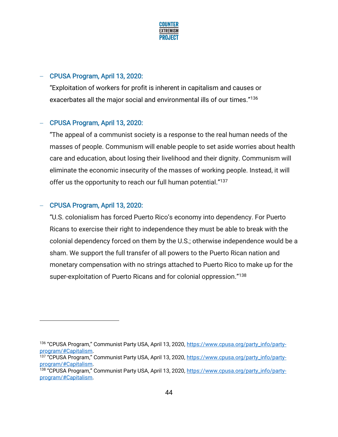

## − CPUSA Program, April 13, 2020:

"Exploitation of workers for profit is inherent in capitalism and causes or exacerbates all the major social and environmental ills of our times."<sup>136</sup>

### − CPUSA Program, April 13, 2020:

"The appeal of a communist society is a response to the real human needs of the masses of people. Communism will enable people to set aside worries about health care and education, about losing their livelihood and their dignity. Communism will eliminate the economic insecurity of the masses of working people. Instead, it will offer us the opportunity to reach our full human potential."<sup>137</sup>

### − CPUSA Program, April 13, 2020:

"U.S. colonialism has forced Puerto Rico's economy into dependency. For Puerto Ricans to exercise their right to independence they must be able to break with the colonial dependency forced on them by the U.S.; otherwise independence would be a sham. We support the full transfer of all powers to the Puerto Rican nation and monetary compensation with no strings attached to Puerto Rico to make up for the super-exploitation of Puerto Ricans and for colonial oppression."<sup>138</sup>

<sup>136 &</sup>quot;CPUSA Program," Communist Party USA, April 13, 2020, [https://www.cpusa.org/party\\_info/party](https://www.cpusa.org/party_info/party-program/#Capitalism)[program/#Capitalism.](https://www.cpusa.org/party_info/party-program/#Capitalism)

<sup>137 &</sup>quot;CPUSA Program," Communist Party USA, April 13, 2020, [https://www.cpusa.org/party\\_info/party](https://www.cpusa.org/party_info/party-program/#Capitalism)[program/#Capitalism.](https://www.cpusa.org/party_info/party-program/#Capitalism)

<sup>&</sup>lt;sup>138</sup> "CPUSA Program," Communist Party USA, April 13, 2020, [https://www.cpusa.org/party\\_info/party](https://www.cpusa.org/party_info/party-program/#Capitalism)[program/#Capitalism.](https://www.cpusa.org/party_info/party-program/#Capitalism)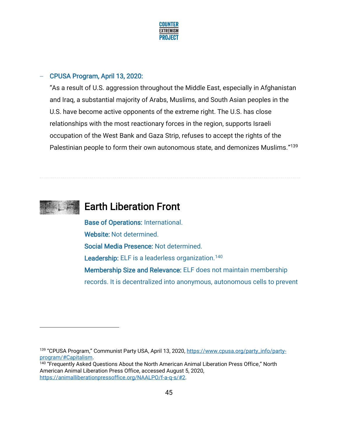

### − CPUSA Program, April 13, 2020:

"As a result of U.S. aggression throughout the Middle East, especially in Afghanistan and Iraq, a substantial majority of Arabs, Muslims, and South Asian peoples in the U.S. have become active opponents of the extreme right. The U.S. has close relationships with the most reactionary forces in the region, supports Israeli occupation of the West Bank and Gaza Strip, refuses to accept the rights of the Palestinian people to form their own autonomous state, and demonizes Muslims." 139



## Earth Liberation Front

Base of Operations: International. Website: Not determined. Social Media Presence: Not determined. Leadership: ELF is a leaderless organization.<sup>140</sup> Membership Size and Relevance: ELF does not maintain membership records. It is decentralized into anonymous, autonomous cells to prevent

<sup>139</sup> "CPUSA Program," Communist Party USA, April 13, 2020, [https://www.cpusa.org/party\\_info/party](https://www.cpusa.org/party_info/party-program/#Capitalism)[program/#Capitalism.](https://www.cpusa.org/party_info/party-program/#Capitalism)

<sup>140</sup> "Frequently Asked Questions About the North American Animal Liberation Press Office," North American Animal Liberation Press Office, accessed August 5, 2020, [https://animalliberationpressoffice.org/NAALPO/f-a-q-s/#2.](https://animalliberationpressoffice.org/NAALPO/f-a-q-s/#2)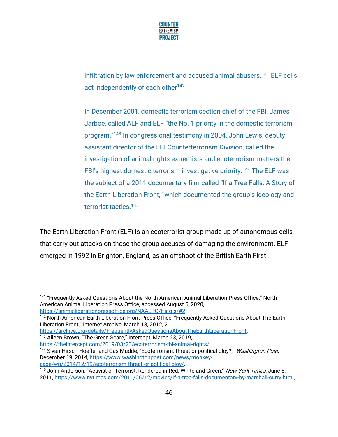

infiltration by law enforcement and accused animal abusers.<sup>141</sup> ELF cells act independently of each other<sup>142</sup>

In December 2001, domestic terrorism section chief of the FBI, James Jarboe, called ALF and ELF "the No. 1 priority in the domestic terrorism program."<sup>143</sup> In congressional testimony in 2004, John Lewis, deputy assistant director of the FBI Counterterrorism Division, called the investigation of animal rights extremists and ecoterrorism matters the FBI's highest domestic terrorism investigative priority.<sup>144</sup> The ELF was the subject of a 2011 documentary film called "If a Tree Falls: A Story of the Earth Liberation Front," which documented the group's ideology and terrorist tactics.<sup>145</sup>

The Earth Liberation Front (ELF) is an ecoterrorist group made up of autonomous cells that carry out attacks on those the group accuses of damaging the environment. ELF emerged in 1992 in Brighton, England, as an offshoot of the British Earth First

[https://archive.org/details/FrequentlyAskedQuestionsAboutTheEarthLiberationFront.](https://archive.org/details/FrequentlyAskedQuestionsAboutTheEarthLiberationFront) <sup>143</sup> Alleen Brown, "The Green Scare," Intercept, March 23, 2019,

[https://theintercept.com/2019/03/23/ecoterrorism-fbi-animal-rights/.](https://theintercept.com/2019/03/23/ecoterrorism-fbi-animal-rights/)

<sup>&</sup>lt;sup>141</sup> "Frequently Asked Questions About the North American Animal Liberation Press Office," North American Animal Liberation Press Office, accessed August 5, 2020, [https://animalliberationpressoffice.org/NAALPO/f-a-q-s/#2.](https://animalliberationpressoffice.org/NAALPO/f-a-q-s/#2)

<sup>&</sup>lt;sup>142</sup> North American Earth Liberation Front Press Office, "Frequently Asked Questions About The Earth Liberation Front," Internet Archive, March 18, 2012, 2,

<sup>&</sup>lt;sup>144</sup> Sivan Hirsch-Hoefler and Cas Mudde, "Ecoterrorism: threat or political ploy?," *Washington Post*, December 19, 2014[, https://www.washingtonpost.com/news/monkey](https://www.washingtonpost.com/news/monkey-cage/wp/2014/12/19/ecoterrorism-threat-or-political-ploy/)[cage/wp/2014/12/19/ecoterrorism-threat-or-political-ploy/.](https://www.washingtonpost.com/news/monkey-cage/wp/2014/12/19/ecoterrorism-threat-or-political-ploy/) 

<sup>&</sup>lt;sup>145</sup> John Anderson, "Activist or Terrorist, Rendered in Red, White and Green," New York Times, June 8, 2011, [https://www.nytimes.com/2011/06/12/movies/if-a-tree-falls-documentary-by-marshall-curry.html,](https://www.nytimes.com/2011/06/12/movies/if-a-tree-falls-documentary-by-marshall-curry.html)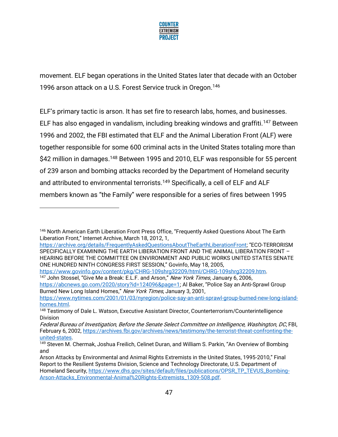

movement. ELF began operations in the United States later that decade with an October 1996 arson attack on a U.S. Forest Service truck in Oregon.<sup>146</sup>

ELF's primary tactic is arson. It has set fire to research labs, homes, and businesses. ELF has also engaged in vandalism, including breaking windows and graffiti.<sup>147</sup> Between 1996 and 2002, the FBI estimated that ELF and the Animal Liberation Front (ALF) were together responsible for some 600 criminal acts in the United States totaling more than \$42 million in damages.<sup>148</sup> Between 1995 and 2010, ELF was responsible for 55 percent of 239 arson and bombing attacks recorded by the Department of Homeland security and attributed to environmental terrorists.<sup>149</sup> Specifically, a cell of ELF and ALF members known as "the Family" were responsible for a series of fires between 1995

[https://www.govinfo.gov/content/pkg/CHRG-109shrg32209/html/CHRG-109shrg32209.htm.](https://www.govinfo.gov/content/pkg/CHRG-109shrg32209/html/CHRG-109shrg32209.htm) <sup>147</sup> John Stossel, "Give Me a Break: E.L.F. and Arson," New York Times, January 6, 2006,

<https://abcnews.go.com/2020/story?id=124096&page=1>; Al Baker, "Police Say an Anti-Sprawl Group Burned New Long Island Homes," New York Times, January 3, 2001,

<sup>146</sup> North American Earth Liberation Front Press Office, "Frequently Asked Questions About The Earth Liberation Front," Internet Archive, March 18, 2012, 1,

[https://archive.org/details/FrequentlyAskedQuestionsAboutTheEarthLiberationFront;](https://archive.org/details/FrequentlyAskedQuestionsAboutTheEarthLiberationFront) "ECO-TERRORISM SPECIFICALLY EXAMINING THE EARTH LIBERATION FRONT AND THE ANIMAL LIBERATION FRONT – HEARING BEFORE THE COMMITTEE ON ENVIRONMENT AND PUBLIC WORKS UNITED STATES SENATE ONE HUNDRED NINTH CONGRESS FIRST SESSION," Govinfo, May 18, 2005,

[https://www.nytimes.com/2001/01/03/nyregion/police-say-an-anti-sprawl-group-burned-new-long-island](https://www.nytimes.com/2001/01/03/nyregion/police-say-an-anti-sprawl-group-burned-new-long-island-homes.html)[homes.html.](https://www.nytimes.com/2001/01/03/nyregion/police-say-an-anti-sprawl-group-burned-new-long-island-homes.html)

<sup>&</sup>lt;sup>148</sup> Testimony of Dale L. Watson, Executive Assistant Director, Counterterrorism/Counterintelligence Division

Federal Bureau of Investigation, Before the Senate Select Committee on Intelligence, Washington, DC, FBI, February 6, 2002, [https://archives.fbi.gov/archives/news/testimony/the-terrorist-threat-confronting-the](https://archives.fbi.gov/archives/news/testimony/the-terrorist-threat-confronting-the-united-states)[united-states.](https://archives.fbi.gov/archives/news/testimony/the-terrorist-threat-confronting-the-united-states)

<sup>&</sup>lt;sup>149</sup> Steven M. Chermak, Joshua Freilich, Celinet Duran, and William S. Parkin, "An Overview of Bombing and

Arson Attacks by Environmental and Animal Rights Extremists in the United States, 1995-2010," Final Report to the Resilient Systems Division, Science and Technology Directorate, U.S. Department of Homeland Security[, https://www.dhs.gov/sites/default/files/publications/OPSR\\_TP\\_TEVUS\\_Bombing-](https://www.dhs.gov/sites/default/files/publications/OPSR_TP_TEVUS_Bombing-Arson-Attacks_Environmental-Animal%20Rights-Extremists_1309-508.pdf)[Arson-Attacks\\_Environmental-Animal%20Rights-Extremists\\_1309-508.pdf.](https://www.dhs.gov/sites/default/files/publications/OPSR_TP_TEVUS_Bombing-Arson-Attacks_Environmental-Animal%20Rights-Extremists_1309-508.pdf)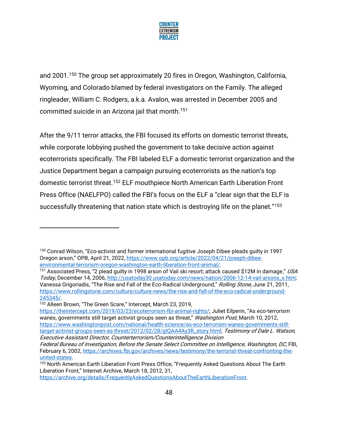

and 2001.<sup>150</sup> The group set approximately 20 fires in Oregon, Washington, California, Wyoming, and Colorado blamed by federal investigators on the Family. The alleged ringleader, William C. Rodgers, a.k.a. Avalon, was arrested in December 2005 and committed suicide in an Arizona jail that month. 151

After the 9/11 terror attacks, the FBI focused its efforts on domestic terrorist threats, while corporate lobbying pushed the government to take decisive action against ecoterrorists specifically. The FBI labeled ELF a domestic terrorist organization and the Justice Department began a campaign pursuing ecoterrorists as the nation's top domestic terrorist threat.<sup>152</sup> ELF mouthpiece North American Earth Liberation Front Press Office (NAELFPO) called the FBI's focus on the ELF a "clear sign that the ELF is successfully threatening that nation state which is destroying life on the planet."<sup>153</sup>

<sup>150</sup> Conrad Wilson, "Eco-activist and former international fugitive Joseph Dibee pleads guilty in 1997 Oregon arson," OPB, April 21, 2022, [https://www.opb.org/article/2022/04/21/joseph-dibee](https://www.opb.org/article/2022/04/21/joseph-dibee-environmental-terrorism-oregon-washington-earth-liberation-front-animal/)[environmental-terrorism-oregon-washington-earth-liberation-front-animal/.](https://www.opb.org/article/2022/04/21/joseph-dibee-environmental-terrorism-oregon-washington-earth-liberation-front-animal/)

<sup>&</sup>lt;sup>151</sup> Associated Press, "2 plead guilty in 1998 arson of Vail ski resort; attack caused \$12M in damage," USA Today, December 14, 2006, [http://usatoday30.usatoday.com/news/nation/2006-12-14-vail-arsons\\_x.htm;](http://usatoday30.usatoday.com/news/nation/2006-12-14-vail-arsons_x.htm)  Vanessa Grigoriadis, "The Rise and Fall of the Eco-Radical Underground," Rolling Stone, June 21, 2011, [https://www.rollingstone.com/culture/culture-news/the-rise-and-fall-of-the-eco-radical-underground-](https://www.rollingstone.com/culture/culture-news/the-rise-and-fall-of-the-eco-radical-underground-245345/)[245345/.](https://www.rollingstone.com/culture/culture-news/the-rise-and-fall-of-the-eco-radical-underground-245345/)

<sup>152</sup> Alleen Brown, "The Green Scare," Intercept, March 23, 2019,

[https://theintercept.com/2019/03/23/ecoterrorism-fbi-animal-rights/;](https://theintercept.com/2019/03/23/ecoterrorism-fbi-animal-rights/) Juliet Eilperin, "As eco-terrorism wanes, governments still target activist groups seen as threat," Washington Post, March 10, 2012, [https://www.washingtonpost.com/national/health-science/as-eco-terrorism-wanes-governments-still](https://www.washingtonpost.com/national/health-science/as-eco-terrorism-wanes-governments-still-target-activist-groups-seen-as-threat/2012/02/28/gIQAA4Ay3R_story.html)[target-activist-groups-seen-as-threat/2012/02/28/gIQAA4Ay3R\\_story.html;](https://www.washingtonpost.com/national/health-science/as-eco-terrorism-wanes-governments-still-target-activist-groups-seen-as-threat/2012/02/28/gIQAA4Ay3R_story.html) Testimony of Dale L. Watson, Executive Assistant Director, Counterterrorism/Counterintelligence Division

Federal Bureau of Investigation, Before the Senate Select Committee on Intelligence, Washington, DC, FBI, February 6, 2002, [https://archives.fbi.gov/archives/news/testimony/the-terrorist-threat-confronting-the](https://archives.fbi.gov/archives/news/testimony/the-terrorist-threat-confronting-the-united-states)[united-states.](https://archives.fbi.gov/archives/news/testimony/the-terrorist-threat-confronting-the-united-states)

<sup>153</sup> North American Earth Liberation Front Press Office, "Frequently Asked Questions About The Earth Liberation Front," Internet Archive, March 18, 2012, 31,

[https://archive.org/details/FrequentlyAskedQuestionsAboutTheEarthLiberationFront.](https://archive.org/details/FrequentlyAskedQuestionsAboutTheEarthLiberationFront)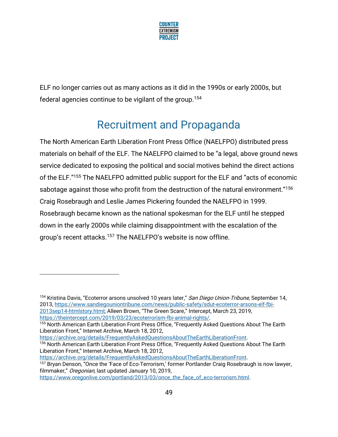

ELF no longer carries out as many actions as it did in the 1990s or early 2000s, but federal agencies continue to be vigilant of the group.<sup>154</sup>

# Recruitment and Propaganda

The North American Earth Liberation Front Press Office (NAELFPO) distributed press materials on behalf of the ELF. The NAELFPO claimed to be "a legal, above ground news service dedicated to exposing the political and social motives behind the direct actions of the ELF."<sup>155</sup> The NAELFPO admitted public support for the ELF and "acts of economic sabotage against those who profit from the destruction of the natural environment."<sup>156</sup> Craig Rosebraugh and Leslie James Pickering founded the NAELFPO in 1999. Rosebraugh became known as the national spokesman for the ELF until he stepped down in the early 2000s while claiming disappointment with the escalation of the group's recent attacks.<sup>157</sup> The NAELFPO's website is now offline.

[https://theintercept.com/2019/03/23/ecoterrorism-fbi-animal-rights/.](https://theintercept.com/2019/03/23/ecoterrorism-fbi-animal-rights/)

<sup>155</sup> North American Earth Liberation Front Press Office, "Frequently Asked Questions About The Earth Liberation Front," Internet Archive, March 18, 2012,

[https://archive.org/details/FrequentlyAskedQuestionsAboutTheEarthLiberationFront.](https://archive.org/details/FrequentlyAskedQuestionsAboutTheEarthLiberationFront) <sup>156</sup> North American Earth Liberation Front Press Office, "Frequently Asked Questions About The Earth

Liberation Front," Internet Archive, March 18, 2012, [https://archive.org/details/FrequentlyAskedQuestionsAboutTheEarthLiberationFront.](https://archive.org/details/FrequentlyAskedQuestionsAboutTheEarthLiberationFront)

<sup>157</sup> Bryan Denson, "Once the 'Face of Eco-Terrorism,' former Portlander Craig Rosebraugh is now lawyer, filmmaker," Oregonian, last updated January 10, 2019,

[https://www.oregonlive.com/portland/2013/03/once\\_the\\_face\\_of\\_eco-terrorism.html.](https://www.oregonlive.com/portland/2013/03/once_the_face_of_eco-terrorism.html)

<sup>&</sup>lt;sup>154</sup> Kristina Davis, "Ecoterror arsons unsolved 10 years later," San Diego Union-Tribune, September 14, 2013, [https://www.sandiegouniontribune.com/news/public-safety/sdut-ecoterror-arsons-elf-fbi-](https://www.sandiegouniontribune.com/news/public-safety/sdut-ecoterror-arsons-elf-fbi-2013sep14-htmlstory.html)[2013sep14-htmlstory.html;](https://www.sandiegouniontribune.com/news/public-safety/sdut-ecoterror-arsons-elf-fbi-2013sep14-htmlstory.html) Alleen Brown, "The Green Scare," Intercept, March 23, 2019,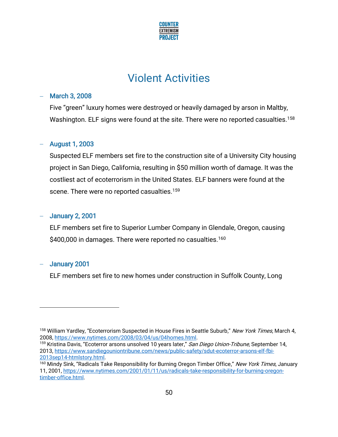

## Violent Activities

### − March 3, 2008

Five "green" luxury homes were destroyed or heavily damaged by arson in Maltby, Washington. ELF signs were found at the site. There were no reported casualties.<sup>158</sup>

#### − August 1, 2003

Suspected ELF members set fire to the construction site of a University City housing project in San Diego, California, resulting in \$50 million worth of damage. It was the costliest act of ecoterrorism in the United States. ELF banners were found at the scene. There were no reported casualties.<sup>159</sup>

### − January 2, 2001

ELF members set fire to Superior Lumber Company in Glendale, Oregon, causing \$400,000 in damages. There were reported no casualties.<sup>160</sup>

### − January 2001

ELF members set fire to new homes under construction in Suffolk County, Long

<sup>&</sup>lt;sup>158</sup> William Yardley, "Ecoterrorism Suspected in House Fires in Seattle Suburb," New York Times, March 4, 2008, [https://www.nytimes.com/2008/03/04/us/04homes.html.](https://www.nytimes.com/2008/03/04/us/04homes.html)

<sup>&</sup>lt;sup>159</sup> Kristina Davis, "Ecoterror arsons unsolved 10 years later," San Diego Union-Tribune, September 14, 2013, [https://www.sandiegouniontribune.com/news/public-safety/sdut-ecoterror-arsons-elf-fbi-](https://www.sandiegouniontribune.com/news/public-safety/sdut-ecoterror-arsons-elf-fbi-2013sep14-htmlstory.html)[2013sep14-htmlstory.html.](https://www.sandiegouniontribune.com/news/public-safety/sdut-ecoterror-arsons-elf-fbi-2013sep14-htmlstory.html)

<sup>&</sup>lt;sup>160</sup> Mindy Sink, "Radicals Take Responsibility for Burning Oregon Timber Office," New York Times, January 11, 2001[, https://www.nytimes.com/2001/01/11/us/radicals-take-responsibility-for-burning-oregon](https://www.nytimes.com/2001/01/11/us/radicals-take-responsibility-for-burning-oregon-timber-office.html)[timber-office.html.](https://www.nytimes.com/2001/01/11/us/radicals-take-responsibility-for-burning-oregon-timber-office.html)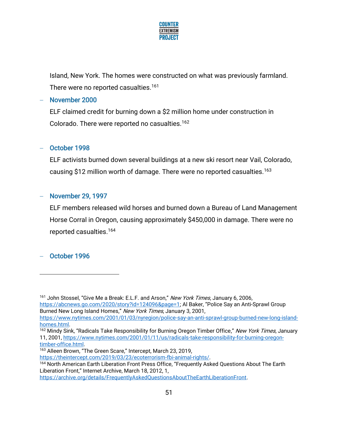

Island, New York. The homes were constructed on what was previously farmland. There were no reported casualties.<sup>161</sup>

### − November 2000

ELF claimed credit for burning down a \$2 million home under construction in Colorado. There were reported no casualties.<sup>162</sup>

## − October 1998

ELF activists burned down several buildings at a new ski resort near Vail, Colorado, causing \$12 million worth of damage. There were no reported casualties.<sup>163</sup>

## − November 29, 1997

ELF members released wild horses and burned down a Bureau of Land Management Horse Corral in Oregon, causing approximately \$450,000 in damage. There were no reported casualties.<sup>164</sup>

## − October 1996

Burned New Long Island Homes," New York Times, January 3, 2001, [https://www.nytimes.com/2001/01/03/nyregion/police-say-an-anti-sprawl-group-burned-new-long-island](https://www.nytimes.com/2001/01/03/nyregion/police-say-an-anti-sprawl-group-burned-new-long-island-homes.html)[homes.html.](https://www.nytimes.com/2001/01/03/nyregion/police-say-an-anti-sprawl-group-burned-new-long-island-homes.html)

[https://theintercept.com/2019/03/23/ecoterrorism-fbi-animal-rights/.](https://theintercept.com/2019/03/23/ecoterrorism-fbi-animal-rights/)

[https://archive.org/details/FrequentlyAskedQuestionsAboutTheEarthLiberationFront.](https://archive.org/details/FrequentlyAskedQuestionsAboutTheEarthLiberationFront)

<sup>&</sup>lt;sup>161</sup> John Stossel, "Give Me a Break: E.L.F. and Arson," New York Times, January 6, 2006, <https://abcnews.go.com/2020/story?id=124096&page=1>; Al Baker, "Police Say an Anti-Sprawl Group

<sup>&</sup>lt;sup>162</sup> Mindy Sink, "Radicals Take Responsibility for Burning Oregon Timber Office," New York Times, January 11, 2001[, https://www.nytimes.com/2001/01/11/us/radicals-take-responsibility-for-burning-oregon](https://www.nytimes.com/2001/01/11/us/radicals-take-responsibility-for-burning-oregon-timber-office.html)[timber-office.html.](https://www.nytimes.com/2001/01/11/us/radicals-take-responsibility-for-burning-oregon-timber-office.html)

<sup>163</sup> Alleen Brown, "The Green Scare," Intercept, March 23, 2019,

<sup>164</sup> North American Earth Liberation Front Press Office, "Frequently Asked Questions About The Earth Liberation Front," Internet Archive, March 18, 2012, 1,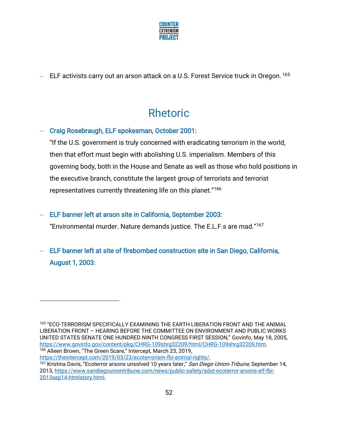

− ELF activists carry out an arson attack on a U.S. Forest Service truck in Oregon. <sup>165</sup>

# Rhetoric

## − Craig Rosebraugh, ELF spokesman, October 2001:

"If the U.S. government is truly concerned with eradicating terrorism in the world, then that effort must begin with abolishing U.S. imperialism. Members of this governing body, both in the House and Senate as well as those who hold positions in the executive branch, constitute the largest group of terrorists and terrorist representatives currently threatening life on this planet."<sup>166</sup>

## − ELF banner left at arson site in California, September 2003:

"Environmental murder. Nature demands justice. The E.L.F.s are mad."<sup>167</sup>

− ELF banner left at site of firebombed construction site in San Diego, California, August 1, 2003:

[https://theintercept.com/2019/03/23/ecoterrorism-fbi-animal-rights/.](https://theintercept.com/2019/03/23/ecoterrorism-fbi-animal-rights/)

<sup>165</sup> "ECO-TERRORISM SPECIFICALLY EXAMINING THE EARTH LIBERATION FRONT AND THE ANIMAL LIBERATION FRONT – HEARING BEFORE THE COMMITTEE ON ENVIRONMENT AND PUBLIC WORKS UNITED STATES SENATE ONE HUNDRED NINTH CONGRESS FIRST SESSION," Govinfo, May 18, 2005, [https://www.govinfo.gov/content/pkg/CHRG-109shrg32209/html/CHRG-109shrg32209.htm.](https://www.govinfo.gov/content/pkg/CHRG-109shrg32209/html/CHRG-109shrg32209.htm) <sup>166</sup> Alleen Brown, "The Green Scare," Intercept, March 23, 2019,

<sup>&</sup>lt;sup>167</sup> Kristina Davis, "Ecoterror arsons unsolved 10 years later," San Diego Union-Tribune, September 14, 2013, [https://www.sandiegouniontribune.com/news/public-safety/sdut-ecoterror-arsons-elf-fbi-](https://www.sandiegouniontribune.com/news/public-safety/sdut-ecoterror-arsons-elf-fbi-2013sep14-htmlstory.html)[2013sep14-htmlstory.html.](https://www.sandiegouniontribune.com/news/public-safety/sdut-ecoterror-arsons-elf-fbi-2013sep14-htmlstory.html)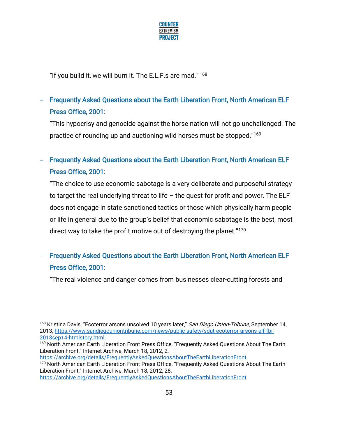

"If you build it, we will burn it. The E.L.F.s are mad."<sup>168</sup>

## − Frequently Asked Questions about the Earth Liberation Front, North American ELF Press Office, 2001:

"This hypocrisy and genocide against the horse nation will not go unchallenged! The practice of rounding up and auctioning wild horses must be stopped."<sup>169</sup>

## − Frequently Asked Questions about the Earth Liberation Front, North American ELF Press Office, 2001:

"The choice to use economic sabotage is a very deliberate and purposeful strategy to target the real underlying threat to life – the quest for profit and power. The ELF does not engage in state sanctioned tactics or those which physically harm people or life in general due to the group's belief that economic sabotage is the best, most direct way to take the profit motive out of destroying the planet."<sup>170</sup>

## − Frequently Asked Questions about the Earth Liberation Front, North American ELF Press Office, 2001:

"The real violence and danger comes from businesses clear-cutting forests and

[https://archive.org/details/FrequentlyAskedQuestionsAboutTheEarthLiberationFront.](https://archive.org/details/FrequentlyAskedQuestionsAboutTheEarthLiberationFront) 170 North American Earth Liberation Front Press Office, "Frequently Asked Questions About The Earth Liberation Front," Internet Archive, March 18, 2012, 28,

[https://archive.org/details/FrequentlyAskedQuestionsAboutTheEarthLiberationFront.](https://archive.org/details/FrequentlyAskedQuestionsAboutTheEarthLiberationFront)

<sup>&</sup>lt;sup>168</sup> Kristina Davis, "Ecoterror arsons unsolved 10 years later," *San Diego Union-Tribune*, September 14, 2013, [https://www.sandiegouniontribune.com/news/public-safety/sdut-ecoterror-arsons-elf-fbi-](https://www.sandiegouniontribune.com/news/public-safety/sdut-ecoterror-arsons-elf-fbi-2013sep14-htmlstory.html)[2013sep14-htmlstory.html.](https://www.sandiegouniontribune.com/news/public-safety/sdut-ecoterror-arsons-elf-fbi-2013sep14-htmlstory.html)

<sup>&</sup>lt;sup>169</sup> North American Earth Liberation Front Press Office, "Frequently Asked Questions About The Earth Liberation Front," Internet Archive, March 18, 2012, 2,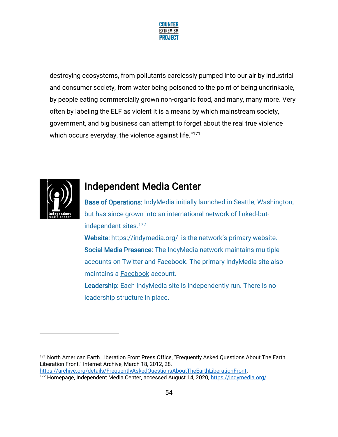

destroying ecosystems, from pollutants carelessly pumped into our air by industrial and consumer society, from water being poisoned to the point of being undrinkable, by people eating commercially grown non-organic food, and many, many more. Very often by labeling the ELF as violent it is a means by which mainstream society, government, and big business can attempt to forget about the real true violence which occurs everyday, the violence against life."<sup>171</sup>



## Independent Media Center

Base of Operations: IndyMedia initially launched in Seattle, Washington, but has since grown into an international network of linked-butindependent sites.<sup>172</sup> Website: <https://indymedia.org/> is the network's primary website.

Social Media Presence: The IndyMedia network maintains multiple accounts on Twitter and Facebook. The primary IndyMedia site also maintains a [Facebook](https://www.facebook.com/indymedianetwork/) account.

Leadership: Each IndyMedia site is independently run. There is no leadership structure in place.

<sup>&</sup>lt;sup>171</sup> North American Earth Liberation Front Press Office, "Frequently Asked Questions About The Earth Liberation Front," Internet Archive, March 18, 2012, 28, [https://archive.org/details/FrequentlyAskedQuestionsAboutTheEarthLiberationFront.](https://archive.org/details/FrequentlyAskedQuestionsAboutTheEarthLiberationFront)

<sup>172</sup> Homepage, Independent Media Center, accessed August 14, 2020, [https://indymedia.org/.](https://indymedia.org/)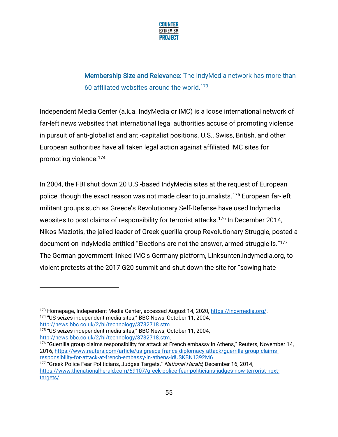

## Membership Size and Relevance: The IndyMedia network has more than 60 affiliated websites around the world.<sup>173</sup>

Independent Media Center (a.k.a. IndyMedia or IMC) is a loose international network of far-left news websites that international legal authorities accuse of promoting violence in pursuit of anti-globalist and anti-capitalist positions. U.S., Swiss, British, and other European authorities have all taken legal action against affiliated IMC sites for promoting violence.<sup>174</sup>

In 2004, the FBI shut down 20 U.S.-based IndyMedia sites at the request of European police, though the exact reason was not made clear to journalists.<sup>175</sup> European far-left militant groups such as Greece's Revolutionary Self-Defense have used Indymedia websites to post claims of responsibility for terrorist attacks.<sup>176</sup> In December 2014, Nikos Maziotis, the jailed leader of Greek guerilla group Revolutionary Struggle, posted a document on IndyMedia entitled "Elections are not the answer, armed struggle is."<sup>177</sup> The German government linked IMC's Germany platform, Linksunten.indymedia.org, to violent protests at the 2017 G20 summit and shut down the site for "sowing hate

<sup>173</sup> Homepage, Independent Media Center, accessed August 14, 2020, [https://indymedia.org/.](https://indymedia.org/) <sup>174</sup> "US seizes independent media sites," BBC News, October 11, 2004, [http://news.bbc.co.uk/2/hi/technology/3732718.stm.](http://news.bbc.co.uk/2/hi/technology/3732718.stm)

<sup>175</sup> "US seizes independent media sites," BBC News, October 11, 2004, [http://news.bbc.co.uk/2/hi/technology/3732718.stm.](http://news.bbc.co.uk/2/hi/technology/3732718.stm)

<sup>&</sup>lt;sup>176</sup> "Guerrilla group claims responsibility for attack at French embassy in Athens," Reuters, November 14, 2016, [https://www.reuters.com/article/us-greece-france-diplomacy-attack/guerrilla-group-claims](https://www.reuters.com/article/us-greece-france-diplomacy-attack/guerrilla-group-claims-responsibility-for-attack-at-french-embassy-in-athens-idUSKBN1392M6)[responsibility-for-attack-at-french-embassy-in-athens-idUSKBN1392M6.](https://www.reuters.com/article/us-greece-france-diplomacy-attack/guerrilla-group-claims-responsibility-for-attack-at-french-embassy-in-athens-idUSKBN1392M6)

<sup>&</sup>lt;sup>177</sup> "Greek Police Fear Politicians, Judges Targets," *National Herald*, December 16, 2014, [https://www.thenationalherald.com/69107/greek-police-fear-politicians-judges-now-terrorist-next](https://www.thenationalherald.com/69107/greek-police-fear-politicians-judges-now-terrorist-next-targets/)[targets/.](https://www.thenationalherald.com/69107/greek-police-fear-politicians-judges-now-terrorist-next-targets/)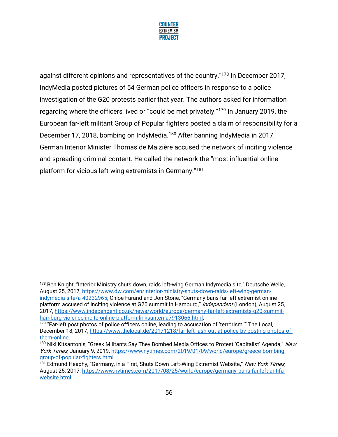

against different opinions and representatives of the country."<sup>178</sup> In December 2017, IndyMedia posted pictures of 54 German police officers in response to a police investigation of the G20 protests earlier that year. The authors asked for information regarding where the officers lived or "could be met privately."<sup>179</sup> In January 2019, the European far-left militant Group of Popular fighters posted a claim of responsibility for a December 17, 2018, bombing on IndyMedia.<sup>180</sup> After banning IndyMedia in 2017, German Interior Minister Thomas de Maizière accused the network of inciting violence and spreading criminal content. He called the network the "most influential online platform for vicious left-wing extremists in Germany." 181

<sup>178</sup> Ben Knight, "Interior Ministry shuts down, raids left-wing German Indymedia site," Deutsche Welle, August 25, 2017[, https://www.dw.com/en/interior-ministry-shuts-down-raids-left-wing-german](https://www.dw.com/en/interior-ministry-shuts-down-raids-left-wing-german-indymedia-site/a-40232965)[indymedia-site/a-40232965;](https://www.dw.com/en/interior-ministry-shuts-down-raids-left-wing-german-indymedia-site/a-40232965) Chloe Farand and Jon Stone, "Germany bans far-left extremist online platform accused of inciting violence at G20 summit in Hamburg," *Independent* (London), August 25, 2017, [https://www.independent.co.uk/news/world/europe/germany-far-left-extremists-g20-summit](https://www.independent.co.uk/news/world/europe/germany-far-left-extremists-g20-summit-hamburg-violence-incite-online-platform-linksunten-a7913066.html)[hamburg-violence-incite-online-platform-linksunten-a7913066.html.](https://www.independent.co.uk/news/world/europe/germany-far-left-extremists-g20-summit-hamburg-violence-incite-online-platform-linksunten-a7913066.html)

<sup>&</sup>lt;sup>179</sup> "Far-left post photos of police officers online, leading to accusation of 'terrorism,'" The Local, December 18, 2017[, https://www.thelocal.de/20171218/far-left-lash-out-at-police-by-posting-photos-of](https://www.thelocal.de/20171218/far-left-lash-out-at-police-by-posting-photos-of-them-online)[them-online.](https://www.thelocal.de/20171218/far-left-lash-out-at-police-by-posting-photos-of-them-online)

<sup>&</sup>lt;sup>180</sup> Niki Kitsantonis, "Greek Militants Say They Bombed Media Offices to Protest 'Capitalist' Agenda," New York Times, January 9, 2019, [https://www.nytimes.com/2019/01/09/world/europe/greece-bombing](https://www.nytimes.com/2019/01/09/world/europe/greece-bombing-group-of-popular-fighters.html)[group-of-popular-fighters.html.](https://www.nytimes.com/2019/01/09/world/europe/greece-bombing-group-of-popular-fighters.html)

<sup>&</sup>lt;sup>181</sup> Edmund Heaphy, "Germany, in a First, Shuts Down Left-Wing Extremist Website," New York Times, August 25, 2017[, https://www.nytimes.com/2017/08/25/world/europe/germany-bans-far-left-antifa](https://www.nytimes.com/2017/08/25/world/europe/germany-bans-far-left-antifa-website.html)[website.html.](https://www.nytimes.com/2017/08/25/world/europe/germany-bans-far-left-antifa-website.html)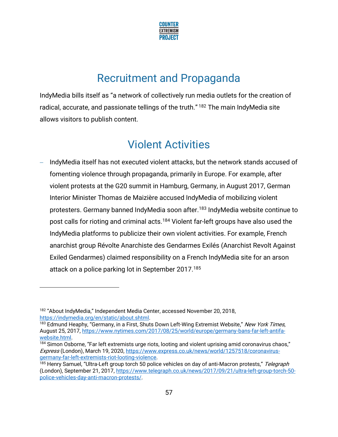

# Recruitment and Propaganda

IndyMedia bills itself as "a network of collectively run media outlets for the creation of radical, accurate, and passionate tellings of the truth."<sup>182</sup> The main IndyMedia site allows visitors to publish content.

## Violent Activities

IndyMedia itself has not executed violent attacks, but the network stands accused of fomenting violence through propaganda, primarily in Europe. For example, after violent protests at the G20 summit in Hamburg, Germany, in August 2017, German Interior Minister Thomas de Maizière accused IndyMedia of mobilizing violent protesters. Germany banned IndyMedia soon after.<sup>183</sup> IndyMedia website continue to post calls for rioting and criminal acts.<sup>184</sup> Violent far-left groups have also used the IndyMedia platforms to publicize their own violent activities. For example, French anarchist group Révolte Anarchiste des Gendarmes Exilés (Anarchist Revolt Against Exiled Gendarmes) claimed responsibility on a French IndyMedia site for an arson attack on a police parking lot in September 2017.<sup>185</sup>

<sup>182</sup> "About IndyMedia," Independent Media Center, accessed November 20, 2018, [https://indymedia.org/en/static/about.shtml.](https://indymedia.org/en/static/about.shtml)

<sup>&</sup>lt;sup>183</sup> Edmund Heaphy, "Germany, in a First, Shuts Down Left-Wing Extremist Website," New York Times, August 25, 2017[, https://www.nytimes.com/2017/08/25/world/europe/germany-bans-far-left-antifa](https://www.nytimes.com/2017/08/25/world/europe/germany-bans-far-left-antifa-website.html)[website.html.](https://www.nytimes.com/2017/08/25/world/europe/germany-bans-far-left-antifa-website.html)

<sup>&</sup>lt;sup>184</sup> Simon Osborne, "Far left extremists urge riots, looting and violent uprising amid coronavirus chaos," Express (London), March 19, 2020, [https://www.express.co.uk/news/world/1257518/coronavirus](https://www.express.co.uk/news/world/1257518/coronavirus-germany-far-left-extremists-riot-looting-violence)[germany-far-left-extremists-riot-looting-violence.](https://www.express.co.uk/news/world/1257518/coronavirus-germany-far-left-extremists-riot-looting-violence)

<sup>&</sup>lt;sup>185</sup> Henry Samuel, "Ultra-Left group torch 50 police vehicles on day of anti-Macron protests," Telegraph (London), September 21, 2017, [https://www.telegraph.co.uk/news/2017/09/21/ultra-left-group-torch-50](https://www.telegraph.co.uk/news/2017/09/21/ultra-left-group-torch-50-police-vehicles-day-anti-macron-protests/) [police-vehicles-day-anti-macron-protests/.](https://www.telegraph.co.uk/news/2017/09/21/ultra-left-group-torch-50-police-vehicles-day-anti-macron-protests/)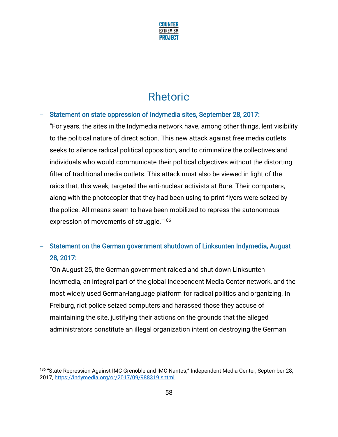

# Rhetoric

## − Statement on state oppression of Indymedia sites, September 28, 2017:

"For years, the sites in the Indymedia network have, among other things, lent visibility to the political nature of direct action. This new attack against free media outlets seeks to silence radical political opposition, and to criminalize the collectives and individuals who would communicate their political objectives without the distorting filter of traditional media outlets. This attack must also be viewed in light of the raids that, this week, targeted the anti-nuclear activists at Bure. Their computers, along with the photocopier that they had been using to print flyers were seized by the police. All means seem to have been mobilized to repress the autonomous expression of movements of struggle." 186

## Statement on the German government shutdown of Linksunten Indymedia, August 28, 2017:

"On August 25, the German government raided and shut down Linksunten Indymedia, an integral part of the global Independent Media Center network, and the most widely used German-language platform for radical politics and organizing. In Freiburg, riot police seized computers and harassed those they accuse of maintaining the site, justifying their actions on the grounds that the alleged administrators constitute an illegal organization intent on destroying the German

<sup>&</sup>lt;sup>186</sup> "State Repression Against IMC Grenoble and IMC Nantes," Independent Media Center, September 28, 2017, [https://indymedia.org/or/2017/09/988319.shtml.](https://indymedia.org/or/2017/09/988319.shtml)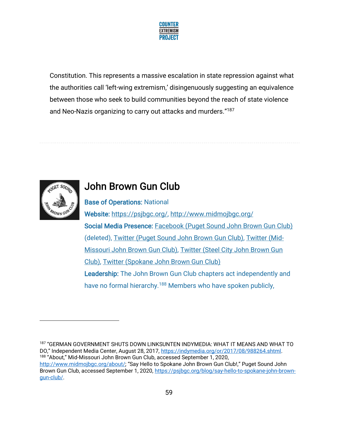

Constitution. This represents a massive escalation in state repression against what the authorities call 'left-wing extremism,' disingenuously suggesting an equivalence between those who seek to build communities beyond the reach of state violence and Neo-Nazis organizing to carry out attacks and murders." 187



## John Brown Gun Club

Base of Operations: National Website: [https://psjbgc.org/,](https://psjbgc.org/)<http://www.midmojbgc.org/> Social Media Presence: [Facebook \(Puget Sound John Brown Gun Club\)](https://facebook.com/PugetSoundJBGC) (deleted), [Twitter \(Puget Sound John Brown Gun Club\),](https://twitter.com/PugetSoundJBGC) [Twitter \(Mid-](https://twitter.com/MidMoJBGC)[Missouri John Brown Gun Club\),](https://twitter.com/MidMoJBGC) [Twitter \(Steel City John Brown Gun](https://twitter.com/SteelCityJBGC)  [Club\),](https://twitter.com/SteelCityJBGC) [Twitter \(Spokane John Brown Gun Club\)](https://twitter.com/spkjbgc)  Leadership: The John Brown Gun Club chapters act independently and have no formal hierarchy.<sup>188</sup> Members who have spoken publicly,

187 "GERMAN GOVERNMENT SHUTS DOWN LINKSUNTEN INDYMEDIA: WHAT IT MEANS AND WHAT TO DO," Independent Media Center, August 28, 2017, [https://indymedia.org/or/2017/08/988264.shtml.](https://indymedia.org/or/2017/08/988264.shtml) <sup>188</sup> "About," Mid-Missouri John Brown Gun Club, accessed September 1, 2020, <http://www.midmojbgc.org/about/>; "Say Hello to Spokane John Brown Gun Club!," Puget Sound John Brown Gun Club, accessed September 1, 2020, [https://psjbgc.org/blog/say-hello-to-spokane-john-brown](https://psjbgc.org/blog/say-hello-to-spokane-john-brown-gun-club/)[gun-club/.](https://psjbgc.org/blog/say-hello-to-spokane-john-brown-gun-club/)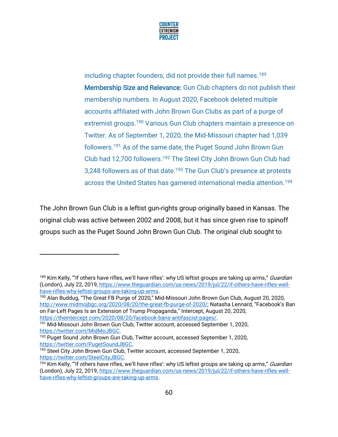

including chapter founders, did not provide their full names.<sup>189</sup> Membership Size and Relevance: Gun Club chapters do not publish their membership numbers. In August 2020, Facebook deleted multiple accounts affiliated with John Brown Gun Clubs as part of a purge of extremist groups.<sup>190</sup> Various Gun Club chapters maintain a presence on Twitter. As of September 1, 2020, the Mid-Missouri chapter had 1,039 followers.<sup>191</sup> As of the same date, the Puget Sound John Brown Gun Club had 12,700 followers.<sup>192</sup> The Steel City John Brown Gun Club had 3,248 followers as of that date.<sup>193</sup> The Gun Club's presence at protests across the United States has garnered international media attention.<sup>194</sup>

The John Brown Gun Club is a leftist gun-rights group originally based in Kansas. The original club was active between 2002 and 2008, but it has since given rise to spinoff groups such as the Puget Sound John Brown Gun Club. The original club sought to

<sup>&</sup>lt;sup>189</sup> Kim Kelly, "'If others have rifles, we'll have rifles': why US leftist groups are taking up arms," *Guardian* (London), July 22, 2019, [https://www.theguardian.com/us-news/2019/jul/22/if-others-have-rifles-well](https://www.theguardian.com/us-news/2019/jul/22/if-others-have-rifles-well-have-rifles-why-leftist-groups-are-taking-up-arms)[have-rifles-why-leftist-groups-are-taking-up-arms.](https://www.theguardian.com/us-news/2019/jul/22/if-others-have-rifles-well-have-rifles-why-leftist-groups-are-taking-up-arms)

<sup>190</sup> Alan Buddug, "The Great FB Purge of 2020," Mid-Missouri John Brown Gun Club, August 20, 2020, <http://www.midmojbgc.org/2020/08/20/the-great-fb-purge-of-2020/>; Natasha Lennard, "Facebook's Ban on Far-Left Pages Is an Extension of Trump Propaganda," Intercept, August 20, 2020, [https://theintercept.com/2020/08/20/facebook-bans-antifascist-pages/.](https://theintercept.com/2020/08/20/facebook-bans-antifascist-pages/) 

<sup>&</sup>lt;sup>191</sup> Mid-Missouri John Brown Gun Club, Twitter account, accessed September 1, 2020, [https://twitter.com/MidMoJBGC.](https://twitter.com/MidMoJBGC)

<sup>&</sup>lt;sup>192</sup> Puget Sound John Brown Gun Club, Twitter account, accessed September 1, 2020, [https://twitter.com/PugetSoundJBGC.](https://twitter.com/PugetSoundJBGC)

<sup>&</sup>lt;sup>193</sup> Steel City John Brown Gun Club, Twitter account, accessed September 1, 2020, [https://twitter.com/SteelCityJBGC.](https://twitter.com/SteelCityJBGC)

<sup>194</sup> Kim Kelly, "If others have rifles, we'll have rifles': why US leftist groups are taking up arms," Guardian (London), July 22, 2019, [https://www.theguardian.com/us-news/2019/jul/22/if-others-have-rifles-well](https://www.theguardian.com/us-news/2019/jul/22/if-others-have-rifles-well-have-rifles-why-leftist-groups-are-taking-up-arms)[have-rifles-why-leftist-groups-are-taking-up-arms.](https://www.theguardian.com/us-news/2019/jul/22/if-others-have-rifles-well-have-rifles-why-leftist-groups-are-taking-up-arms)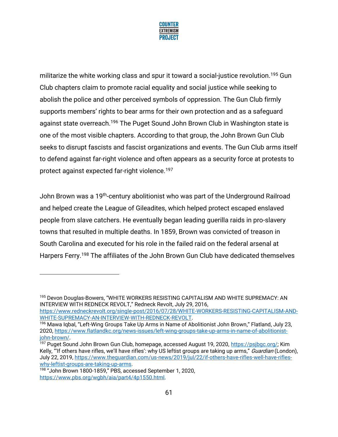

militarize the white working class and spur it toward a social-justice revolution.<sup>195</sup> Gun Club chapters claim to promote racial equality and social justice while seeking to abolish the police and other perceived symbols of oppression. The Gun Club firmly supports members' rights to bear arms for their own protection and as a safeguard against state overreach.<sup>196</sup> The Puget Sound John Brown Club in Washington state is one of the most visible chapters. According to that group, the John Brown Gun Club seeks to disrupt fascists and fascist organizations and events. The Gun Club arms itself to defend against far-right violence and often appears as a security force at protests to protect against expected far-right violence.<sup>197</sup>

John Brown was a 19th-century abolitionist who was part of the Underground Railroad and helped create the League of Gileadites, which helped protect escaped enslaved people from slave catchers. He eventually began leading guerilla raids in pro-slavery towns that resulted in multiple deaths. In 1859, Brown was convicted of treason in South Carolina and executed for his role in the failed raid on the federal arsenal at Harpers Ferry.<sup>198</sup> The affiliates of the John Brown Gun Club have dedicated themselves

<sup>195</sup> Devon Douglas-Bowers, "WHITE WORKERS RESISTING CAPITALISM AND WHITE SUPREMACY: AN INTERVIEW WITH REDNECK REVOLT," Redneck Revolt, July 29, 2016,

[https://www.redneckrevolt.org/single-post/2016/07/28/WHITE-WORKERS-RESISTING-CAPITALISM-AND-](https://www.redneckrevolt.org/single-post/2016/07/28/WHITE-WORKERS-RESISTING-CAPITALISM-AND-WHITE-SUPREMACY-AN-INTERVIEW-WITH-REDNECK-REVOLT)[WHITE-SUPREMACY-AN-INTERVIEW-WITH-REDNECK-REVOLT.](https://www.redneckrevolt.org/single-post/2016/07/28/WHITE-WORKERS-RESISTING-CAPITALISM-AND-WHITE-SUPREMACY-AN-INTERVIEW-WITH-REDNECK-REVOLT) 

<sup>&</sup>lt;sup>196</sup> Mawa Iqbal, "Left-Wing Groups Take Up Arms in Name of Abolitionist John Brown," Flatland, July 23, 2020, [https://www.flatlandkc.org/news-issues/left-wing-groups-take-up-arms-in-name-of-abolitionist](https://www.flatlandkc.org/news-issues/left-wing-groups-take-up-arms-in-name-of-abolitionist-john-brown/)[john-brown/.](https://www.flatlandkc.org/news-issues/left-wing-groups-take-up-arms-in-name-of-abolitionist-john-brown/)

<sup>&</sup>lt;sup>197</sup> Puget Sound John Brown Gun Club, homepage, accessed August 19, 2020, [https://psjbgc.org/;](https://psjbgc.org/) Kim Kelly, "'If others have rifles, we'll have rifles': why US leftist groups are taking up arms," Guardian (London), July 22, 2019, [https://www.theguardian.com/us-news/2019/jul/22/if-others-have-rifles-well-have-rifles](https://www.theguardian.com/us-news/2019/jul/22/if-others-have-rifles-well-have-rifles-why-leftist-groups-are-taking-up-arms)[why-leftist-groups-are-taking-up-arms.](https://www.theguardian.com/us-news/2019/jul/22/if-others-have-rifles-well-have-rifles-why-leftist-groups-are-taking-up-arms)

<sup>198</sup> "John Brown 1800-1859," PBS, accessed September 1, 2020, [https://www.pbs.org/wgbh/aia/part4/4p1550.html.](https://www.pbs.org/wgbh/aia/part4/4p1550.html)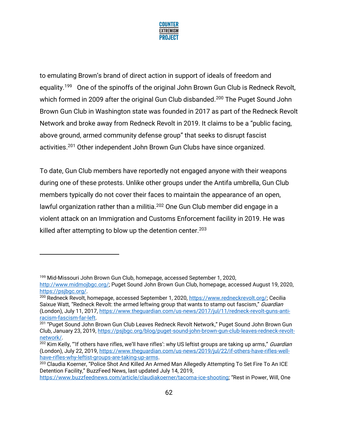

to emulating Brown's brand of direct action in support of ideals of freedom and equality.<sup>199</sup> One of the spinoffs of the original John Brown Gun Club is Redneck Revolt, which formed in 2009 after the original Gun Club disbanded.<sup>200</sup> The Puget Sound John Brown Gun Club in Washington state was founded in 2017 as part of the Redneck Revolt Network and broke away from Redneck Revolt in 2019. It claims to be a "public facing, above ground, armed community defense group" that seeks to disrupt fascist activities.<sup>201</sup> Other independent John Brown Gun Clubs have since organized.

To date, Gun Club members have reportedly not engaged anyone with their weapons during one of these protests. Unlike other groups under the Antifa umbrella, Gun Club members typically do not cover their faces to maintain the appearance of an open, lawful organization rather than a militia.<sup>202</sup> One Gun Club member did engage in a violent attack on an Immigration and Customs Enforcement facility in 2019. He was killed after attempting to blow up the detention center.  $203$ 

<sup>199</sup> Mid-Missouri John Brown Gun Club, homepage, accessed September 1, 2020,

[http://www.midmojbgc.org/;](http://www.midmojbgc.org/) Puget Sound John Brown Gun Club, homepage, accessed August 19, 2020, [https://psjbgc.org/.](https://psjbgc.org/)

<sup>&</sup>lt;sup>200</sup> Redneck Revolt, homepage, accessed September 1, 2020, [https://www.redneckrevolt.org/;](https://www.redneckrevolt.org/) Cecilia Saixue Watt. "Redneck Revolt: the armed leftwing group that wants to stamp out fascism," Guardian (London), July 11, 2017, [https://www.theguardian.com/us-news/2017/jul/11/redneck-revolt-guns-anti](https://www.theguardian.com/us-news/2017/jul/11/redneck-revolt-guns-anti-racism-fascism-far-left)[racism-fascism-far-left.](https://www.theguardian.com/us-news/2017/jul/11/redneck-revolt-guns-anti-racism-fascism-far-left)

<sup>&</sup>lt;sup>201</sup> "Puget Sound John Brown Gun Club Leaves Redneck Revolt Network," Puget Sound John Brown Gun Club, January 23, 2019, [https://psjbgc.org/blog/puget-sound-john-brown-gun-club-leaves-redneck-revolt](https://psjbgc.org/blog/puget-sound-john-brown-gun-club-leaves-redneck-revolt-network/)[network/.](https://psjbgc.org/blog/puget-sound-john-brown-gun-club-leaves-redneck-revolt-network/)

<sup>&</sup>lt;sup>202</sup> Kim Kelly, "'If others have rifles, we'll have rifles': why US leftist groups are taking up arms," *Guardian* (London), July 22, 2019, [https://www.theguardian.com/us-news/2019/jul/22/if-others-have-rifles-well](https://www.theguardian.com/us-news/2019/jul/22/if-others-have-rifles-well-have-rifles-why-leftist-groups-are-taking-up-arms)[have-rifles-why-leftist-groups-are-taking-up-arms.](https://www.theguardian.com/us-news/2019/jul/22/if-others-have-rifles-well-have-rifles-why-leftist-groups-are-taking-up-arms)

<sup>&</sup>lt;sup>203</sup> Claudia Koerner, "Police Shot And Killed An Armed Man Allegedly Attempting To Set Fire To An ICE Detention Facility," BuzzFeed News, last updated July 14, 2019,

<https://www.buzzfeednews.com/article/claudiakoerner/tacoma-ice-shooting>; "Rest in Power, Will, One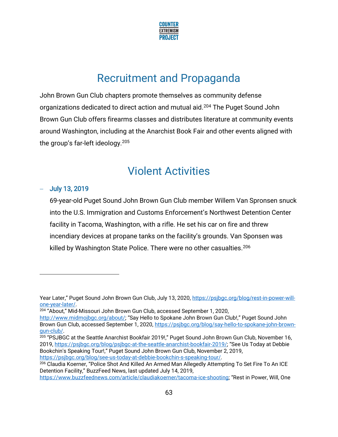

# Recruitment and Propaganda

John Brown Gun Club chapters promote themselves as community defense organizations dedicated to direct action and mutual aid.<sup>204</sup> The Puget Sound John Brown Gun Club offers firearms classes and distributes literature at community events around Washington, including at the Anarchist Book Fair and other events aligned with the group's far-left ideology.<sup>205</sup>

## Violent Activities

## − July 13, 2019

69-year-old Puget Sound John Brown Gun Club member Willem Van Spronsen snuck into the U.S. Immigration and Customs Enforcement's Northwest Detention Center facility in Tacoma, Washington, with a rifle. He set his car on fire and threw incendiary devices at propane tanks on the facility's grounds. Van Sponsen was killed by Washington State Police. There were no other casualties. $^{206}$ 

205 "PSJBGC at the Seattle Anarchist Bookfair 2019!," Puget Sound John Brown Gun Club, November 16, 2019,<https://psjbgc.org/blog/psjbgc-at-the-seattle-anarchist-bookfair-2019/>; "See Us Today at Debbie Bookchin's Speaking Tour!," Puget Sound John Brown Gun Club, November 2, 2019, [https://psjbgc.org/blog/see-us-today-at-debbie-bookchin-s-speaking-tour/.](https://psjbgc.org/blog/see-us-today-at-debbie-bookchin-s-speaking-tour/)

Year Later," Puget Sound John Brown Gun Club, July 13, 2020, [https://psjbgc.org/blog/rest-in-power-will](https://psjbgc.org/blog/rest-in-power-will-one-year-later/)[one-year-later/.](https://psjbgc.org/blog/rest-in-power-will-one-year-later/)

<sup>204</sup> "About," Mid-Missouri John Brown Gun Club, accessed September 1, 2020,

<http://www.midmojbgc.org/about/>; "Say Hello to Spokane John Brown Gun Club!," Puget Sound John Brown Gun Club, accessed September 1, 2020, [https://psjbgc.org/blog/say-hello-to-spokane-john-brown](https://psjbgc.org/blog/say-hello-to-spokane-john-brown-gun-club/)[gun-club/.](https://psjbgc.org/blog/say-hello-to-spokane-john-brown-gun-club/) 

<sup>206</sup> Claudia Koerner, "Police Shot And Killed An Armed Man Allegedly Attempting To Set Fire To An ICE Detention Facility," BuzzFeed News, last updated July 14, 2019,

<https://www.buzzfeednews.com/article/claudiakoerner/tacoma-ice-shooting>; "Rest in Power, Will, One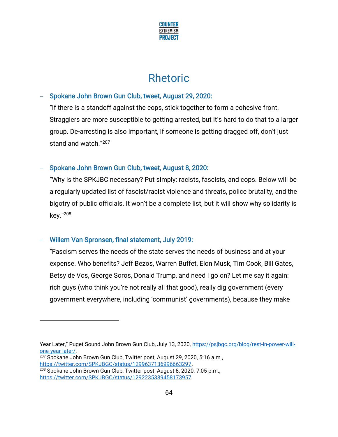

## Rhetoric

### − Spokane John Brown Gun Club, tweet, August 29, 2020:

"If there is a standoff against the cops, stick together to form a cohesive front. Stragglers are more susceptible to getting arrested, but it's hard to do that to a larger group. De-arresting is also important, if someone is getting dragged off, don't just stand and watch." 207

### − Spokane John Brown Gun Club, tweet, August 8, 2020:

"Why is the SPKJBC necessary? Put simply: racists, fascists, and cops. Below will be a regularly updated list of fascist/racist violence and threats, police brutality, and the bigotry of public officials. It won't be a complete list, but it will show why solidarity is key." 208

### − Willem Van Spronsen, final statement, July 2019:

"Fascism serves the needs of the state serves the needs of business and at your expense. Who benefits? Jeff Bezos, Warren Buffet, Elon Musk, Tim Cook, Bill Gates, Betsy de Vos, George Soros, Donald Trump, and need I go on? Let me say it again: rich guys (who think you're not really all that good), really dig government (every government everywhere, including 'communist' governments), because they make

Year Later," Puget Sound John Brown Gun Club, July 13, 2020, [https://psjbgc.org/blog/rest-in-power-will](https://psjbgc.org/blog/rest-in-power-will-one-year-later/)[one-year-later/.](https://psjbgc.org/blog/rest-in-power-will-one-year-later/)

<sup>207</sup> Spokane John Brown Gun Club, Twitter post, August 29, 2020, 5:16 a.m., [https://twitter.com/SPKJBGC/status/1299637136996663297.](https://twitter.com/SPKJBGC/status/1299637136996663297)

<sup>208</sup> Spokane John Brown Gun Club, Twitter post, August 8, 2020, 7:05 p.m., [https://twitter.com/SPKJBGC/status/1292235389458173957.](https://twitter.com/SPKJBGC/status/1292235389458173957)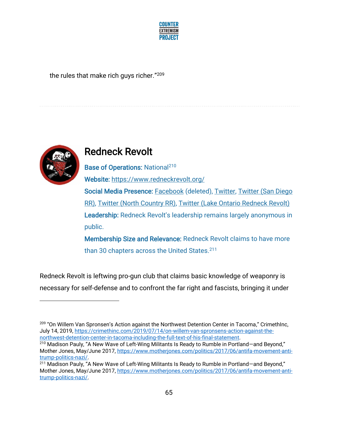

the rules that make rich guys richer." 209



## Redneck Revolt

Base of Operations: National<sup>210</sup> Website:<https://www.redneckrevolt.org/>

Social Media Presence: [Facebook](https://www.facebook.com/redneckrevolt) (deleted), [Twitter,](https://twitter.com/redneckrevolt) Twitter (San Diego [RR\),](https://twitter.com/SDRedneckRevolt) [Twitter \(North Country RR\),](https://twitter.com/northcountryRR) [Twitter \(Lake Ontario Redneck Revolt\)](https://twitter.com/LakeRevolt) Leadership: Redneck Revolt's leadership remains largely anonymous in public.

Membership Size and Relevance: Redneck Revolt claims to have more than 30 chapters across the United States.<sup>211</sup>

Redneck Revolt is leftwing pro-gun club that claims basic knowledge of weaponry is necessary for self-defense and to confront the far right and fascists, bringing it under

<sup>&</sup>lt;sup>209</sup> "On Willem Van Spronsen's Action against the Northwest Detention Center in Tacoma," CrimethInc, July 14, 2019, [https://crimethinc.com/2019/07/14/on-willem-van-spronsens-action-against-the](https://crimethinc.com/2019/07/14/on-willem-van-spronsens-action-against-the-northwest-detention-center-in-tacoma-including-the-full-text-of-his-final-statement)[northwest-detention-center-in-tacoma-including-the-full-text-of-his-final-statement.](https://crimethinc.com/2019/07/14/on-willem-van-spronsens-action-against-the-northwest-detention-center-in-tacoma-including-the-full-text-of-his-final-statement)

<sup>210</sup> Madison Pauly, "A New Wave of Left-Wing Militants Is Ready to Rumble in Portland—and Beyond," Mother Jones, May/June 2017, [https://www.motherjones.com/politics/2017/06/antifa-movement-anti](https://www.motherjones.com/politics/2017/06/antifa-movement-anti-trump-politics-nazi/)[trump-politics-nazi/.](https://www.motherjones.com/politics/2017/06/antifa-movement-anti-trump-politics-nazi/)

<sup>&</sup>lt;sup>211</sup> Madison Pauly, "A New Wave of Left-Wing Militants Is Ready to Rumble in Portland-and Beyond," Mother Jones, May/June 2017, [https://www.motherjones.com/politics/2017/06/antifa-movement-anti](https://www.motherjones.com/politics/2017/06/antifa-movement-anti-trump-politics-nazi/)[trump-politics-nazi/.](https://www.motherjones.com/politics/2017/06/antifa-movement-anti-trump-politics-nazi/)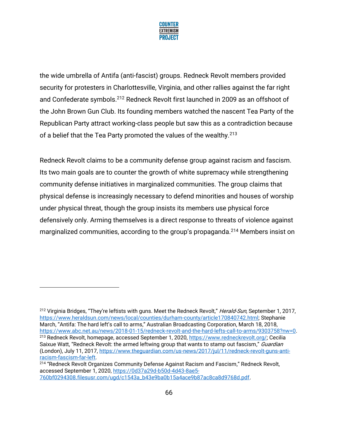

the wide umbrella of Antifa (anti-fascist) groups. Redneck Revolt members provided security for protesters in Charlottesville, Virginia, and other rallies against the far right and Confederate symbols.<sup>212</sup> Redneck Revolt first launched in 2009 as an offshoot of the John Brown Gun Club. Its founding members watched the nascent Tea Party of the Republican Party attract working-class people but saw this as a contradiction because of a belief that the Tea Party promoted the values of the wealthy.<sup>213</sup>

Redneck Revolt claims to be a community defense group against racism and fascism. Its two main goals are to counter the growth of white supremacy while strengthening community defense initiatives in marginalized communities. The group claims that physical defense is increasingly necessary to defend minorities and houses of worship under physical threat, though the group insists its members use physical force defensively only. Arming themselves is a direct response to threats of violence against marginalized communities, according to the group's propaganda.<sup>214</sup> Members insist on

<sup>&</sup>lt;sup>212</sup> Virginia Bridges, "They're leftists with guns. Meet the Redneck Revolt," Herald-Sun, September 1, 2017, [https://www.heraldsun.com/news/local/counties/durham-county/article170840742.html;](https://www.heraldsun.com/news/local/counties/durham-county/article170840742.html) Stephanie March, "Antifa: The hard left's call to arms," Australian Broadcasting Corporation, March 18, 2018, [https://www.abc.net.au/news/2018-01-15/redneck-revolt-and-the-hard-lefts-call-to-arms/9303758?nw=0.](https://www.abc.net.au/news/2018-01-15/redneck-revolt-and-the-hard-lefts-call-to-arms/9303758?nw=0) <sup>213</sup> Redneck Revolt, homepage, accessed September 1, 2020, [https://www.redneckrevolt.org/;](https://www.redneckrevolt.org/) Cecilia Saixue Watt, "Redneck Revolt: the armed leftwing group that wants to stamp out fascism," Guardian (London), July 11, 2017, [https://www.theguardian.com/us-news/2017/jul/11/redneck-revolt-guns-anti](https://www.theguardian.com/us-news/2017/jul/11/redneck-revolt-guns-anti-racism-fascism-far-left)[racism-fascism-far-left.](https://www.theguardian.com/us-news/2017/jul/11/redneck-revolt-guns-anti-racism-fascism-far-left)

<sup>&</sup>lt;sup>214</sup> "Redneck Revolt Organizes Community Defense Against Racism and Fascism," Redneck Revolt, accessed September 1, 2020, [https://0d37a29d-b50d-4d43-8ae5-](https://0d37a29d-b50d-4d43-8ae5-760bf0294308.filesusr.com/ugd/c1543a_b43e9ba0b15a4ace9b87ac8ca8d9768d.pdf) [760bf0294308.filesusr.com/ugd/c1543a\\_b43e9ba0b15a4ace9b87ac8ca8d9768d.pdf.](https://0d37a29d-b50d-4d43-8ae5-760bf0294308.filesusr.com/ugd/c1543a_b43e9ba0b15a4ace9b87ac8ca8d9768d.pdf)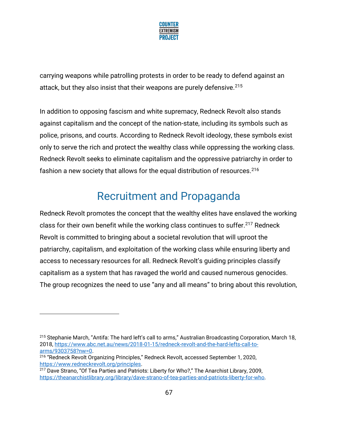

carrying weapons while patrolling protests in order to be ready to defend against an attack, but they also insist that their weapons are purely defensive.<sup>215</sup>

In addition to opposing fascism and white supremacy, Redneck Revolt also stands against capitalism and the concept of the nation-state, including its symbols such as police, prisons, and courts. According to Redneck Revolt ideology, these symbols exist only to serve the rich and protect the wealthy class while oppressing the working class. Redneck Revolt seeks to eliminate capitalism and the oppressive patriarchy in order to fashion a new society that allows for the equal distribution of resources.<sup>216</sup>

# Recruitment and Propaganda

Redneck Revolt promotes the concept that the wealthy elites have enslaved the working class for their own benefit while the working class continues to suffer.<sup>217</sup> Redneck Revolt is committed to bringing about a societal revolution that will uproot the patriarchy, capitalism, and exploitation of the working class while ensuring liberty and access to necessary resources for all. Redneck Revolt's guiding principles classify capitalism as a system that has ravaged the world and caused numerous genocides. The group recognizes the need to use "any and all means" to bring about this revolution,

<sup>215</sup> Stephanie March, "Antifa: The hard left's call to arms," Australian Broadcasting Corporation, March 18, 2018, [https://www.abc.net.au/news/2018-01-15/redneck-revolt-and-the-hard-lefts-call-to](https://www.abc.net.au/news/2018-01-15/redneck-revolt-and-the-hard-lefts-call-to-arms/9303758?nw=0)[arms/9303758?nw=0.](https://www.abc.net.au/news/2018-01-15/redneck-revolt-and-the-hard-lefts-call-to-arms/9303758?nw=0)

<sup>216</sup> "Redneck Revolt Organizing Principles," Redneck Revolt, accessed September 1, 2020, [https://www.redneckrevolt.org/principles.](https://www.redneckrevolt.org/principles)

<sup>&</sup>lt;sup>217</sup> Dave Strano, "Of Tea Parties and Patriots: Liberty for Who?," The Anarchist Library, 2009, [https://theanarchistlibrary.org/library/dave-strano-of-tea-parties-and-patriots-liberty-for-who.](https://theanarchistlibrary.org/library/dave-strano-of-tea-parties-and-patriots-liberty-for-who)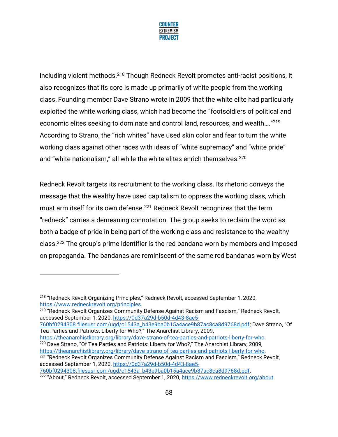

including violent methods.<sup>218</sup> Though Redneck Revolt promotes anti-racist positions, it also recognizes that its core is made up primarily of white people from the working class. Founding member Dave Strano wrote in 2009 that the white elite had particularly exploited the white working class, which had become the "footsoldiers of political and economic elites seeking to dominate and control land, resources, and wealth…."<sup>219</sup> According to Strano, the "rich whites" have used skin color and fear to turn the white working class against other races with ideas of "white supremacy" and "white pride" and "white nationalism," all while the white elites enrich themselves. 220

Redneck Revolt targets its recruitment to the working class. Its rhetoric conveys the message that the wealthy have used capitalism to oppress the working class, which must arm itself for its own defense.<sup>221</sup> Redneck Revolt recognizes that the term "redneck" carries a demeaning connotation. The group seeks to reclaim the word as both a badge of pride in being part of the working class and resistance to the wealthy class.<sup>222</sup> The group's prime identifier is the red bandana worn by members and imposed on propaganda. The bandanas are reminiscent of the same red bandanas worn by West

<sup>221</sup> "Redneck Revolt Organizes Community Defense Against Racism and Fascism," Redneck Revolt, accessed September 1, 2020, [https://0d37a29d-b50d-4d43-8ae5-](https://0d37a29d-b50d-4d43-8ae5-760bf0294308.filesusr.com/ugd/c1543a_b43e9ba0b15a4ace9b87ac8ca8d9768d.pdf)

<sup>218</sup> "Redneck Revolt Organizing Principles," Redneck Revolt, accessed September 1, 2020, [https://www.redneckrevolt.org/principles.](https://www.redneckrevolt.org/principles)

<sup>&</sup>lt;sup>219</sup> "Redneck Revolt Organizes Community Defense Against Racism and Fascism," Redneck Revolt, accessed September 1, 2020, [https://0d37a29d-b50d-4d43-8ae5-](https://0d37a29d-b50d-4d43-8ae5-760bf0294308.filesusr.com/ugd/c1543a_b43e9ba0b15a4ace9b87ac8ca8d9768d.pdf)

[<sup>760</sup>bf0294308.filesusr.com/ugd/c1543a\\_b43e9ba0b15a4ace9b87ac8ca8d9768d.pdf](https://0d37a29d-b50d-4d43-8ae5-760bf0294308.filesusr.com/ugd/c1543a_b43e9ba0b15a4ace9b87ac8ca8d9768d.pdf); Dave Strano, "Of Tea Parties and Patriots: Liberty for Who?," The Anarchist Library, 2009,

[https://theanarchistlibrary.org/library/dave-strano-of-tea-parties-and-patriots-liberty-for-who.](https://theanarchistlibrary.org/library/dave-strano-of-tea-parties-and-patriots-liberty-for-who) <sup>220</sup> Dave Strano, "Of Tea Parties and Patriots: Liberty for Who?," The Anarchist Library, 2009, [https://theanarchistlibrary.org/library/dave-strano-of-tea-parties-and-patriots-liberty-for-who.](https://theanarchistlibrary.org/library/dave-strano-of-tea-parties-and-patriots-liberty-for-who)

[<sup>760</sup>bf0294308.filesusr.com/ugd/c1543a\\_b43e9ba0b15a4ace9b87ac8ca8d9768d.pdf.](https://0d37a29d-b50d-4d43-8ae5-760bf0294308.filesusr.com/ugd/c1543a_b43e9ba0b15a4ace9b87ac8ca8d9768d.pdf)

<sup>222</sup> "About," Redneck Revolt, accessed September 1, 2020, [https://www.redneckrevolt.org/about.](https://www.redneckrevolt.org/about)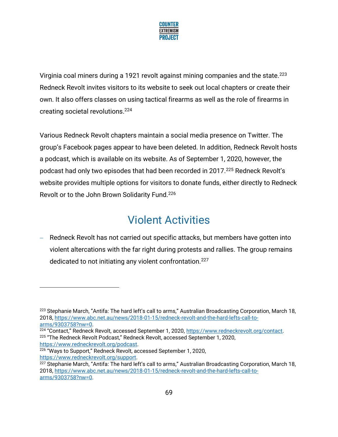

Virginia coal miners during a 1921 revolt against mining companies and the state.<sup>223</sup> Redneck Revolt invites visitors to its website to seek out local chapters or create their own. It also offers classes on using tactical firearms as well as the role of firearms in creating societal revolutions.<sup>224</sup>

Various Redneck Revolt chapters maintain a social media presence on Twitter. The group's Facebook pages appear to have been deleted. In addition, Redneck Revolt hosts a podcast, which is available on its website. As of September 1, 2020, however, the podcast had only two episodes that had been recorded in 2017.<sup>225</sup> Redneck Revolt's website provides multiple options for visitors to donate funds, either directly to Redneck Revolt or to the John Brown Solidarity Fund.<sup>226</sup>

# Violent Activities

− Redneck Revolt has not carried out specific attacks, but members have gotten into violent altercations with the far right during protests and rallies. The group remains dedicated to not initiating any violent confrontation.<sup>227</sup>

<sup>&</sup>lt;sup>223</sup> Stephanie March, "Antifa: The hard left's call to arms," Australian Broadcasting Corporation, March 18, 2018, [https://www.abc.net.au/news/2018-01-15/redneck-revolt-and-the-hard-lefts-call-to](https://www.abc.net.au/news/2018-01-15/redneck-revolt-and-the-hard-lefts-call-to-arms/9303758?nw=0)[arms/9303758?nw=0.](https://www.abc.net.au/news/2018-01-15/redneck-revolt-and-the-hard-lefts-call-to-arms/9303758?nw=0)

<sup>&</sup>lt;sup>224</sup> "Contact," Redneck Revolt, accessed September 1, 2020, [https://www.redneckrevolt.org/contact.](https://www.redneckrevolt.org/contact) <sup>225</sup> "The Redneck Revolt Podcast," Redneck Revolt, accessed September 1, 2020, [https://www.redneckrevolt.org/podcast.](https://www.redneckrevolt.org/podcast)

<sup>226</sup> "Ways to Support," Redneck Revolt, accessed September 1, 2020, [https://www.redneckrevolt.org/support.](https://www.redneckrevolt.org/support)

<sup>&</sup>lt;sup>227</sup> Stephanie March, "Antifa: The hard left's call to arms," Australian Broadcasting Corporation, March 18, 2018, [https://www.abc.net.au/news/2018-01-15/redneck-revolt-and-the-hard-lefts-call-to](https://www.abc.net.au/news/2018-01-15/redneck-revolt-and-the-hard-lefts-call-to-arms/9303758?nw=0)[arms/9303758?nw=0.](https://www.abc.net.au/news/2018-01-15/redneck-revolt-and-the-hard-lefts-call-to-arms/9303758?nw=0)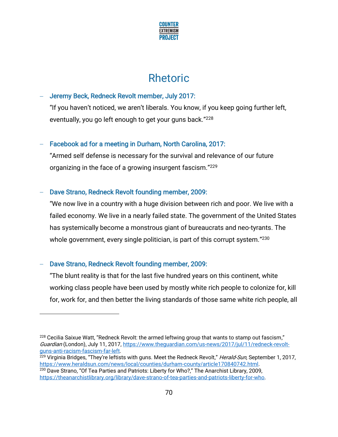

## Rhetoric

## − Jeremy Beck, Redneck Revolt member, July 2017:

"If you haven't noticed, we aren't liberals. You know, if you keep going further left, eventually, you go left enough to get your guns back."<sup>228</sup>

### − Facebook ad for a meeting in Durham, North Carolina, 2017:

"Armed self defense is necessary for the survival and relevance of our future organizing in the face of a growing insurgent fascism."<sup>229</sup>

### − Dave Strano, Redneck Revolt founding member, 2009:

"We now live in a country with a huge division between rich and poor. We live with a failed economy. We live in a nearly failed state. The government of the United States has systemically become a monstrous giant of bureaucrats and neo-tyrants. The whole government, every single politician, is part of this corrupt system." 230

## − Dave Strano, Redneck Revolt founding member, 2009:

"The blunt reality is that for the last five hundred years on this continent, white working class people have been used by mostly white rich people to colonize for, kill for, work for, and then better the living standards of those same white rich people, all

 $228$  Cecilia Saixue Watt, "Redneck Revolt: the armed leftwing group that wants to stamp out fascism," Guardian (London), July 11, 2017, [https://www.theguardian.com/us-news/2017/jul/11/redneck-revolt](https://www.theguardian.com/us-news/2017/jul/11/redneck-revolt-guns-anti-racism-fascism-far-left)[guns-anti-racism-fascism-far-left.](https://www.theguardian.com/us-news/2017/jul/11/redneck-revolt-guns-anti-racism-fascism-far-left)

<sup>&</sup>lt;sup>229</sup> Virginia Bridges, "They're leftists with guns. Meet the Redneck Revolt," Herald-Sun, September 1, 2017, [https://www.heraldsun.com/news/local/counties/durham-county/article170840742.html.](https://www.heraldsun.com/news/local/counties/durham-county/article170840742.html)

<sup>&</sup>lt;sup>230</sup> Dave Strano, "Of Tea Parties and Patriots: Liberty for Who?," The Anarchist Library, 2009, [https://theanarchistlibrary.org/library/dave-strano-of-tea-parties-and-patriots-liberty-for-who.](https://theanarchistlibrary.org/library/dave-strano-of-tea-parties-and-patriots-liberty-for-who)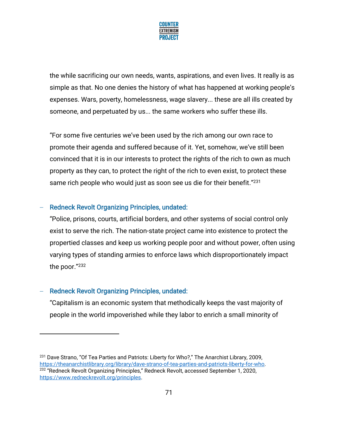

the while sacrificing our own needs, wants, aspirations, and even lives. It really is as simple as that. No one denies the history of what has happened at working people's expenses. Wars, poverty, homelessness, wage slavery... these are all ills created by someone, and perpetuated by us... the same workers who suffer these ills.

"For some five centuries we've been used by the rich among our own race to promote their agenda and suffered because of it. Yet, somehow, we've still been convinced that it is in our interests to protect the rights of the rich to own as much property as they can, to protect the right of the rich to even exist, to protect these same rich people who would just as soon see us die for their benefit."<sup>231</sup>

### − Redneck Revolt Organizing Principles, undated:

"Police, prisons, courts, artificial borders, and other systems of social control only exist to serve the rich. The nation-state project came into existence to protect the propertied classes and keep us working people poor and without power, often using varying types of standing armies to enforce laws which disproportionately impact the poor." 232

### − Redneck Revolt Organizing Principles, undated:

"Capitalism is an economic system that methodically keeps the vast majority of people in the world impoverished while they labor to enrich a small minority of

<sup>&</sup>lt;sup>231</sup> Dave Strano, "Of Tea Parties and Patriots: Liberty for Who?," The Anarchist Library, 2009, [https://theanarchistlibrary.org/library/dave-strano-of-tea-parties-and-patriots-liberty-for-who.](https://theanarchistlibrary.org/library/dave-strano-of-tea-parties-and-patriots-liberty-for-who) <sup>232</sup> "Redneck Revolt Organizing Principles," Redneck Revolt, accessed September 1, 2020, [https://www.redneckrevolt.org/principles.](https://www.redneckrevolt.org/principles)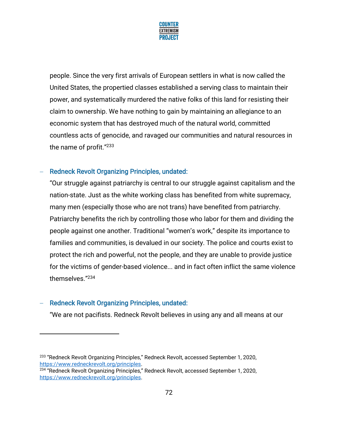

people. Since the very first arrivals of European settlers in what is now called the United States, the propertied classes established a serving class to maintain their power, and systematically murdered the native folks of this land for resisting their claim to ownership. We have nothing to gain by maintaining an allegiance to an economic system that has destroyed much of the natural world, committed countless acts of genocide, and ravaged our communities and natural resources in the name of profit." 233

#### − Redneck Revolt Organizing Principles, undated:

"Our struggle against patriarchy is central to our struggle against capitalism and the nation-state. Just as the white working class has benefited from white supremacy, many men (especially those who are not trans) have benefited from patriarchy. Patriarchy benefits the rich by controlling those who labor for them and dividing the people against one another. Traditional "women's work," despite its importance to families and communities, is devalued in our society. The police and courts exist to protect the rich and powerful, not the people, and they are unable to provide justice for the victims of gender-based violence... and in fact often inflict the same violence themselves." 234

### − Redneck Revolt Organizing Principles, undated:

"We are not pacifists. Redneck Revolt believes in using any and all means at our

<sup>&</sup>lt;sup>233</sup> "Redneck Revolt Organizing Principles," Redneck Revolt, accessed September 1, 2020, [https://www.redneckrevolt.org/principles.](https://www.redneckrevolt.org/principles)

<sup>&</sup>lt;sup>234</sup> "Redneck Revolt Organizing Principles," Redneck Revolt, accessed September 1, 2020, [https://www.redneckrevolt.org/principles.](https://www.redneckrevolt.org/principles)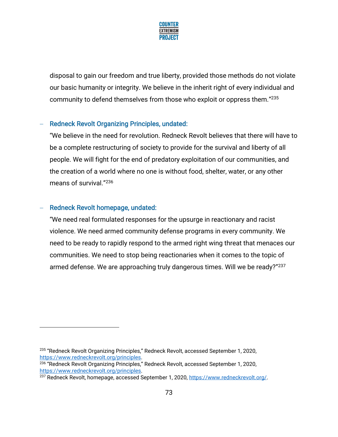

disposal to gain our freedom and true liberty, provided those methods do not violate our basic humanity or integrity. We believe in the inherit right of every individual and community to defend themselves from those who exploit or oppress them." 235

#### − Redneck Revolt Organizing Principles, undated:

"We believe in the need for revolution. Redneck Revolt believes that there will have to be a complete restructuring of society to provide for the survival and liberty of all people. We will fight for the end of predatory exploitation of our communities, and the creation of a world where no one is without food, shelter, water, or any other means of survival." 236

#### − Redneck Revolt homepage, undated:

"We need real formulated responses for the upsurge in reactionary and racist violence. We need armed community defense programs in every community. We need to be ready to rapidly respond to the armed right wing threat that menaces our communities. We need to stop being reactionaries when it comes to the topic of armed defense. We are approaching truly dangerous times. Will we be ready?"<sup>237</sup>

<sup>235</sup> "Redneck Revolt Organizing Principles," Redneck Revolt, accessed September 1, 2020, [https://www.redneckrevolt.org/principles.](https://www.redneckrevolt.org/principles)

<sup>&</sup>lt;sup>236</sup> "Redneck Revolt Organizing Principles," Redneck Revolt, accessed September 1, 2020, [https://www.redneckrevolt.org/principles.](https://www.redneckrevolt.org/principles)

<sup>237</sup> Redneck Revolt, homepage, accessed September 1, 2020, [https://www.redneckrevolt.org/.](https://www.redneckrevolt.org/)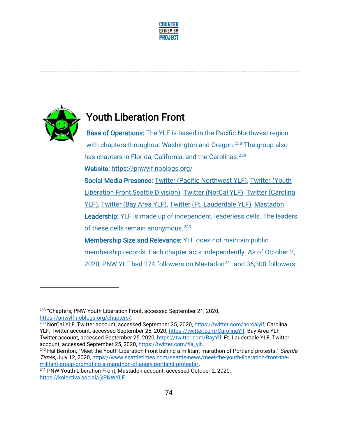



## Youth Liberation Front

Base of Operations: The YLF is based in the Pacific Northwest region with chapters throughout Washington and Oregon.<sup>238</sup> The group also has chapters in Florida, California, and the Carolinas.<sup>239</sup> Website:<https://pnwylf.noblogs.org/>

Social Media Presence: [Twitter \(Pacific Northwest YLF\),](https://twitter.com/PNWYLF?ref_src=twsrc%5Egoogle%7Ctwcamp%5Eserp%7Ctwgr%5Eauthor) [Twitter \(Youth](https://twitter.com/seattleYLF)  [Liberation Front Seattle Division\),](https://twitter.com/seattleYLF) [Twitter \(NorCal YLF\),](https://twitter.com/norcalylf) [Twitter \(Carolina](https://twitter.com/CarolinaYlf)  [YLF\),](https://twitter.com/CarolinaYlf) [Twitter \(Bay Area YLF\),](https://twitter.com/BayYlf) [Twitter \(Ft. Lauderdale YLF\),](https://twitter.com/fla_ylf) [Mastadon](https://kolektiva.social/@PNWYLF)  Leadership: YLF is made up of independent, leaderless cells. The leaders of these cells remain anonymous.<sup>240</sup>

Membership Size and Relevance: YLF does not maintain public membership records. Each chapter acts independently. As of October 2, 2020, PNW YLF had 274 followers on Mastadon<sup>241</sup> and 36,300 followers

<sup>238</sup> "Chapters, PNW Youth Liberation Front, accessed September 21, 2020, [https://pnwylf.noblogs.org/chapters/.](https://pnwylf.noblogs.org/chapters/)

<sup>&</sup>lt;sup>239</sup> NorCal YLF, Twitter account, accessed September 25, 2020, [https://twitter.com/norcalylf;](https://twitter.com/norcalylf) Carolina YLF, Twitter account, accessed September 25, 2020, [https://twitter.com/CarolinaYlf;](https://twitter.com/CarolinaYlf) Bay Area YLF Twitter account, accessed September 25, 2020, [https://twitter.com/BayYlf;](https://twitter.com/BayYlf) Ft. Lauderdale YLF, Twitter account, accessed September 25, 2020, [https://twitter.com/fla\\_ylf.](https://twitter.com/fla_ylf)

<sup>&</sup>lt;sup>240</sup> Hal Bernton, "Meet the Youth Liberation Front behind a militant marathon of Portland protests," Seattle Times, July 12, 2020, [https://www.seattletimes.com/seattle-news/meet-the-youth-liberation-front-the](https://www.seattletimes.com/seattle-news/meet-the-youth-liberation-front-the-militant-group-promoting-a-marathon-of-angry-portland-protests/)[militant-group-promoting-a-marathon-of-angry-portland-protests/.](https://www.seattletimes.com/seattle-news/meet-the-youth-liberation-front-the-militant-group-promoting-a-marathon-of-angry-portland-protests/)

<sup>&</sup>lt;sup>241</sup> PNW Youth Liberation Front, Mastadon account, accessed October 2, 2020, [https://kolektiva.social/@PNWYLF.](https://kolektiva.social/@PNWYLF)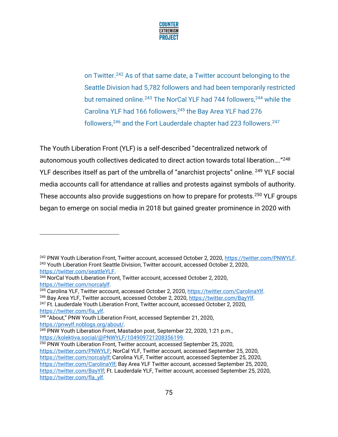

on Twitter.<sup>242</sup> As of that same date, a Twitter account belonging to the Seattle Division had 5,782 followers and had been temporarily restricted but remained online.<sup>243</sup> The NorCal YLF had 744 followers,<sup>244</sup> while the Carolina YLF had 166 followers,<sup>245</sup> the Bay Area YLF had 276 followers,<sup>246</sup> and the Fort Lauderdale chapter had 223 followers.<sup>247</sup>

The Youth Liberation Front (YLF) is a self-described "decentralized network of autonomous youth collectives dedicated to direct action towards total liberation…."<sup>248</sup> YLF describes itself as part of the umbrella of "anarchist projects" online. <sup>249</sup> YLF social media accounts call for attendance at rallies and protests against symbols of authority. These accounts also provide suggestions on how to prepare for protests.<sup>250</sup> YLF groups began to emerge on social media in 2018 but gained greater prominence in 2020 with

[https://twitter.com/fla\\_ylf.](https://twitter.com/fla_ylf)

<sup>242</sup> PNW Youth Liberation Front, Twitter account, accessed October 2, 2020, [https://twitter.com/PNWYLF.](https://twitter.com/PNWYLF) <sup>243</sup> Youth Liberation Front Seattle Division, Twitter account, accessed October 2, 2020, [https://twitter.com/seattleYLF.](https://twitter.com/seattleYLF)

<sup>244</sup> NorCal Youth Liberation Front, Twitter account, accessed October 2, 2020, [https://twitter.com/norcalylf.](https://twitter.com/norcalylf)

<sup>245</sup> Carolina YLF, Twitter account, accessed October 2, 2020, [https://twitter.com/CarolinaYlf.](https://twitter.com/CarolinaYlf)

<sup>&</sup>lt;sup>246</sup> Bay Area YLF, Twitter account, accessed October 2, 2020, https://twitter.com/BayYlf. <sup>247</sup> Ft. Lauderdale Youth Liberation Front, Twitter account, accessed October 2, 2020,

<sup>248</sup> "About," PNW Youth Liberation Front, accessed September 21, 2020, [https://pnwylf.noblogs.org/about/.](https://pnwylf.noblogs.org/about/) 

<sup>&</sup>lt;sup>249</sup> PNW Youth Liberation Front, Mastadon post, September 22, 2020, 1:21 p.m., [https://kolektiva.social/@PNWYLF/104909721208356199.](https://kolektiva.social/@PNWYLF/104909721208356199)

<sup>250</sup> PNW Youth Liberation Front, Twitter account, accessed September 25, 2020, [https://twitter.com/PNWYLF;](https://twitter.com/PNWYLF) NorCal YLF, Twitter account, accessed September 25, 2020, [https://twitter.com/norcalylf;](https://twitter.com/norcalylf) Carolina YLF, Twitter account, accessed September 25, 2020, [https://twitter.com/CarolinaYlf;](https://twitter.com/CarolinaYlf) Bay Area YLF Twitter account, accessed September 25, 2020, [https://twitter.com/BayYlf;](https://twitter.com/BayYlf) Ft. Lauderdale YLF, Twitter account, accessed September 25, 2020, [https://twitter.com/fla\\_ylf.](https://twitter.com/fla_ylf)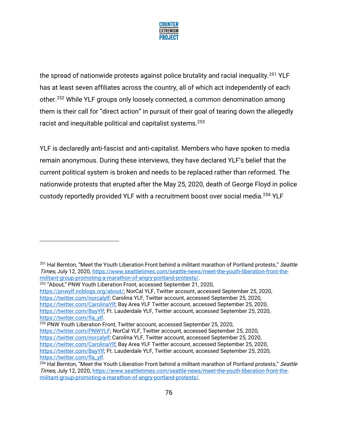

the spread of nationwide protests against police brutality and racial inequality.<sup>251</sup> YLF has at least seven affiliates across the country, all of which act independently of each other.<sup>252</sup> While YLF groups only loosely connected, a common denomination among them is their call for "direct action" in pursuit of their goal of tearing down the allegedly racist and inequitable political and capitalist systems.<sup>253</sup>

YLF is declaredly anti-fascist and anti-capitalist. Members who have spoken to media remain anonymous. During these interviews, they have declared YLF's belief that the current political system is broken and needs to be replaced rather than reformed. The nationwide protests that erupted after the May 25, 2020, death of George Floyd in police custody reportedly provided YLF with a recruitment boost over social media.<sup>254</sup> YLF

<sup>253</sup> PNW Youth Liberation Front, Twitter account, accessed September 25, 2020,

[https://twitter.com/PNWYLF;](https://twitter.com/PNWYLF) NorCal YLF, Twitter account, accessed September 25, 2020,

[https://twitter.com/norcalylf;](https://twitter.com/norcalylf) Carolina YLF, Twitter account, accessed September 25, 2020,

<sup>&</sup>lt;sup>251</sup> Hal Bernton, "Meet the Youth Liberation Front behind a militant marathon of Portland protests," Seattle Times, July 12, 2020, [https://www.seattletimes.com/seattle-news/meet-the-youth-liberation-front-the](https://www.seattletimes.com/seattle-news/meet-the-youth-liberation-front-the-militant-group-promoting-a-marathon-of-angry-portland-protests/)[militant-group-promoting-a-marathon-of-angry-portland-protests/.](https://www.seattletimes.com/seattle-news/meet-the-youth-liberation-front-the-militant-group-promoting-a-marathon-of-angry-portland-protests/)

<sup>252</sup> "About," PNW Youth Liberation Front, accessed September 21, 2020,

[https://pnwylf.noblogs.org/about/;](https://pnwylf.noblogs.org/about/) NorCal YLF, Twitter account, accessed September 25, 2020, [https://twitter.com/norcalylf;](https://twitter.com/norcalylf) Carolina YLF, Twitter account, accessed September 25, 2020, [https://twitter.com/CarolinaYlf;](https://twitter.com/CarolinaYlf) Bay Area YLF Twitter account, accessed September 25, 2020, [https://twitter.com/BayYlf;](https://twitter.com/BayYlf) Ft. Lauderdale YLF, Twitter account, accessed September 25, 2020, [https://twitter.com/fla\\_ylf.](https://twitter.com/fla_ylf)

[https://twitter.com/CarolinaYlf;](https://twitter.com/CarolinaYlf) Bay Area YLF Twitter account, accessed September 25, 2020, [https://twitter.com/BayYlf;](https://twitter.com/BayYlf) Ft. Lauderdale YLF, Twitter account, accessed September 25, 2020, [https://twitter.com/fla\\_ylf.](https://twitter.com/fla_ylf)

<sup>&</sup>lt;sup>254</sup> Hal Bernton, "Meet the Youth Liberation Front behind a militant marathon of Portland protests," Seattle Times, July 12, 2020, [https://www.seattletimes.com/seattle-news/meet-the-youth-liberation-front-the](https://www.seattletimes.com/seattle-news/meet-the-youth-liberation-front-the-militant-group-promoting-a-marathon-of-angry-portland-protests/)[militant-group-promoting-a-marathon-of-angry-portland-protests/.](https://www.seattletimes.com/seattle-news/meet-the-youth-liberation-front-the-militant-group-promoting-a-marathon-of-angry-portland-protests/)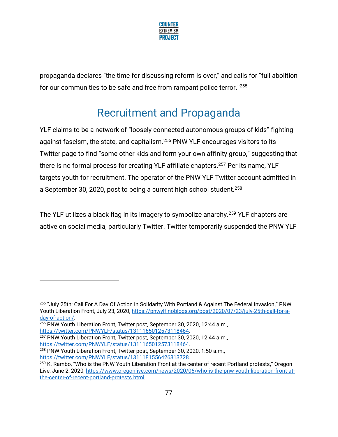

propaganda declares "the time for discussing reform is over," and calls for "full abolition for our communities to be safe and free from rampant police terror."<sup>255</sup>

# Recruitment and Propaganda

YLF claims to be a network of "loosely connected autonomous groups of kids" fighting against fascism, the state, and capitalism.<sup>256</sup> PNW YLF encourages visitors to its Twitter page to find "some other kids and form your own affinity group," suggesting that there is no formal process for creating YLF affiliate chapters.<sup>257</sup> Per its name, YLF targets youth for recruitment. The operator of the PNW YLF Twitter account admitted in a September 30, 2020, post to being a current high school student.<sup>258</sup>

The YLF utilizes a black flag in its imagery to symbolize anarchy.<sup>259</sup> YLF chapters are active on social media, particularly Twitter. Twitter temporarily suspended the PNW YLF

[https://twitter.com/PNWYLF/status/1311165012573118464.](https://twitter.com/PNWYLF/status/1311165012573118464)

<sup>257</sup> PNW Youth Liberation Front, Twitter post, September 30, 2020, 12:44 a.m., [https://twitter.com/PNWYLF/status/1311165012573118464.](https://twitter.com/PNWYLF/status/1311165012573118464)

<sup>258</sup> PNW Youth Liberation Front, Twitter post, September 30, 2020, 1:50 a.m., [https://twitter.com/PNWYLF/status/1311181556426313728.](https://twitter.com/PNWYLF/status/1311181556426313728)

<sup>255</sup> "July 25th: Call For A Day Of Action In Solidarity With Portland & Against The Federal Invasion," PNW Youth Liberation Front, July 23, 2020[, https://pnwylf.noblogs.org/post/2020/07/23/july-25th-call-for-a](https://pnwylf.noblogs.org/post/2020/07/23/july-25th-call-for-a-day-of-action/)[day-of-action/.](https://pnwylf.noblogs.org/post/2020/07/23/july-25th-call-for-a-day-of-action/)

<sup>256</sup> PNW Youth Liberation Front, Twitter post, September 30, 2020, 12:44 a.m.,

<sup>&</sup>lt;sup>259</sup> K. Rambo, "Who is the PNW Youth Liberation Front at the center of recent Portland protests," Oregon Live, June 2, 2020, [https://www.oregonlive.com/news/2020/06/who-is-the-pnw-youth-liberation-front-at](https://www.oregonlive.com/news/2020/06/who-is-the-pnw-youth-liberation-front-at-the-center-of-recent-portland-protests.html)[the-center-of-recent-portland-protests.html.](https://www.oregonlive.com/news/2020/06/who-is-the-pnw-youth-liberation-front-at-the-center-of-recent-portland-protests.html)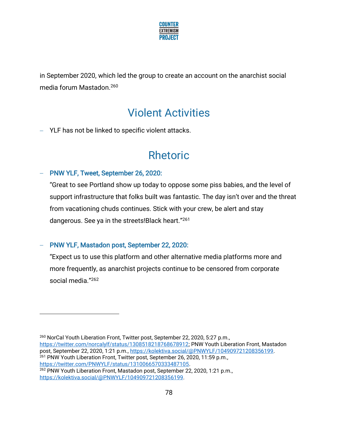

in September 2020, which led the group to create an account on the anarchist social media forum Mastadon.<sup>260</sup>

# Violent Activities

− YLF has not be linked to specific violent attacks.

# Rhetoric

#### − PNW YLF, Tweet, September 26, 2020:

"Great to see Portland show up today to oppose some piss babies, and the level of support infrastructure that folks built was fantastic. The day isn't over and the threat from vacationing chuds continues. Stick with your crew, be alert and stay dangerous. See ya in the streets!Black heart."<sup>261</sup>

### − PNW YLF, Mastadon post, September 22, 2020:

"Expect us to use this platform and other alternative media platforms more and more frequently, as anarchist projects continue to be censored from corporate social media." 262

<sup>260</sup> NorCal Youth Liberation Front, Twitter post, September 22, 2020, 5:27 p.m., [https://twitter.com/norcalylf/status/1308518218768678912;](https://twitter.com/norcalylf/status/1308518218768678912) PNW Youth Liberation Front, Mastadon post, September 22, 2020, 1:21 p.m.[, https://kolektiva.social/@PNWYLF/104909721208356199.](https://kolektiva.social/@PNWYLF/104909721208356199) <sup>261</sup> PNW Youth Liberation Front, Twitter post, September 26, 2020, 11:59 p.m., [https://twitter.com/PNWYLF/status/1310066570333487105.](https://twitter.com/PNWYLF/status/1310066570333487105)

<sup>262</sup> PNW Youth Liberation Front, Mastadon post, September 22, 2020, 1:21 p.m., [https://kolektiva.social/@PNWYLF/104909721208356199.](https://kolektiva.social/@PNWYLF/104909721208356199)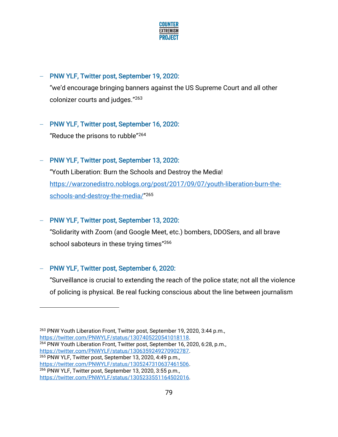

### − PNW YLF, Twitter post, September 19, 2020:

"we'd encourage bringing banners against the US Supreme Court and all other colonizer courts and judges."<sup>263</sup>

### − PNW YLF, Twitter post, September 16, 2020:

"Reduce the prisons to rubble"<sup>264</sup>

## − PNW YLF, Twitter post, September 13, 2020:

"Youth Liberation: Burn the Schools and Destroy the Media! [https://warzonedistro.noblogs.org/post/2017/09/07/youth-liberation-burn-the](https://warzonedistro.noblogs.org/post/2017/09/07/youth-liberation-burn-the-schools-and-destroy-the-media/)[schools-and-destroy-the-media/](https://warzonedistro.noblogs.org/post/2017/09/07/youth-liberation-burn-the-schools-and-destroy-the-media/)" 265

## − PNW YLF, Twitter post, September 13, 2020:

"Solidarity with Zoom (and Google Meet, etc.) bombers, DDOSers, and all brave school saboteurs in these trying times" 266

## − PNW YLF, Twitter post, September 6, 2020:

"Surveillance is crucial to extending the reach of the police state; not all the violence of policing is physical. Be real fucking conscious about the line between journalism

<sup>&</sup>lt;sup>263</sup> PNW Youth Liberation Front, Twitter post, September 19, 2020, 3:44 p.m., [https://twitter.com/PNWYLF/status/1307405220541018118.](https://twitter.com/PNWYLF/status/1307405220541018118) <sup>264</sup> PNW Youth Liberation Front, Twitter post, September 16, 2020, 6:28, p.m., [https://twitter.com/PNWYLF/status/1306359249270902787.](https://twitter.com/PNWYLF/status/1306359249270902787) <sup>265</sup> PNW YLF, Twitter post, September 13, 2020, 4:49 p.m., [https://twitter.com/PNWYLF/status/1305247310637461506.](https://twitter.com/PNWYLF/status/1305247310637461506) <sup>266</sup> PNW YLF, Twitter post, September 13, 2020, 3:55 p.m., [https://twitter.com/PNWYLF/status/1305233551164502016.](https://twitter.com/PNWYLF/status/1305233551164502016)